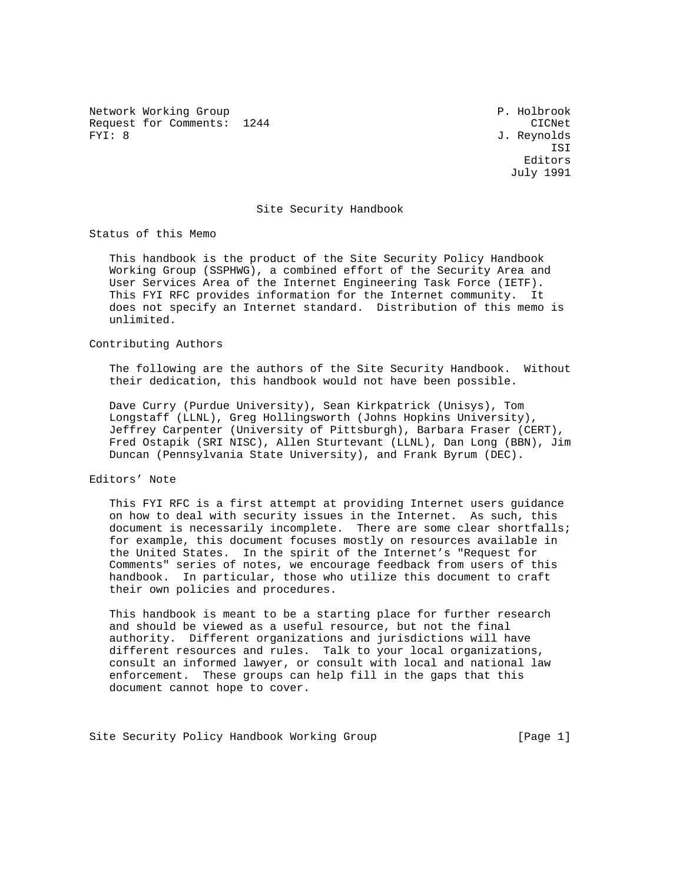Network Working Group **P. Holbrook** Request for Comments: 1244 CICNet<br>FYI: 8 J. Reynolds

J. Reynolds ISI Editors July 1991

#### Site Security Handbook

Status of this Memo

 This handbook is the product of the Site Security Policy Handbook Working Group (SSPHWG), a combined effort of the Security Area and User Services Area of the Internet Engineering Task Force (IETF). This FYI RFC provides information for the Internet community. It does not specify an Internet standard. Distribution of this memo is unlimited.

## Contributing Authors

 The following are the authors of the Site Security Handbook. Without their dedication, this handbook would not have been possible.

 Dave Curry (Purdue University), Sean Kirkpatrick (Unisys), Tom Longstaff (LLNL), Greg Hollingsworth (Johns Hopkins University), Jeffrey Carpenter (University of Pittsburgh), Barbara Fraser (CERT), Fred Ostapik (SRI NISC), Allen Sturtevant (LLNL), Dan Long (BBN), Jim Duncan (Pennsylvania State University), and Frank Byrum (DEC).

## Editors' Note

 This FYI RFC is a first attempt at providing Internet users guidance on how to deal with security issues in the Internet. As such, this document is necessarily incomplete. There are some clear shortfalls; for example, this document focuses mostly on resources available in the United States. In the spirit of the Internet's "Request for Comments" series of notes, we encourage feedback from users of this handbook. In particular, those who utilize this document to craft their own policies and procedures.

 This handbook is meant to be a starting place for further research and should be viewed as a useful resource, but not the final authority. Different organizations and jurisdictions will have different resources and rules. Talk to your local organizations, consult an informed lawyer, or consult with local and national law enforcement. These groups can help fill in the gaps that this document cannot hope to cover.

Site Security Policy Handbook Working Group [Page 1]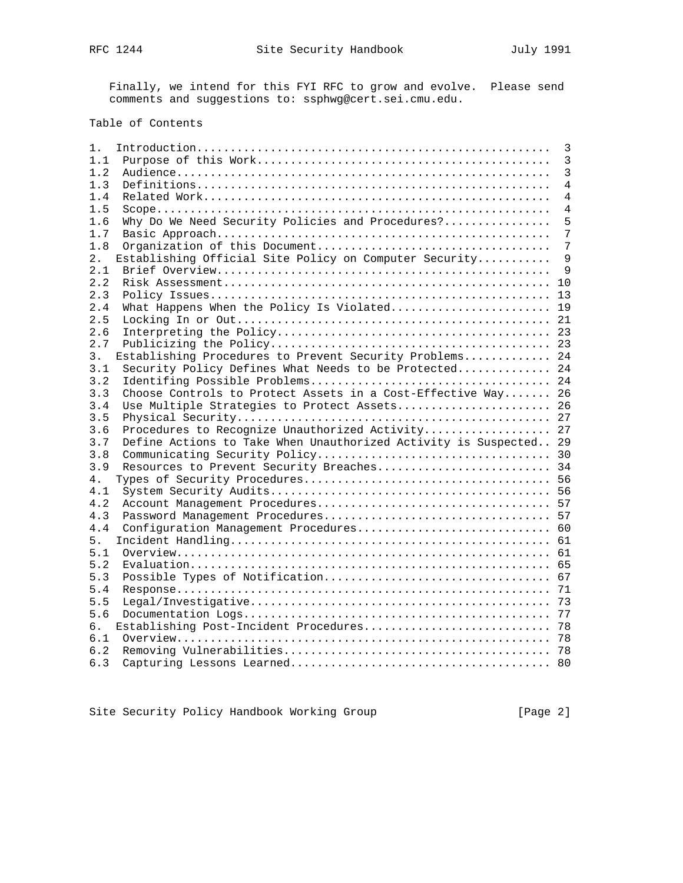Finally, we intend for this FYI RFC to grow and evolve. Please send comments and suggestions to: ssphwg@cert.sei.cmu.edu.

# Table of Contents

| 1.  |                                                                   | 3              |
|-----|-------------------------------------------------------------------|----------------|
| 1.1 |                                                                   | $\overline{3}$ |
| 1.2 |                                                                   | $\overline{3}$ |
| 1.3 |                                                                   | $\overline{4}$ |
| 1.4 |                                                                   | $\overline{4}$ |
| 1.5 |                                                                   | $\overline{4}$ |
| 1.6 | Why Do We Need Security Policies and Procedures?                  | 5              |
| 1.7 |                                                                   | 7              |
| 1.8 |                                                                   | 7              |
| 2.  | Establishing Official Site Policy on Computer Security            | $\overline{9}$ |
| 2.1 |                                                                   | 9              |
| 2.2 |                                                                   | 10             |
| 2.3 |                                                                   | 13             |
| 2.4 | What Happens When the Policy Is Violated                          | 19             |
| 2.5 |                                                                   |                |
| 2.6 |                                                                   |                |
| 2.7 |                                                                   |                |
| 3.  | Establishing Procedures to Prevent Security Problems 24           |                |
| 3.1 | Security Policy Defines What Needs to be Protected 24             |                |
| 3.2 |                                                                   |                |
| 3.3 | Choose Controls to Protect Assets in a Cost-Effective Way 26      |                |
| 3.4 | Use Multiple Strategies to Protect Assets 26                      |                |
| 3.5 |                                                                   |                |
| 3.6 | Procedures to Recognize Unauthorized Activity 27                  |                |
|     |                                                                   |                |
| 3.7 | Define Actions to Take When Unauthorized Activity is Suspected 29 |                |
| 3.8 |                                                                   |                |
| 3.9 | Resources to Prevent Security Breaches 34                         |                |
| 4.  |                                                                   |                |
| 4.1 |                                                                   |                |
| 4.2 |                                                                   |                |
| 4.3 |                                                                   |                |
| 4.4 |                                                                   |                |
| 5.  |                                                                   |                |
| 5.1 |                                                                   |                |
| 5.2 |                                                                   |                |
| 5.3 |                                                                   |                |
| 5.4 |                                                                   |                |
| 5.5 |                                                                   |                |
| 5.6 |                                                                   |                |
| б.  |                                                                   |                |
| 6.1 |                                                                   |                |
| 6.2 |                                                                   |                |
| 6.3 |                                                                   |                |
|     |                                                                   |                |

Site Security Policy Handbook Working Group [Page 2]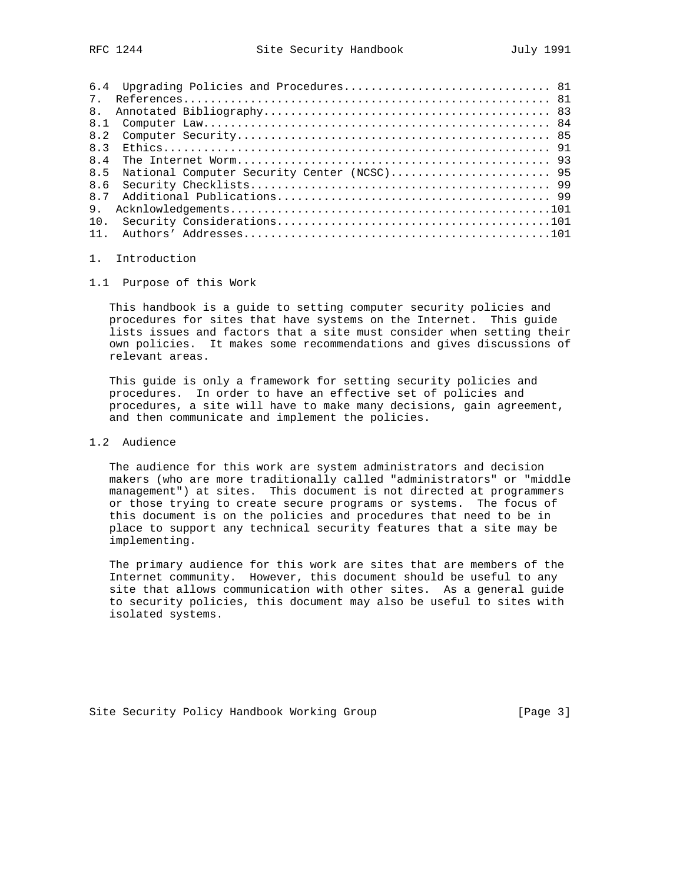|                | 6.4 Upgrading Policies and Procedures 81    |  |
|----------------|---------------------------------------------|--|
| 7 <sub>1</sub> |                                             |  |
| 8 <sub>1</sub> |                                             |  |
| 8 1            |                                             |  |
| 8.2            |                                             |  |
| 8 <sup>3</sup> |                                             |  |
| 8 4            |                                             |  |
| 8.5            | National Computer Security Center (NCSC) 95 |  |
| 8.6            |                                             |  |
| 8.7            |                                             |  |
| 9.             |                                             |  |
| 1 Q            |                                             |  |
| 11             |                                             |  |
|                |                                             |  |

#### 1. Introduction

## 1.1 Purpose of this Work

 This handbook is a guide to setting computer security policies and procedures for sites that have systems on the Internet. This guide lists issues and factors that a site must consider when setting their own policies. It makes some recommendations and gives discussions of relevant areas.

 This guide is only a framework for setting security policies and procedures. In order to have an effective set of policies and procedures, a site will have to make many decisions, gain agreement, and then communicate and implement the policies.

# 1.2 Audience

 The audience for this work are system administrators and decision makers (who are more traditionally called "administrators" or "middle management") at sites. This document is not directed at programmers or those trying to create secure programs or systems. The focus of this document is on the policies and procedures that need to be in place to support any technical security features that a site may be implementing.

 The primary audience for this work are sites that are members of the Internet community. However, this document should be useful to any site that allows communication with other sites. As a general guide to security policies, this document may also be useful to sites with isolated systems.

Site Security Policy Handbook Working Group [Page 3]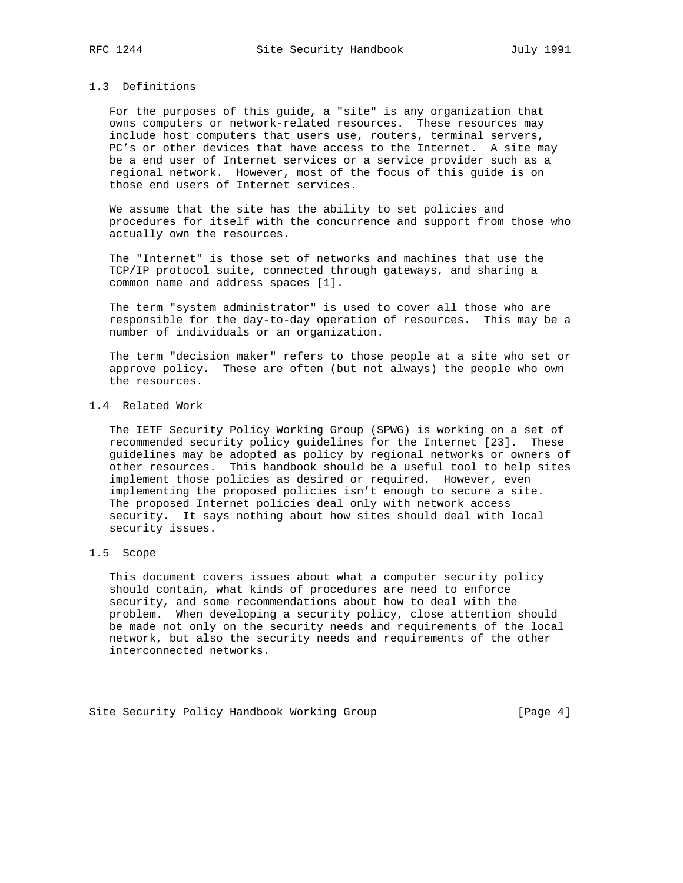## 1.3 Definitions

 For the purposes of this guide, a "site" is any organization that owns computers or network-related resources. These resources may include host computers that users use, routers, terminal servers, PC's or other devices that have access to the Internet. A site may be a end user of Internet services or a service provider such as a regional network. However, most of the focus of this guide is on those end users of Internet services.

 We assume that the site has the ability to set policies and procedures for itself with the concurrence and support from those who actually own the resources.

 The "Internet" is those set of networks and machines that use the TCP/IP protocol suite, connected through gateways, and sharing a common name and address spaces [1].

 The term "system administrator" is used to cover all those who are responsible for the day-to-day operation of resources. This may be a number of individuals or an organization.

 The term "decision maker" refers to those people at a site who set or approve policy. These are often (but not always) the people who own the resources.

# 1.4 Related Work

 The IETF Security Policy Working Group (SPWG) is working on a set of recommended security policy guidelines for the Internet [23]. These guidelines may be adopted as policy by regional networks or owners of other resources. This handbook should be a useful tool to help sites implement those policies as desired or required. However, even implementing the proposed policies isn't enough to secure a site. The proposed Internet policies deal only with network access security. It says nothing about how sites should deal with local security issues.

## 1.5 Scope

 This document covers issues about what a computer security policy should contain, what kinds of procedures are need to enforce security, and some recommendations about how to deal with the problem. When developing a security policy, close attention should be made not only on the security needs and requirements of the local network, but also the security needs and requirements of the other interconnected networks.

Site Security Policy Handbook Working Group [Page 4]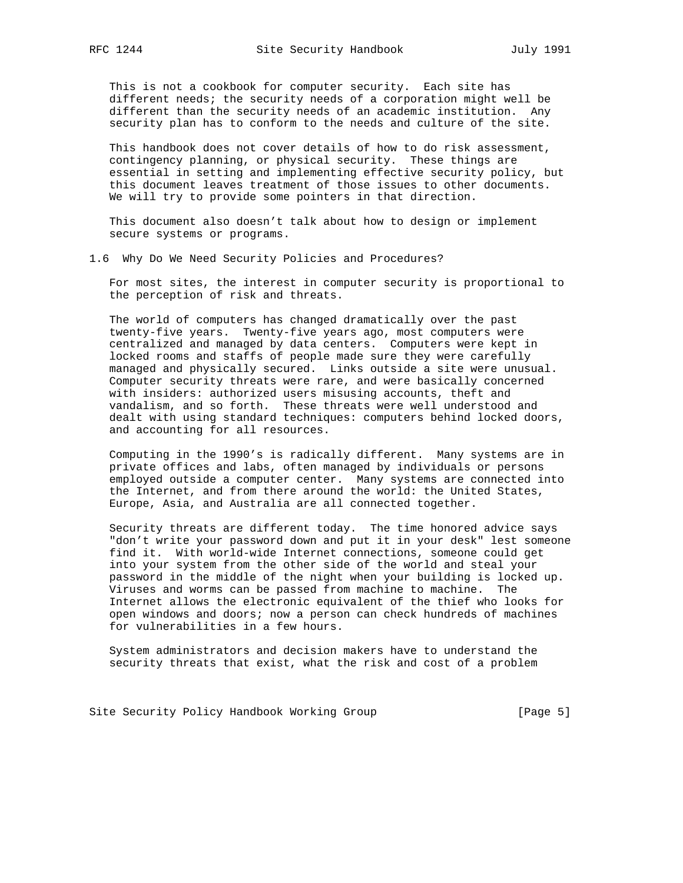This is not a cookbook for computer security. Each site has different needs; the security needs of a corporation might well be different than the security needs of an academic institution. Any security plan has to conform to the needs and culture of the site.

 This handbook does not cover details of how to do risk assessment, contingency planning, or physical security. These things are essential in setting and implementing effective security policy, but this document leaves treatment of those issues to other documents. We will try to provide some pointers in that direction.

 This document also doesn't talk about how to design or implement secure systems or programs.

1.6 Why Do We Need Security Policies and Procedures?

 For most sites, the interest in computer security is proportional to the perception of risk and threats.

 The world of computers has changed dramatically over the past twenty-five years. Twenty-five years ago, most computers were centralized and managed by data centers. Computers were kept in locked rooms and staffs of people made sure they were carefully managed and physically secured. Links outside a site were unusual. Computer security threats were rare, and were basically concerned with insiders: authorized users misusing accounts, theft and vandalism, and so forth. These threats were well understood and dealt with using standard techniques: computers behind locked doors, and accounting for all resources.

 Computing in the 1990's is radically different. Many systems are in private offices and labs, often managed by individuals or persons employed outside a computer center. Many systems are connected into the Internet, and from there around the world: the United States, Europe, Asia, and Australia are all connected together.

 Security threats are different today. The time honored advice says "don't write your password down and put it in your desk" lest someone find it. With world-wide Internet connections, someone could get into your system from the other side of the world and steal your password in the middle of the night when your building is locked up. Viruses and worms can be passed from machine to machine. The Internet allows the electronic equivalent of the thief who looks for open windows and doors; now a person can check hundreds of machines for vulnerabilities in a few hours.

 System administrators and decision makers have to understand the security threats that exist, what the risk and cost of a problem

Site Security Policy Handbook Working Group [Page 5]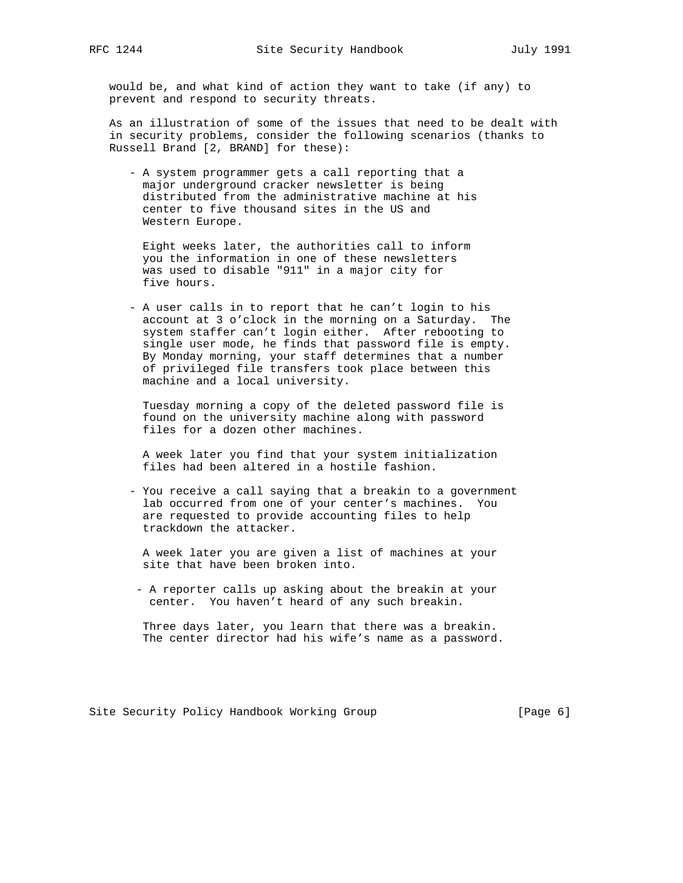would be, and what kind of action they want to take (if any) to prevent and respond to security threats.

 As an illustration of some of the issues that need to be dealt with in security problems, consider the following scenarios (thanks to Russell Brand [2, BRAND] for these):

 - A system programmer gets a call reporting that a major underground cracker newsletter is being distributed from the administrative machine at his center to five thousand sites in the US and Western Europe.

 Eight weeks later, the authorities call to inform you the information in one of these newsletters was used to disable "911" in a major city for five hours.

 - A user calls in to report that he can't login to his account at 3 o'clock in the morning on a Saturday. The system staffer can't login either. After rebooting to single user mode, he finds that password file is empty. By Monday morning, your staff determines that a number of privileged file transfers took place between this machine and a local university.

 Tuesday morning a copy of the deleted password file is found on the university machine along with password files for a dozen other machines.

 A week later you find that your system initialization files had been altered in a hostile fashion.

 - You receive a call saying that a breakin to a government lab occurred from one of your center's machines. You are requested to provide accounting files to help trackdown the attacker.

 A week later you are given a list of machines at your site that have been broken into.

 - A reporter calls up asking about the breakin at your center. You haven't heard of any such breakin.

 Three days later, you learn that there was a breakin. The center director had his wife's name as a password.

Site Security Policy Handbook Working Group [Page 6]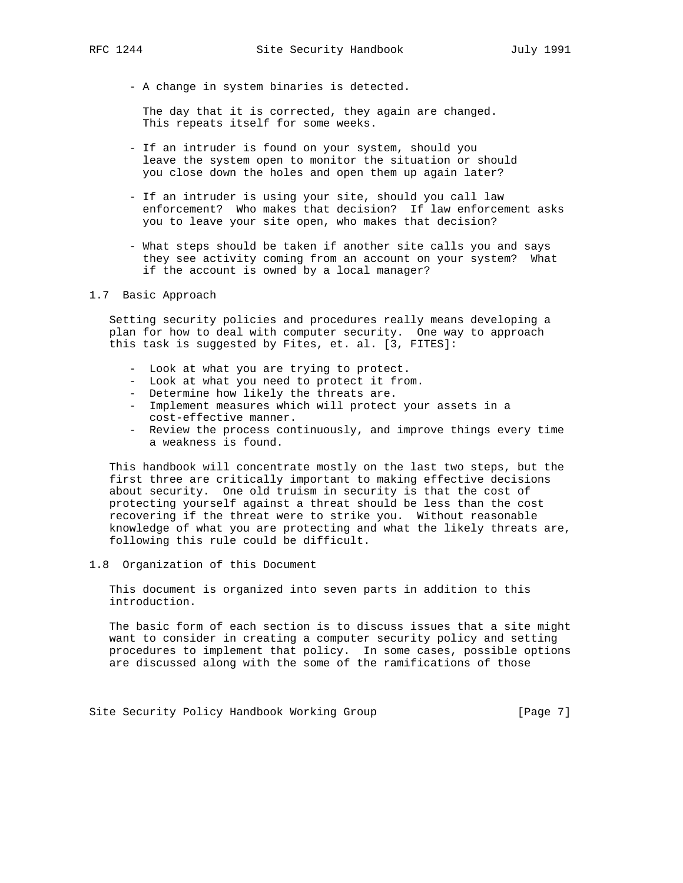- A change in system binaries is detected.

 The day that it is corrected, they again are changed. This repeats itself for some weeks.

- If an intruder is found on your system, should you leave the system open to monitor the situation or should you close down the holes and open them up again later?
- If an intruder is using your site, should you call law enforcement? Who makes that decision? If law enforcement asks you to leave your site open, who makes that decision?
- What steps should be taken if another site calls you and says they see activity coming from an account on your system? What if the account is owned by a local manager?

## 1.7 Basic Approach

 Setting security policies and procedures really means developing a plan for how to deal with computer security. One way to approach this task is suggested by Fites, et. al. [3, FITES]:

- Look at what you are trying to protect.
- Look at what you need to protect it from.
- Determine how likely the threats are.
- Implement measures which will protect your assets in a cost-effective manner.
- Review the process continuously, and improve things every time a weakness is found.

 This handbook will concentrate mostly on the last two steps, but the first three are critically important to making effective decisions about security. One old truism in security is that the cost of protecting yourself against a threat should be less than the cost recovering if the threat were to strike you. Without reasonable knowledge of what you are protecting and what the likely threats are, following this rule could be difficult.

## 1.8 Organization of this Document

 This document is organized into seven parts in addition to this introduction.

 The basic form of each section is to discuss issues that a site might want to consider in creating a computer security policy and setting procedures to implement that policy. In some cases, possible options are discussed along with the some of the ramifications of those

Site Security Policy Handbook Working Group [Page 7]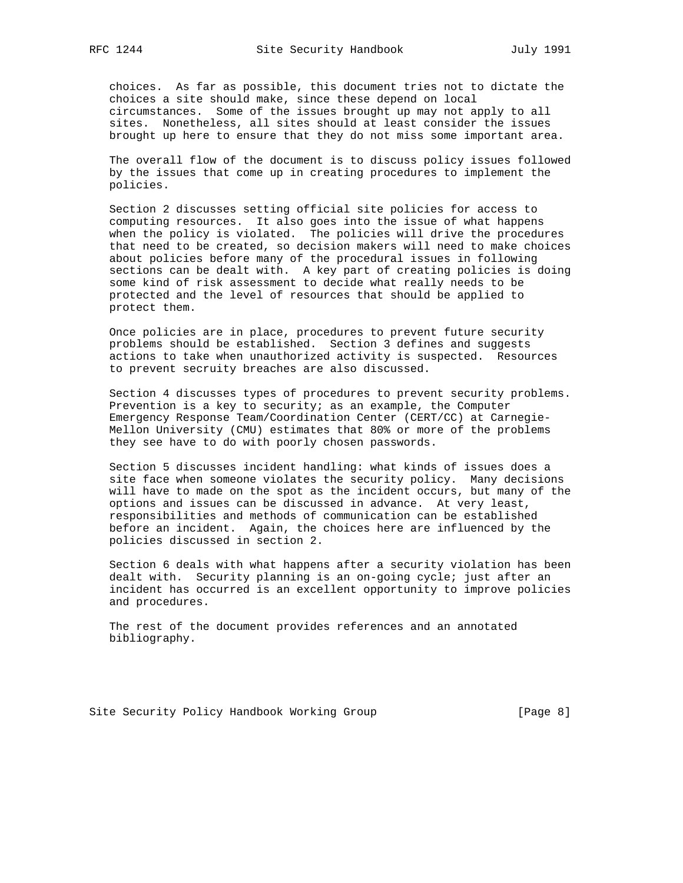choices. As far as possible, this document tries not to dictate the choices a site should make, since these depend on local circumstances. Some of the issues brought up may not apply to all sites. Nonetheless, all sites should at least consider the issues brought up here to ensure that they do not miss some important area.

 The overall flow of the document is to discuss policy issues followed by the issues that come up in creating procedures to implement the policies.

 Section 2 discusses setting official site policies for access to computing resources. It also goes into the issue of what happens when the policy is violated. The policies will drive the procedures that need to be created, so decision makers will need to make choices about policies before many of the procedural issues in following sections can be dealt with. A key part of creating policies is doing some kind of risk assessment to decide what really needs to be protected and the level of resources that should be applied to protect them.

 Once policies are in place, procedures to prevent future security problems should be established. Section 3 defines and suggests actions to take when unauthorized activity is suspected. Resources to prevent secruity breaches are also discussed.

 Section 4 discusses types of procedures to prevent security problems. Prevention is a key to security; as an example, the Computer Emergency Response Team/Coordination Center (CERT/CC) at Carnegie- Mellon University (CMU) estimates that 80% or more of the problems they see have to do with poorly chosen passwords.

 Section 5 discusses incident handling: what kinds of issues does a site face when someone violates the security policy. Many decisions will have to made on the spot as the incident occurs, but many of the options and issues can be discussed in advance. At very least, responsibilities and methods of communication can be established before an incident. Again, the choices here are influenced by the policies discussed in section 2.

 Section 6 deals with what happens after a security violation has been dealt with. Security planning is an on-going cycle; just after an incident has occurred is an excellent opportunity to improve policies and procedures.

 The rest of the document provides references and an annotated bibliography.

Site Security Policy Handbook Working Group [Page 8]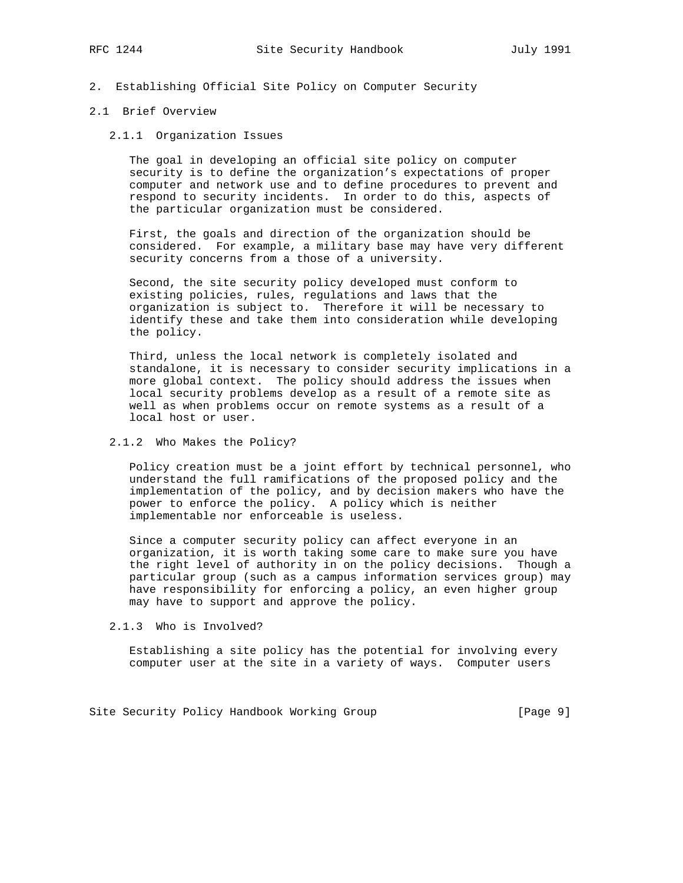- 2. Establishing Official Site Policy on Computer Security
- 2.1 Brief Overview
	- 2.1.1 Organization Issues

 The goal in developing an official site policy on computer security is to define the organization's expectations of proper computer and network use and to define procedures to prevent and respond to security incidents. In order to do this, aspects of the particular organization must be considered.

 First, the goals and direction of the organization should be considered. For example, a military base may have very different security concerns from a those of a university.

 Second, the site security policy developed must conform to existing policies, rules, regulations and laws that the organization is subject to. Therefore it will be necessary to identify these and take them into consideration while developing the policy.

 Third, unless the local network is completely isolated and standalone, it is necessary to consider security implications in a more global context. The policy should address the issues when local security problems develop as a result of a remote site as well as when problems occur on remote systems as a result of a local host or user.

2.1.2 Who Makes the Policy?

 Policy creation must be a joint effort by technical personnel, who understand the full ramifications of the proposed policy and the implementation of the policy, and by decision makers who have the power to enforce the policy. A policy which is neither implementable nor enforceable is useless.

 Since a computer security policy can affect everyone in an organization, it is worth taking some care to make sure you have the right level of authority in on the policy decisions. Though a particular group (such as a campus information services group) may have responsibility for enforcing a policy, an even higher group may have to support and approve the policy.

2.1.3 Who is Involved?

 Establishing a site policy has the potential for involving every computer user at the site in a variety of ways. Computer users

Site Security Policy Handbook Working Group [Page 9]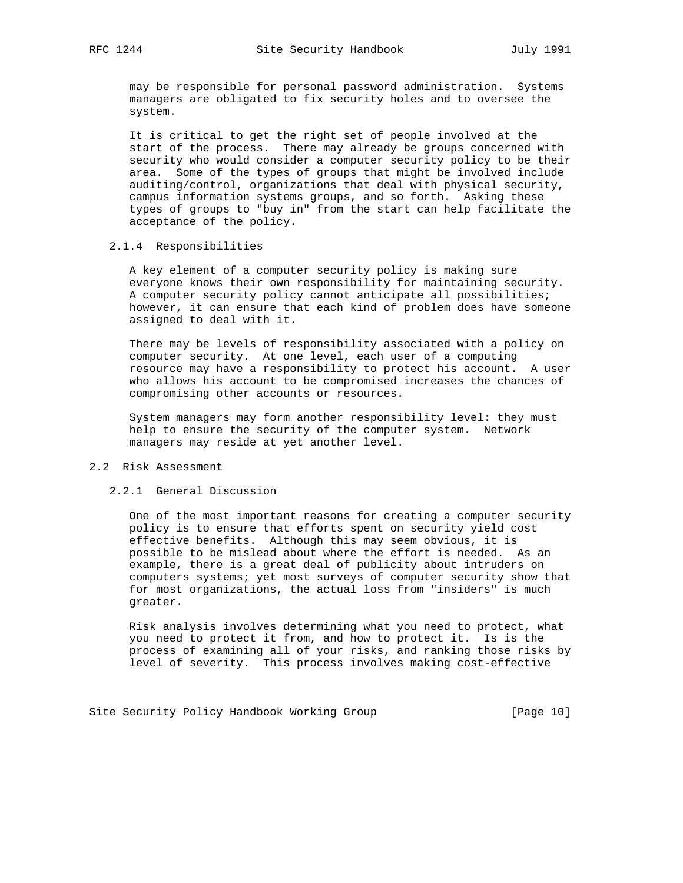may be responsible for personal password administration. Systems managers are obligated to fix security holes and to oversee the system.

 It is critical to get the right set of people involved at the start of the process. There may already be groups concerned with security who would consider a computer security policy to be their area. Some of the types of groups that might be involved include auditing/control, organizations that deal with physical security, campus information systems groups, and so forth. Asking these types of groups to "buy in" from the start can help facilitate the acceptance of the policy.

## 2.1.4 Responsibilities

 A key element of a computer security policy is making sure everyone knows their own responsibility for maintaining security. A computer security policy cannot anticipate all possibilities; however, it can ensure that each kind of problem does have someone assigned to deal with it.

 There may be levels of responsibility associated with a policy on computer security. At one level, each user of a computing resource may have a responsibility to protect his account. A user who allows his account to be compromised increases the chances of compromising other accounts or resources.

 System managers may form another responsibility level: they must help to ensure the security of the computer system. Network managers may reside at yet another level.

## 2.2 Risk Assessment

## 2.2.1 General Discussion

 One of the most important reasons for creating a computer security policy is to ensure that efforts spent on security yield cost effective benefits. Although this may seem obvious, it is possible to be mislead about where the effort is needed. As an example, there is a great deal of publicity about intruders on computers systems; yet most surveys of computer security show that for most organizations, the actual loss from "insiders" is much greater.

 Risk analysis involves determining what you need to protect, what you need to protect it from, and how to protect it. Is is the process of examining all of your risks, and ranking those risks by level of severity. This process involves making cost-effective

Site Security Policy Handbook Working Group [Page 10]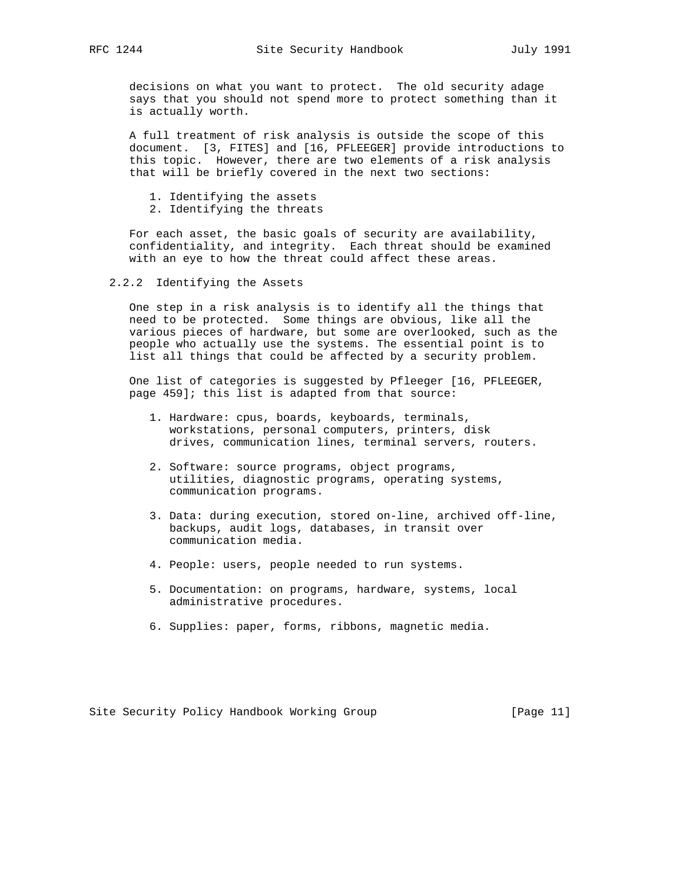decisions on what you want to protect. The old security adage says that you should not spend more to protect something than it is actually worth.

 A full treatment of risk analysis is outside the scope of this document. [3, FITES] and [16, PFLEEGER] provide introductions to this topic. However, there are two elements of a risk analysis that will be briefly covered in the next two sections:

- 1. Identifying the assets
- 2. Identifying the threats

 For each asset, the basic goals of security are availability, confidentiality, and integrity. Each threat should be examined with an eye to how the threat could affect these areas.

2.2.2 Identifying the Assets

 One step in a risk analysis is to identify all the things that need to be protected. Some things are obvious, like all the various pieces of hardware, but some are overlooked, such as the people who actually use the systems. The essential point is to list all things that could be affected by a security problem.

 One list of categories is suggested by Pfleeger [16, PFLEEGER, page 459]; this list is adapted from that source:

- 1. Hardware: cpus, boards, keyboards, terminals, workstations, personal computers, printers, disk drives, communication lines, terminal servers, routers.
- 2. Software: source programs, object programs, utilities, diagnostic programs, operating systems, communication programs.
- 3. Data: during execution, stored on-line, archived off-line, backups, audit logs, databases, in transit over communication media.
- 4. People: users, people needed to run systems.
- 5. Documentation: on programs, hardware, systems, local administrative procedures.
- 6. Supplies: paper, forms, ribbons, magnetic media.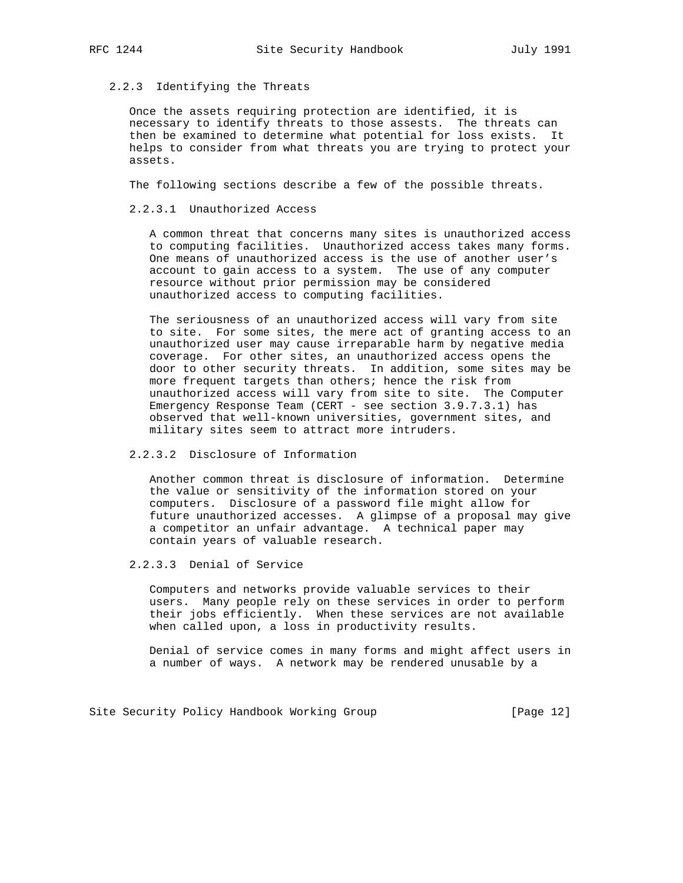# 2.2.3 Identifying the Threats

 Once the assets requiring protection are identified, it is necessary to identify threats to those assests. The threats can then be examined to determine what potential for loss exists. It helps to consider from what threats you are trying to protect your assets.

The following sections describe a few of the possible threats.

#### 2.2.3.1 Unauthorized Access

 A common threat that concerns many sites is unauthorized access to computing facilities. Unauthorized access takes many forms. One means of unauthorized access is the use of another user's account to gain access to a system. The use of any computer resource without prior permission may be considered unauthorized access to computing facilities.

 The seriousness of an unauthorized access will vary from site to site. For some sites, the mere act of granting access to an unauthorized user may cause irreparable harm by negative media coverage. For other sites, an unauthorized access opens the door to other security threats. In addition, some sites may be more frequent targets than others; hence the risk from unauthorized access will vary from site to site. The Computer Emergency Response Team (CERT - see section 3.9.7.3.1) has observed that well-known universities, government sites, and military sites seem to attract more intruders.

# 2.2.3.2 Disclosure of Information

 Another common threat is disclosure of information. Determine the value or sensitivity of the information stored on your computers. Disclosure of a password file might allow for future unauthorized accesses. A glimpse of a proposal may give a competitor an unfair advantage. A technical paper may contain years of valuable research.

2.2.3.3 Denial of Service

 Computers and networks provide valuable services to their users. Many people rely on these services in order to perform their jobs efficiently. When these services are not available when called upon, a loss in productivity results.

 Denial of service comes in many forms and might affect users in a number of ways. A network may be rendered unusable by a

Site Security Policy Handbook Working Group [Page 12]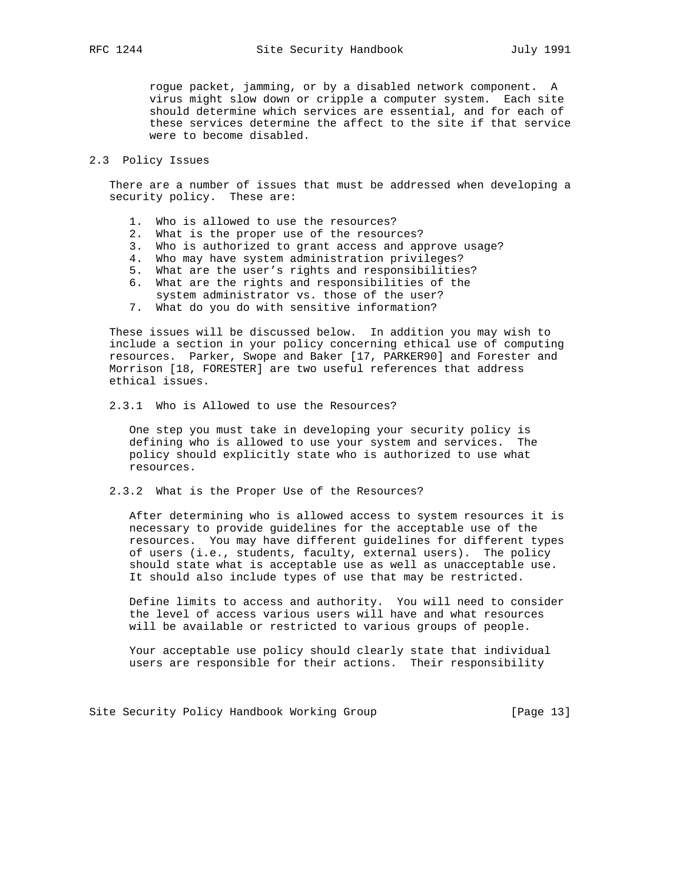rogue packet, jamming, or by a disabled network component. A virus might slow down or cripple a computer system. Each site should determine which services are essential, and for each of these services determine the affect to the site if that service were to become disabled.

## 2.3 Policy Issues

 There are a number of issues that must be addressed when developing a security policy. These are:

- 1. Who is allowed to use the resources?
- 2. What is the proper use of the resources?
- 3. Who is authorized to grant access and approve usage?
- 4. Who may have system administration privileges?
- 5. What are the user's rights and responsibilities?
- 6. What are the rights and responsibilities of the
- system administrator vs. those of the user?
- 7. What do you do with sensitive information?

 These issues will be discussed below. In addition you may wish to include a section in your policy concerning ethical use of computing resources. Parker, Swope and Baker [17, PARKER90] and Forester and Morrison [18, FORESTER] are two useful references that address ethical issues.

2.3.1 Who is Allowed to use the Resources?

 One step you must take in developing your security policy is defining who is allowed to use your system and services. The policy should explicitly state who is authorized to use what resources.

2.3.2 What is the Proper Use of the Resources?

 After determining who is allowed access to system resources it is necessary to provide guidelines for the acceptable use of the resources. You may have different guidelines for different types of users (i.e., students, faculty, external users). The policy should state what is acceptable use as well as unacceptable use. It should also include types of use that may be restricted.

 Define limits to access and authority. You will need to consider the level of access various users will have and what resources will be available or restricted to various groups of people.

 Your acceptable use policy should clearly state that individual users are responsible for their actions. Their responsibility

Site Security Policy Handbook Working Group [Page 13]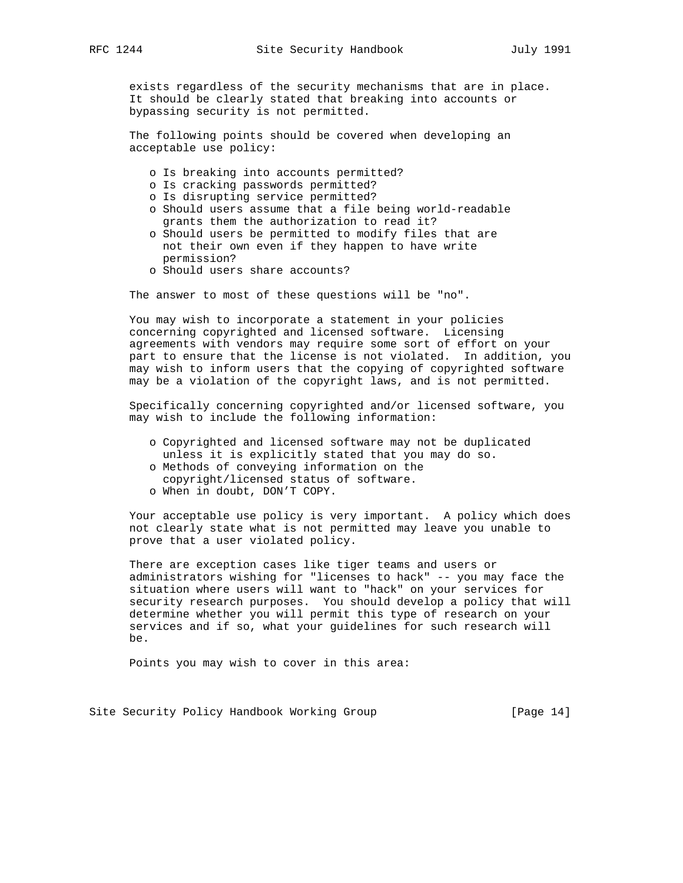exists regardless of the security mechanisms that are in place. It should be clearly stated that breaking into accounts or bypassing security is not permitted.

 The following points should be covered when developing an acceptable use policy:

- o Is breaking into accounts permitted?
- o Is cracking passwords permitted?
- o Is disrupting service permitted?
- o Should users assume that a file being world-readable grants them the authorization to read it?
- o Should users be permitted to modify files that are not their own even if they happen to have write permission?
- o Should users share accounts?

The answer to most of these questions will be "no".

 You may wish to incorporate a statement in your policies concerning copyrighted and licensed software. Licensing agreements with vendors may require some sort of effort on your part to ensure that the license is not violated. In addition, you may wish to inform users that the copying of copyrighted software may be a violation of the copyright laws, and is not permitted.

 Specifically concerning copyrighted and/or licensed software, you may wish to include the following information:

- o Copyrighted and licensed software may not be duplicated unless it is explicitly stated that you may do so.
- o Methods of conveying information on the copyright/licensed status of software.
- o When in doubt, DON'T COPY.

 Your acceptable use policy is very important. A policy which does not clearly state what is not permitted may leave you unable to prove that a user violated policy.

 There are exception cases like tiger teams and users or administrators wishing for "licenses to hack" -- you may face the situation where users will want to "hack" on your services for security research purposes. You should develop a policy that will determine whether you will permit this type of research on your services and if so, what your guidelines for such research will be.

Points you may wish to cover in this area:

Site Security Policy Handbook Working Group [Page 14]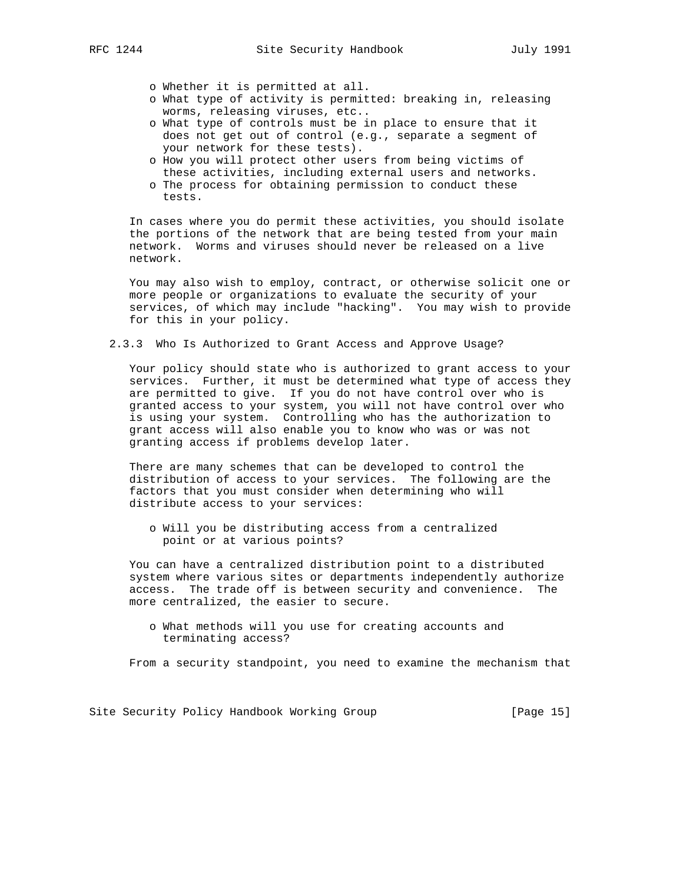- o Whether it is permitted at all.
- o What type of activity is permitted: breaking in, releasing worms, releasing viruses, etc..
- o What type of controls must be in place to ensure that it does not get out of control (e.g., separate a segment of your network for these tests).
- o How you will protect other users from being victims of these activities, including external users and networks. o The process for obtaining permission to conduct these
	- tests.

 In cases where you do permit these activities, you should isolate the portions of the network that are being tested from your main network. Worms and viruses should never be released on a live network.

 You may also wish to employ, contract, or otherwise solicit one or more people or organizations to evaluate the security of your services, of which may include "hacking". You may wish to provide for this in your policy.

2.3.3 Who Is Authorized to Grant Access and Approve Usage?

 Your policy should state who is authorized to grant access to your services. Further, it must be determined what type of access they are permitted to give. If you do not have control over who is granted access to your system, you will not have control over who is using your system. Controlling who has the authorization to grant access will also enable you to know who was or was not granting access if problems develop later.

 There are many schemes that can be developed to control the distribution of access to your services. The following are the factors that you must consider when determining who will distribute access to your services:

 o Will you be distributing access from a centralized point or at various points?

 You can have a centralized distribution point to a distributed system where various sites or departments independently authorize access. The trade off is between security and convenience. The more centralized, the easier to secure.

 o What methods will you use for creating accounts and terminating access?

From a security standpoint, you need to examine the mechanism that

Site Security Policy Handbook Working Group [Page 15]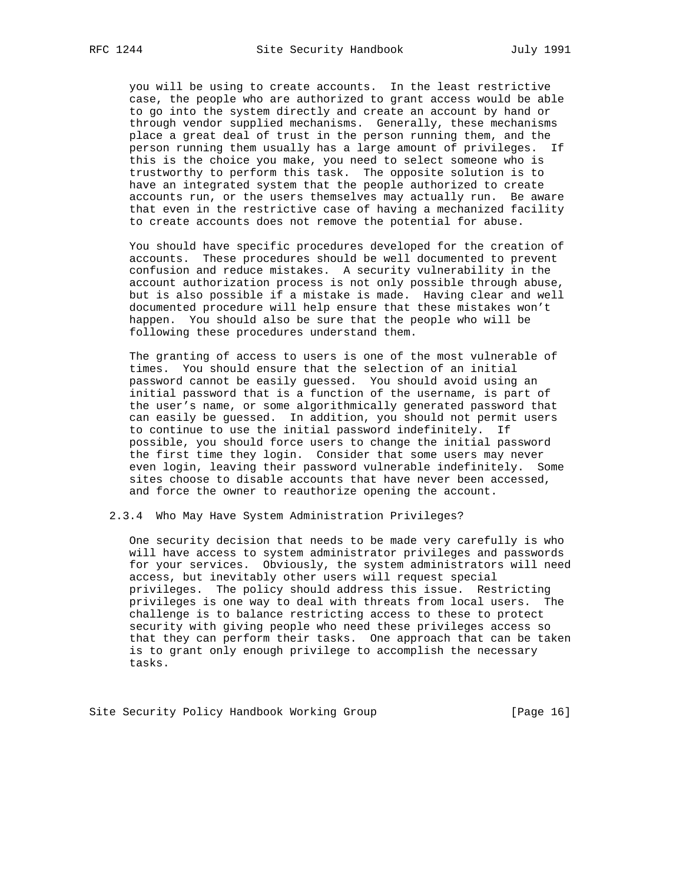you will be using to create accounts. In the least restrictive case, the people who are authorized to grant access would be able to go into the system directly and create an account by hand or through vendor supplied mechanisms. Generally, these mechanisms place a great deal of trust in the person running them, and the person running them usually has a large amount of privileges. If this is the choice you make, you need to select someone who is trustworthy to perform this task. The opposite solution is to have an integrated system that the people authorized to create accounts run, or the users themselves may actually run. Be aware that even in the restrictive case of having a mechanized facility to create accounts does not remove the potential for abuse.

 You should have specific procedures developed for the creation of accounts. These procedures should be well documented to prevent confusion and reduce mistakes. A security vulnerability in the account authorization process is not only possible through abuse, but is also possible if a mistake is made. Having clear and well documented procedure will help ensure that these mistakes won't happen. You should also be sure that the people who will be following these procedures understand them.

 The granting of access to users is one of the most vulnerable of times. You should ensure that the selection of an initial password cannot be easily guessed. You should avoid using an initial password that is a function of the username, is part of the user's name, or some algorithmically generated password that can easily be guessed. In addition, you should not permit users to continue to use the initial password indefinitely. If possible, you should force users to change the initial password the first time they login. Consider that some users may never even login, leaving their password vulnerable indefinitely. Some sites choose to disable accounts that have never been accessed, and force the owner to reauthorize opening the account.

2.3.4 Who May Have System Administration Privileges?

 One security decision that needs to be made very carefully is who will have access to system administrator privileges and passwords for your services. Obviously, the system administrators will need access, but inevitably other users will request special privileges. The policy should address this issue. Restricting privileges is one way to deal with threats from local users. The challenge is to balance restricting access to these to protect security with giving people who need these privileges access so that they can perform their tasks. One approach that can be taken is to grant only enough privilege to accomplish the necessary tasks.

Site Security Policy Handbook Working Group [Page 16]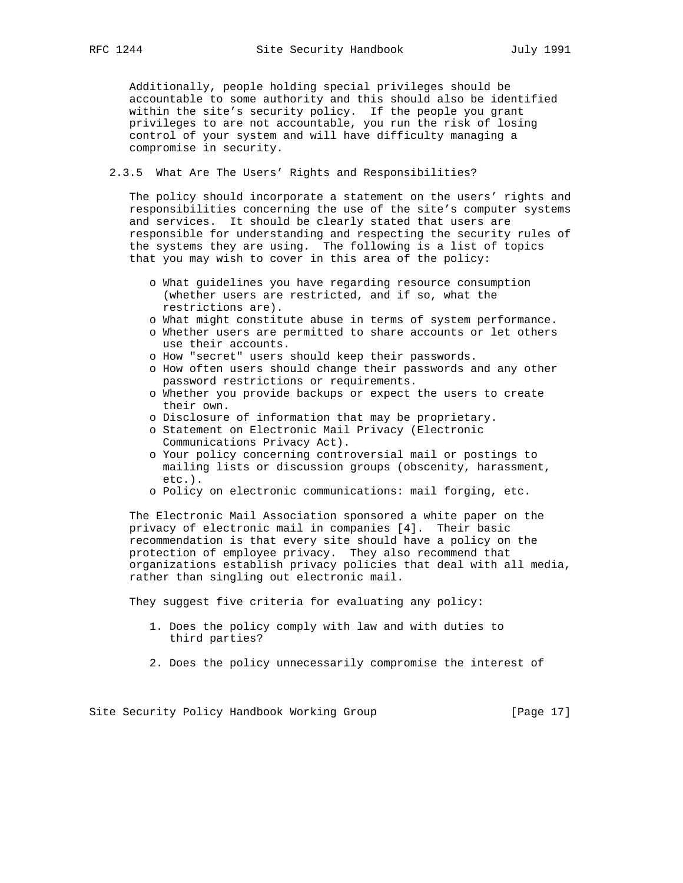Additionally, people holding special privileges should be accountable to some authority and this should also be identified within the site's security policy. If the people you grant privileges to are not accountable, you run the risk of losing control of your system and will have difficulty managing a compromise in security.

## 2.3.5 What Are The Users' Rights and Responsibilities?

 The policy should incorporate a statement on the users' rights and responsibilities concerning the use of the site's computer systems and services. It should be clearly stated that users are responsible for understanding and respecting the security rules of the systems they are using. The following is a list of topics that you may wish to cover in this area of the policy:

- o What guidelines you have regarding resource consumption (whether users are restricted, and if so, what the restrictions are).
- o What might constitute abuse in terms of system performance.
- o Whether users are permitted to share accounts or let others use their accounts.
- o How "secret" users should keep their passwords.
- o How often users should change their passwords and any other password restrictions or requirements.
- o Whether you provide backups or expect the users to create their own.
- o Disclosure of information that may be proprietary.
- o Statement on Electronic Mail Privacy (Electronic Communications Privacy Act).
- o Your policy concerning controversial mail or postings to mailing lists or discussion groups (obscenity, harassment, etc.).
- o Policy on electronic communications: mail forging, etc.

 The Electronic Mail Association sponsored a white paper on the privacy of electronic mail in companies [4]. Their basic recommendation is that every site should have a policy on the protection of employee privacy. They also recommend that organizations establish privacy policies that deal with all media, rather than singling out electronic mail.

They suggest five criteria for evaluating any policy:

- 1. Does the policy comply with law and with duties to third parties?
- 2. Does the policy unnecessarily compromise the interest of

Site Security Policy Handbook Working Group [Page 17]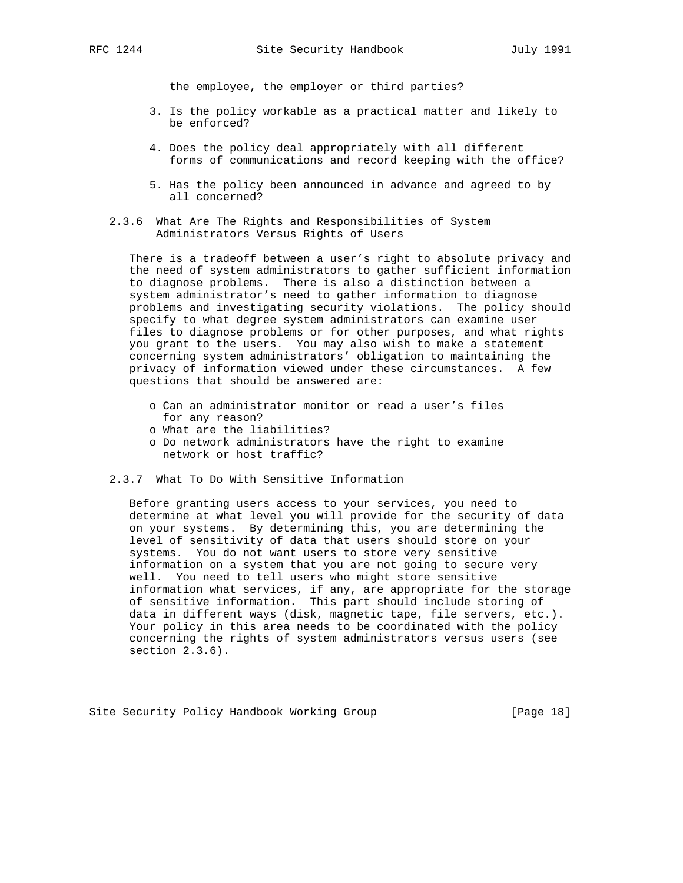the employee, the employer or third parties?

- 3. Is the policy workable as a practical matter and likely to be enforced?
- 4. Does the policy deal appropriately with all different forms of communications and record keeping with the office?
- 5. Has the policy been announced in advance and agreed to by all concerned?
- 2.3.6 What Are The Rights and Responsibilities of System Administrators Versus Rights of Users

 There is a tradeoff between a user's right to absolute privacy and the need of system administrators to gather sufficient information to diagnose problems. There is also a distinction between a system administrator's need to gather information to diagnose problems and investigating security violations. The policy should specify to what degree system administrators can examine user files to diagnose problems or for other purposes, and what rights you grant to the users. You may also wish to make a statement concerning system administrators' obligation to maintaining the privacy of information viewed under these circumstances. A few questions that should be answered are:

- o Can an administrator monitor or read a user's files for any reason?
- o What are the liabilities?
- o Do network administrators have the right to examine network or host traffic?
- 2.3.7 What To Do With Sensitive Information

 Before granting users access to your services, you need to determine at what level you will provide for the security of data on your systems. By determining this, you are determining the level of sensitivity of data that users should store on your systems. You do not want users to store very sensitive information on a system that you are not going to secure very well. You need to tell users who might store sensitive information what services, if any, are appropriate for the storage of sensitive information. This part should include storing of data in different ways (disk, magnetic tape, file servers, etc.). Your policy in this area needs to be coordinated with the policy concerning the rights of system administrators versus users (see section 2.3.6).

Site Security Policy Handbook Working Group [Page 18]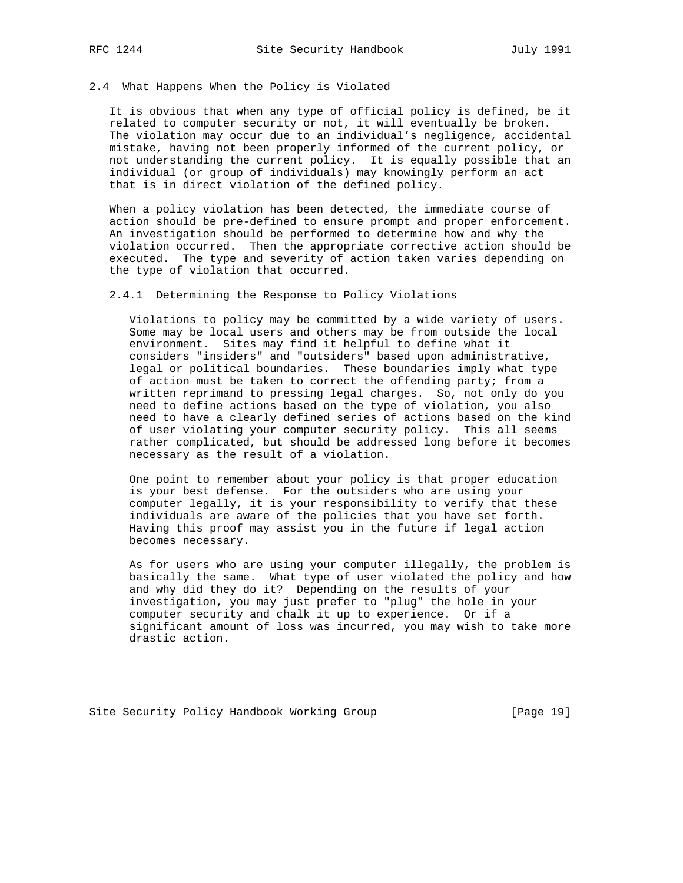## 2.4 What Happens When the Policy is Violated

 It is obvious that when any type of official policy is defined, be it related to computer security or not, it will eventually be broken. The violation may occur due to an individual's negligence, accidental mistake, having not been properly informed of the current policy, or not understanding the current policy. It is equally possible that an individual (or group of individuals) may knowingly perform an act that is in direct violation of the defined policy.

 When a policy violation has been detected, the immediate course of action should be pre-defined to ensure prompt and proper enforcement. An investigation should be performed to determine how and why the violation occurred. Then the appropriate corrective action should be executed. The type and severity of action taken varies depending on the type of violation that occurred.

#### 2.4.1 Determining the Response to Policy Violations

 Violations to policy may be committed by a wide variety of users. Some may be local users and others may be from outside the local environment. Sites may find it helpful to define what it considers "insiders" and "outsiders" based upon administrative, legal or political boundaries. These boundaries imply what type of action must be taken to correct the offending party; from a written reprimand to pressing legal charges. So, not only do you need to define actions based on the type of violation, you also need to have a clearly defined series of actions based on the kind of user violating your computer security policy. This all seems rather complicated, but should be addressed long before it becomes necessary as the result of a violation.

 One point to remember about your policy is that proper education is your best defense. For the outsiders who are using your computer legally, it is your responsibility to verify that these individuals are aware of the policies that you have set forth. Having this proof may assist you in the future if legal action becomes necessary.

 As for users who are using your computer illegally, the problem is basically the same. What type of user violated the policy and how and why did they do it? Depending on the results of your investigation, you may just prefer to "plug" the hole in your computer security and chalk it up to experience. Or if a significant amount of loss was incurred, you may wish to take more drastic action.

Site Security Policy Handbook Working Group [Page 19]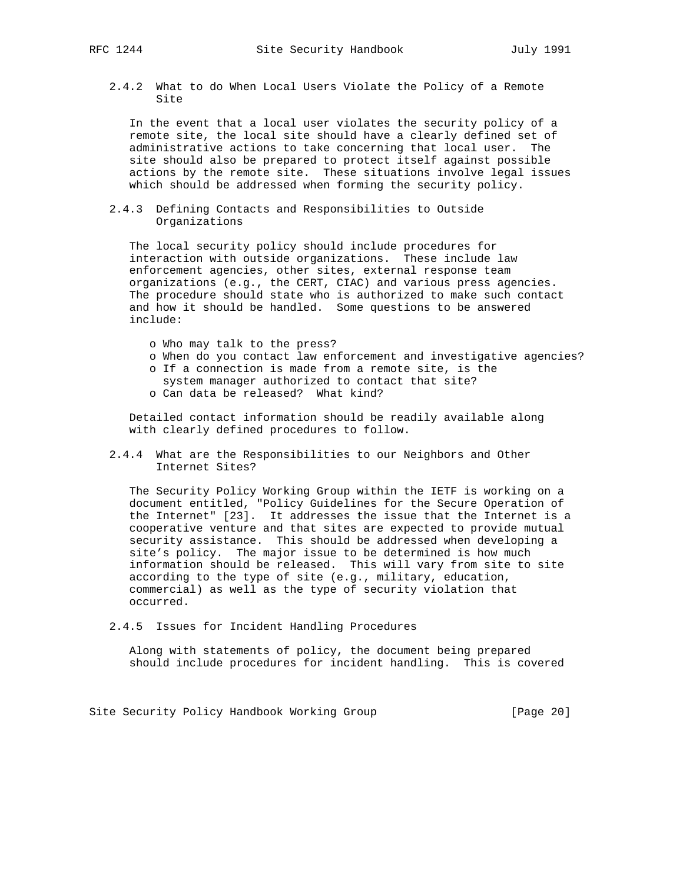2.4.2 What to do When Local Users Violate the Policy of a Remote Site

 In the event that a local user violates the security policy of a remote site, the local site should have a clearly defined set of administrative actions to take concerning that local user. The site should also be prepared to protect itself against possible actions by the remote site. These situations involve legal issues which should be addressed when forming the security policy.

 2.4.3 Defining Contacts and Responsibilities to Outside Organizations

 The local security policy should include procedures for interaction with outside organizations. These include law enforcement agencies, other sites, external response team organizations (e.g., the CERT, CIAC) and various press agencies. The procedure should state who is authorized to make such contact and how it should be handled. Some questions to be answered include:

- o Who may talk to the press?
- o When do you contact law enforcement and investigative agencies?
- o If a connection is made from a remote site, is the system manager authorized to contact that site?
- o Can data be released? What kind?

 Detailed contact information should be readily available along with clearly defined procedures to follow.

 2.4.4 What are the Responsibilities to our Neighbors and Other Internet Sites?

 The Security Policy Working Group within the IETF is working on a document entitled, "Policy Guidelines for the Secure Operation of the Internet" [23]. It addresses the issue that the Internet is a cooperative venture and that sites are expected to provide mutual security assistance. This should be addressed when developing a site's policy. The major issue to be determined is how much information should be released. This will vary from site to site according to the type of site (e.g., military, education, commercial) as well as the type of security violation that occurred.

2.4.5 Issues for Incident Handling Procedures

 Along with statements of policy, the document being prepared should include procedures for incident handling. This is covered

Site Security Policy Handbook Working Group [Page 20]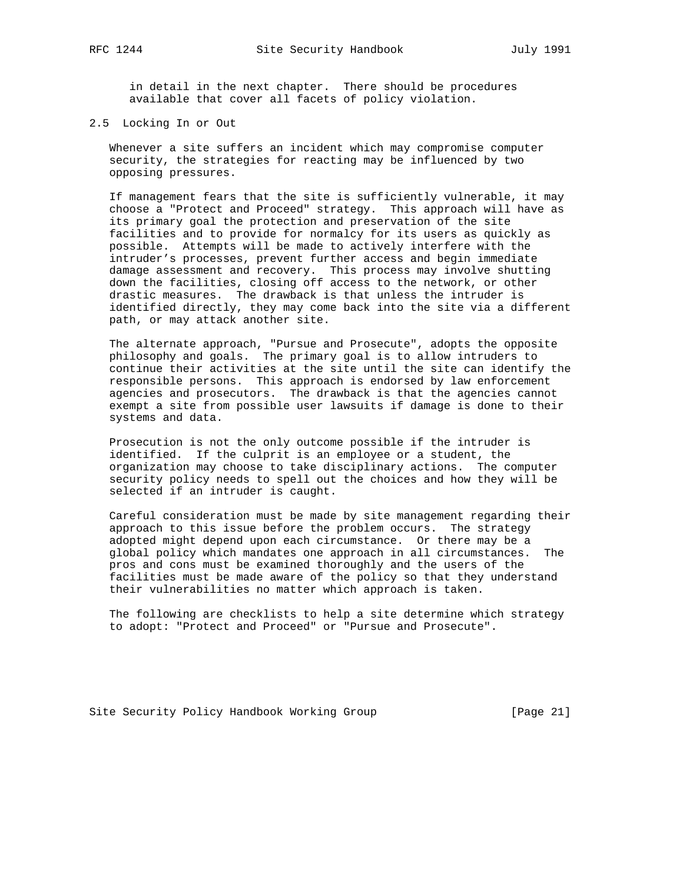in detail in the next chapter. There should be procedures available that cover all facets of policy violation.

## 2.5 Locking In or Out

 Whenever a site suffers an incident which may compromise computer security, the strategies for reacting may be influenced by two opposing pressures.

 If management fears that the site is sufficiently vulnerable, it may choose a "Protect and Proceed" strategy. This approach will have as its primary goal the protection and preservation of the site facilities and to provide for normalcy for its users as quickly as possible. Attempts will be made to actively interfere with the intruder's processes, prevent further access and begin immediate damage assessment and recovery. This process may involve shutting down the facilities, closing off access to the network, or other drastic measures. The drawback is that unless the intruder is identified directly, they may come back into the site via a different path, or may attack another site.

 The alternate approach, "Pursue and Prosecute", adopts the opposite philosophy and goals. The primary goal is to allow intruders to continue their activities at the site until the site can identify the responsible persons. This approach is endorsed by law enforcement agencies and prosecutors. The drawback is that the agencies cannot exempt a site from possible user lawsuits if damage is done to their systems and data.

 Prosecution is not the only outcome possible if the intruder is identified. If the culprit is an employee or a student, the organization may choose to take disciplinary actions. The computer security policy needs to spell out the choices and how they will be selected if an intruder is caught.

 Careful consideration must be made by site management regarding their approach to this issue before the problem occurs. The strategy adopted might depend upon each circumstance. Or there may be a global policy which mandates one approach in all circumstances. The pros and cons must be examined thoroughly and the users of the facilities must be made aware of the policy so that they understand their vulnerabilities no matter which approach is taken.

 The following are checklists to help a site determine which strategy to adopt: "Protect and Proceed" or "Pursue and Prosecute".

Site Security Policy Handbook Working Group [Page 21]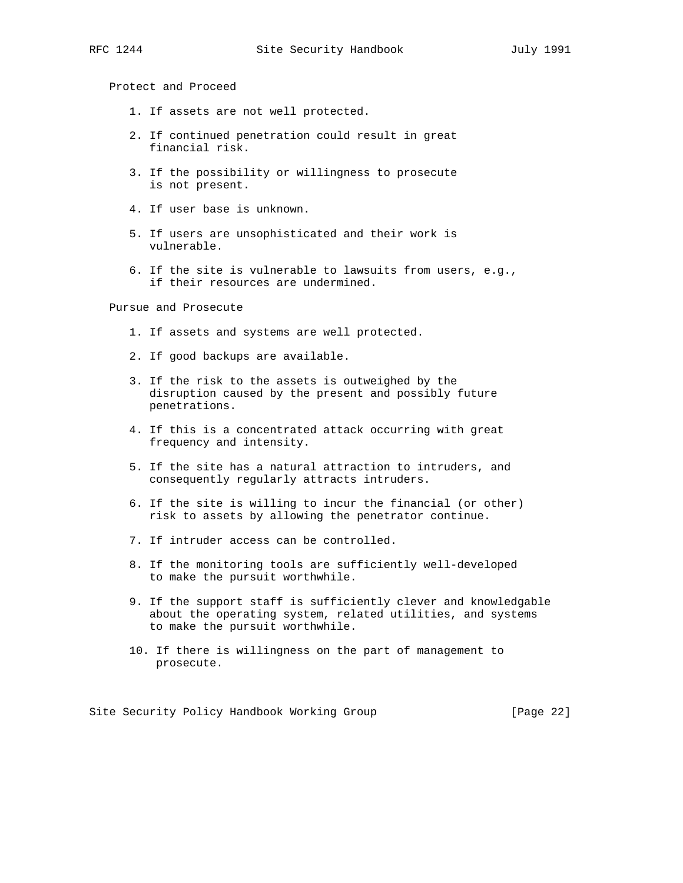Protect and Proceed

- 1. If assets are not well protected.
- 2. If continued penetration could result in great financial risk.
- 3. If the possibility or willingness to prosecute is not present.
- 4. If user base is unknown.
- 5. If users are unsophisticated and their work is vulnerable.
- 6. If the site is vulnerable to lawsuits from users, e.g., if their resources are undermined.

## Pursue and Prosecute

- 1. If assets and systems are well protected.
- 2. If good backups are available.
- 3. If the risk to the assets is outweighed by the disruption caused by the present and possibly future penetrations.
- 4. If this is a concentrated attack occurring with great frequency and intensity.
- 5. If the site has a natural attraction to intruders, and consequently regularly attracts intruders.
- 6. If the site is willing to incur the financial (or other) risk to assets by allowing the penetrator continue.
- 7. If intruder access can be controlled.
- 8. If the monitoring tools are sufficiently well-developed to make the pursuit worthwhile.
- 9. If the support staff is sufficiently clever and knowledgable about the operating system, related utilities, and systems to make the pursuit worthwhile.
- 10. If there is willingness on the part of management to prosecute.

Site Security Policy Handbook Working Group [Page 22]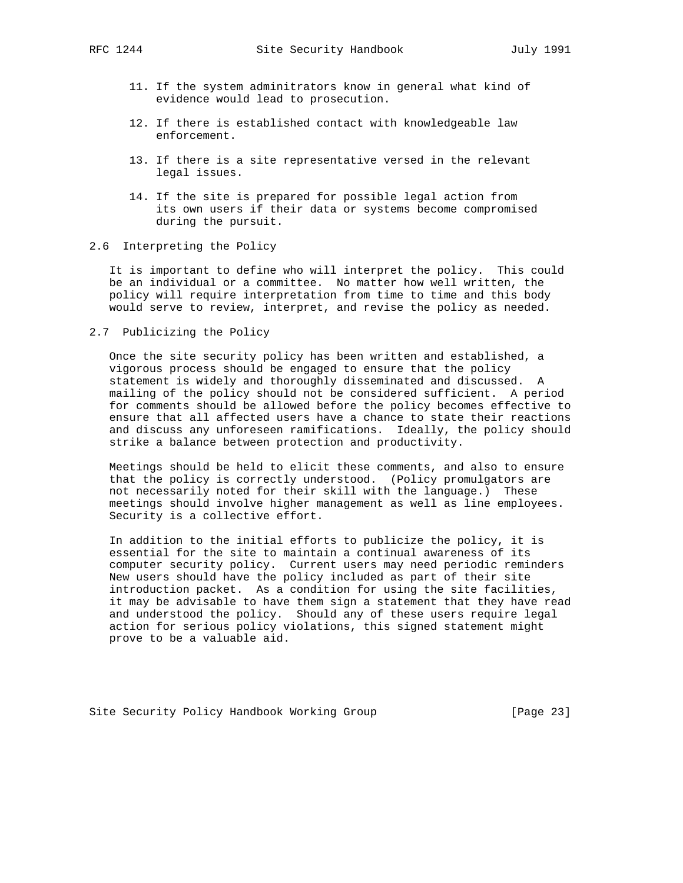- 11. If the system adminitrators know in general what kind of evidence would lead to prosecution.
- 12. If there is established contact with knowledgeable law enforcement.
- 13. If there is a site representative versed in the relevant legal issues.
- 14. If the site is prepared for possible legal action from its own users if their data or systems become compromised during the pursuit.
- 2.6 Interpreting the Policy

 It is important to define who will interpret the policy. This could be an individual or a committee. No matter how well written, the policy will require interpretation from time to time and this body would serve to review, interpret, and revise the policy as needed.

2.7 Publicizing the Policy

 Once the site security policy has been written and established, a vigorous process should be engaged to ensure that the policy statement is widely and thoroughly disseminated and discussed. A mailing of the policy should not be considered sufficient. A period for comments should be allowed before the policy becomes effective to ensure that all affected users have a chance to state their reactions and discuss any unforeseen ramifications. Ideally, the policy should strike a balance between protection and productivity.

 Meetings should be held to elicit these comments, and also to ensure that the policy is correctly understood. (Policy promulgators are not necessarily noted for their skill with the language.) These meetings should involve higher management as well as line employees. Security is a collective effort.

 In addition to the initial efforts to publicize the policy, it is essential for the site to maintain a continual awareness of its computer security policy. Current users may need periodic reminders New users should have the policy included as part of their site introduction packet. As a condition for using the site facilities, it may be advisable to have them sign a statement that they have read and understood the policy. Should any of these users require legal action for serious policy violations, this signed statement might prove to be a valuable aid.

Site Security Policy Handbook Working Group [Page 23]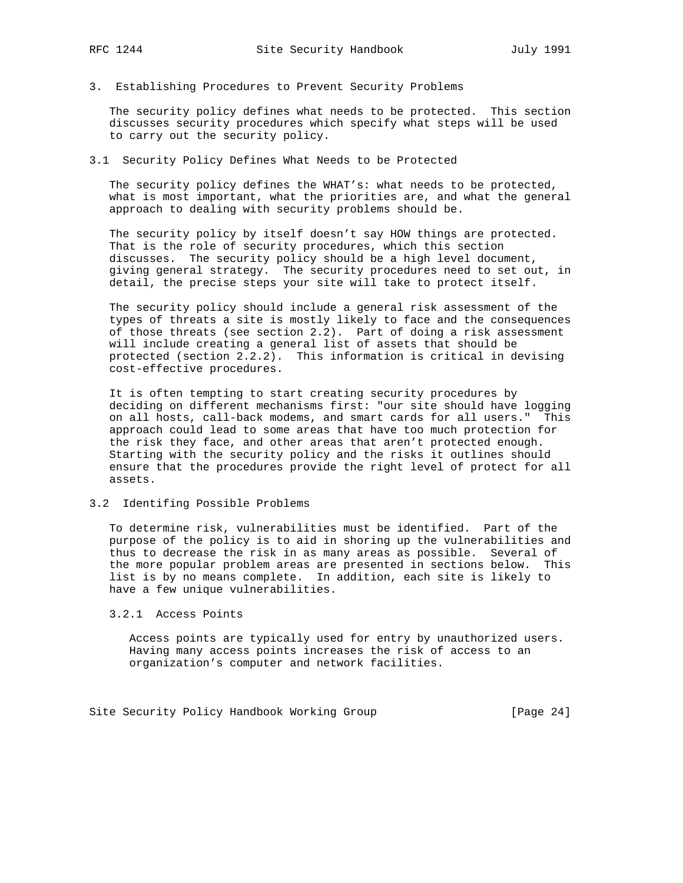3. Establishing Procedures to Prevent Security Problems

 The security policy defines what needs to be protected. This section discusses security procedures which specify what steps will be used to carry out the security policy.

## 3.1 Security Policy Defines What Needs to be Protected

 The security policy defines the WHAT's: what needs to be protected, what is most important, what the priorities are, and what the general approach to dealing with security problems should be.

 The security policy by itself doesn't say HOW things are protected. That is the role of security procedures, which this section discusses. The security policy should be a high level document, giving general strategy. The security procedures need to set out, in detail, the precise steps your site will take to protect itself.

 The security policy should include a general risk assessment of the types of threats a site is mostly likely to face and the consequences of those threats (see section 2.2). Part of doing a risk assessment will include creating a general list of assets that should be protected (section 2.2.2). This information is critical in devising cost-effective procedures.

 It is often tempting to start creating security procedures by deciding on different mechanisms first: "our site should have logging on all hosts, call-back modems, and smart cards for all users." This approach could lead to some areas that have too much protection for the risk they face, and other areas that aren't protected enough. Starting with the security policy and the risks it outlines should ensure that the procedures provide the right level of protect for all assets.

## 3.2 Identifing Possible Problems

 To determine risk, vulnerabilities must be identified. Part of the purpose of the policy is to aid in shoring up the vulnerabilities and thus to decrease the risk in as many areas as possible. Several of the more popular problem areas are presented in sections below. This list is by no means complete. In addition, each site is likely to have a few unique vulnerabilities.

3.2.1 Access Points

 Access points are typically used for entry by unauthorized users. Having many access points increases the risk of access to an organization's computer and network facilities.

Site Security Policy Handbook Working Group [Page 24]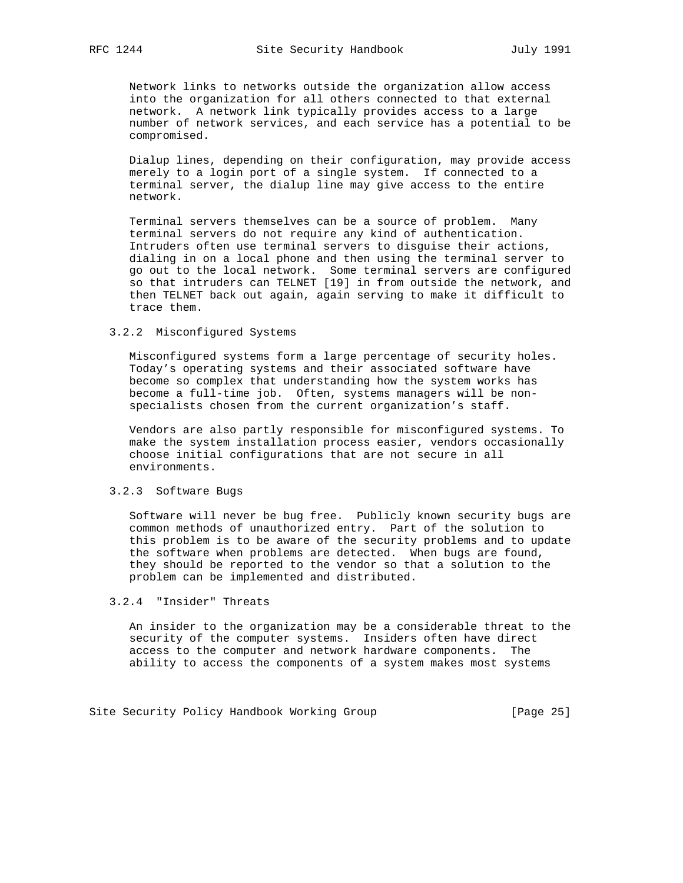Network links to networks outside the organization allow access into the organization for all others connected to that external network. A network link typically provides access to a large number of network services, and each service has a potential to be compromised.

 Dialup lines, depending on their configuration, may provide access merely to a login port of a single system. If connected to a terminal server, the dialup line may give access to the entire network.

 Terminal servers themselves can be a source of problem. Many terminal servers do not require any kind of authentication. Intruders often use terminal servers to disguise their actions, dialing in on a local phone and then using the terminal server to go out to the local network. Some terminal servers are configured so that intruders can TELNET [19] in from outside the network, and then TELNET back out again, again serving to make it difficult to trace them.

#### 3.2.2 Misconfigured Systems

 Misconfigured systems form a large percentage of security holes. Today's operating systems and their associated software have become so complex that understanding how the system works has become a full-time job. Often, systems managers will be non specialists chosen from the current organization's staff.

 Vendors are also partly responsible for misconfigured systems. To make the system installation process easier, vendors occasionally choose initial configurations that are not secure in all environments.

## 3.2.3 Software Bugs

 Software will never be bug free. Publicly known security bugs are common methods of unauthorized entry. Part of the solution to this problem is to be aware of the security problems and to update the software when problems are detected. When bugs are found, they should be reported to the vendor so that a solution to the problem can be implemented and distributed.

3.2.4 "Insider" Threats

 An insider to the organization may be a considerable threat to the security of the computer systems. Insiders often have direct access to the computer and network hardware components. The ability to access the components of a system makes most systems

Site Security Policy Handbook Working Group [Page 25]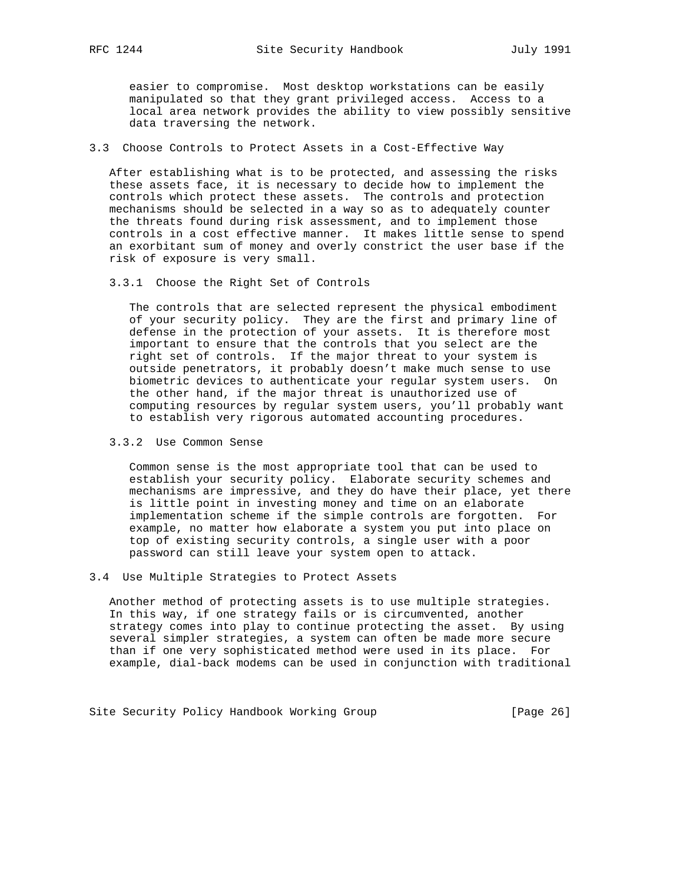easier to compromise. Most desktop workstations can be easily manipulated so that they grant privileged access. Access to a local area network provides the ability to view possibly sensitive data traversing the network.

## 3.3 Choose Controls to Protect Assets in a Cost-Effective Way

 After establishing what is to be protected, and assessing the risks these assets face, it is necessary to decide how to implement the controls which protect these assets. The controls and protection mechanisms should be selected in a way so as to adequately counter the threats found during risk assessment, and to implement those controls in a cost effective manner. It makes little sense to spend an exorbitant sum of money and overly constrict the user base if the risk of exposure is very small.

3.3.1 Choose the Right Set of Controls

 The controls that are selected represent the physical embodiment of your security policy. They are the first and primary line of defense in the protection of your assets. It is therefore most important to ensure that the controls that you select are the right set of controls. If the major threat to your system is outside penetrators, it probably doesn't make much sense to use biometric devices to authenticate your regular system users. On the other hand, if the major threat is unauthorized use of computing resources by regular system users, you'll probably want to establish very rigorous automated accounting procedures.

## 3.3.2 Use Common Sense

 Common sense is the most appropriate tool that can be used to establish your security policy. Elaborate security schemes and mechanisms are impressive, and they do have their place, yet there is little point in investing money and time on an elaborate implementation scheme if the simple controls are forgotten. For example, no matter how elaborate a system you put into place on top of existing security controls, a single user with a poor password can still leave your system open to attack.

3.4 Use Multiple Strategies to Protect Assets

 Another method of protecting assets is to use multiple strategies. In this way, if one strategy fails or is circumvented, another strategy comes into play to continue protecting the asset. By using several simpler strategies, a system can often be made more secure than if one very sophisticated method were used in its place. For example, dial-back modems can be used in conjunction with traditional

Site Security Policy Handbook Working Group [Page 26]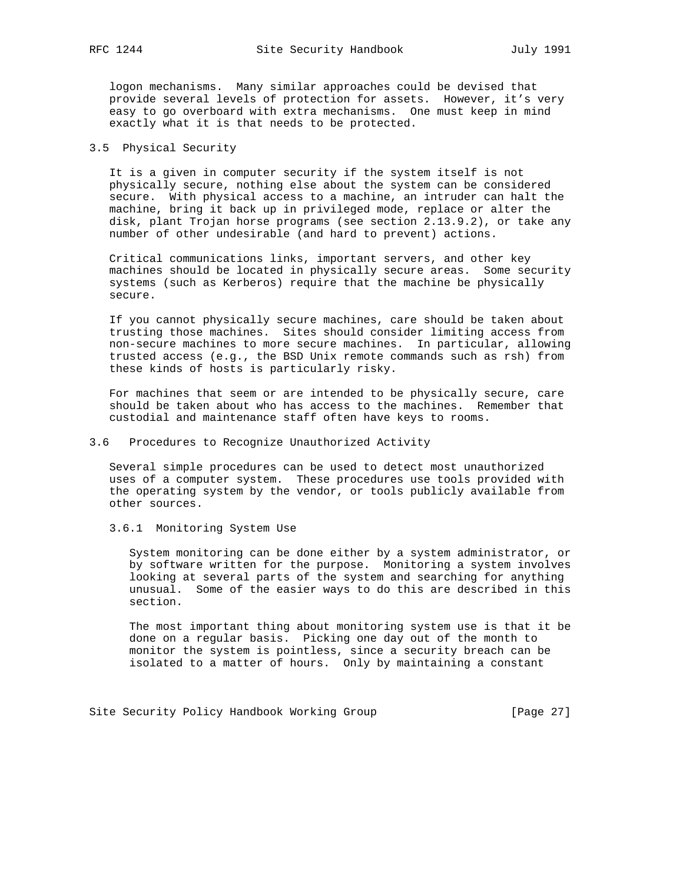logon mechanisms. Many similar approaches could be devised that provide several levels of protection for assets. However, it's very easy to go overboard with extra mechanisms. One must keep in mind exactly what it is that needs to be protected.

# 3.5 Physical Security

 It is a given in computer security if the system itself is not physically secure, nothing else about the system can be considered secure. With physical access to a machine, an intruder can halt the machine, bring it back up in privileged mode, replace or alter the disk, plant Trojan horse programs (see section 2.13.9.2), or take any number of other undesirable (and hard to prevent) actions.

 Critical communications links, important servers, and other key machines should be located in physically secure areas. Some security systems (such as Kerberos) require that the machine be physically secure.

 If you cannot physically secure machines, care should be taken about trusting those machines. Sites should consider limiting access from non-secure machines to more secure machines. In particular, allowing trusted access (e.g., the BSD Unix remote commands such as rsh) from these kinds of hosts is particularly risky.

 For machines that seem or are intended to be physically secure, care should be taken about who has access to the machines. Remember that custodial and maintenance staff often have keys to rooms.

## 3.6 Procedures to Recognize Unauthorized Activity

 Several simple procedures can be used to detect most unauthorized uses of a computer system. These procedures use tools provided with the operating system by the vendor, or tools publicly available from other sources.

3.6.1 Monitoring System Use

 System monitoring can be done either by a system administrator, or by software written for the purpose. Monitoring a system involves looking at several parts of the system and searching for anything unusual. Some of the easier ways to do this are described in this section.

 The most important thing about monitoring system use is that it be done on a regular basis. Picking one day out of the month to monitor the system is pointless, since a security breach can be isolated to a matter of hours. Only by maintaining a constant

Site Security Policy Handbook Working Group [Page 27]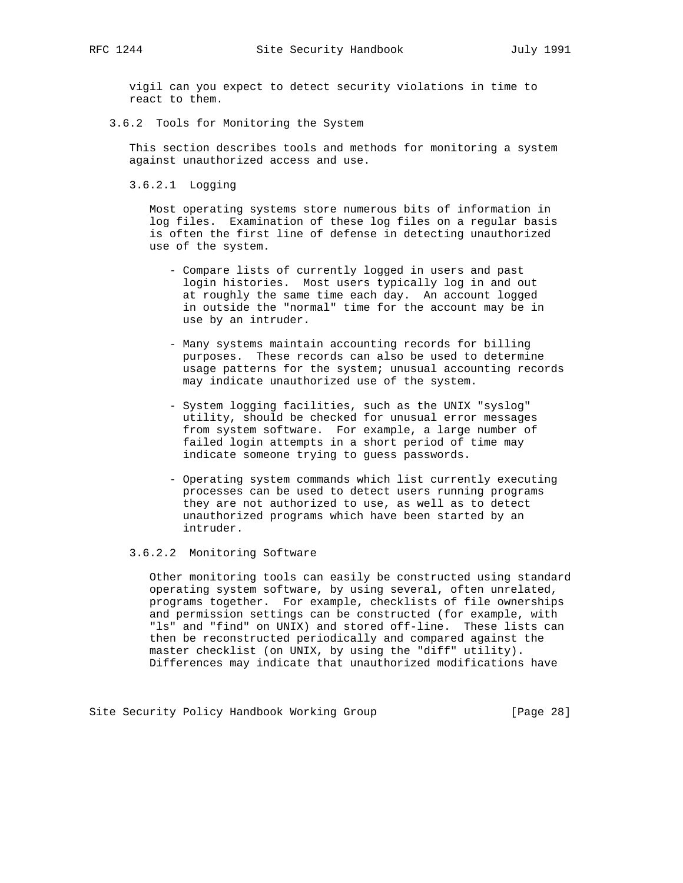vigil can you expect to detect security violations in time to react to them.

3.6.2 Tools for Monitoring the System

 This section describes tools and methods for monitoring a system against unauthorized access and use.

3.6.2.1 Logging

 Most operating systems store numerous bits of information in log files. Examination of these log files on a regular basis is often the first line of defense in detecting unauthorized use of the system.

- Compare lists of currently logged in users and past login histories. Most users typically log in and out at roughly the same time each day. An account logged in outside the "normal" time for the account may be in use by an intruder.
- Many systems maintain accounting records for billing purposes. These records can also be used to determine usage patterns for the system; unusual accounting records may indicate unauthorized use of the system.
- System logging facilities, such as the UNIX "syslog" utility, should be checked for unusual error messages from system software. For example, a large number of failed login attempts in a short period of time may indicate someone trying to guess passwords.
- Operating system commands which list currently executing processes can be used to detect users running programs they are not authorized to use, as well as to detect unauthorized programs which have been started by an intruder.

# 3.6.2.2 Monitoring Software

 Other monitoring tools can easily be constructed using standard operating system software, by using several, often unrelated, programs together. For example, checklists of file ownerships and permission settings can be constructed (for example, with "ls" and "find" on UNIX) and stored off-line. These lists can then be reconstructed periodically and compared against the master checklist (on UNIX, by using the "diff" utility). Differences may indicate that unauthorized modifications have

Site Security Policy Handbook Working Group [Page 28]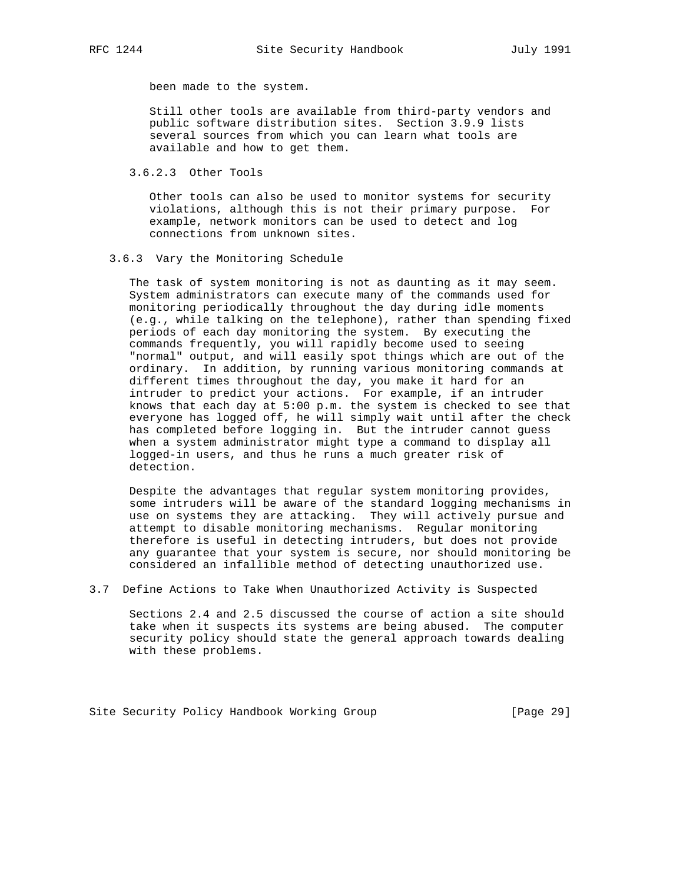been made to the system.

 Still other tools are available from third-party vendors and public software distribution sites. Section 3.9.9 lists several sources from which you can learn what tools are available and how to get them.

3.6.2.3 Other Tools

 Other tools can also be used to monitor systems for security violations, although this is not their primary purpose. For example, network monitors can be used to detect and log connections from unknown sites.

## 3.6.3 Vary the Monitoring Schedule

 The task of system monitoring is not as daunting as it may seem. System administrators can execute many of the commands used for monitoring periodically throughout the day during idle moments (e.g., while talking on the telephone), rather than spending fixed periods of each day monitoring the system. By executing the commands frequently, you will rapidly become used to seeing "normal" output, and will easily spot things which are out of the ordinary. In addition, by running various monitoring commands at different times throughout the day, you make it hard for an intruder to predict your actions. For example, if an intruder knows that each day at 5:00 p.m. the system is checked to see that everyone has logged off, he will simply wait until after the check has completed before logging in. But the intruder cannot guess when a system administrator might type a command to display all logged-in users, and thus he runs a much greater risk of detection.

 Despite the advantages that regular system monitoring provides, some intruders will be aware of the standard logging mechanisms in use on systems they are attacking. They will actively pursue and attempt to disable monitoring mechanisms. Regular monitoring therefore is useful in detecting intruders, but does not provide any guarantee that your system is secure, nor should monitoring be considered an infallible method of detecting unauthorized use.

3.7 Define Actions to Take When Unauthorized Activity is Suspected

 Sections 2.4 and 2.5 discussed the course of action a site should take when it suspects its systems are being abused. The computer security policy should state the general approach towards dealing with these problems.

Site Security Policy Handbook Working Group [Page 29]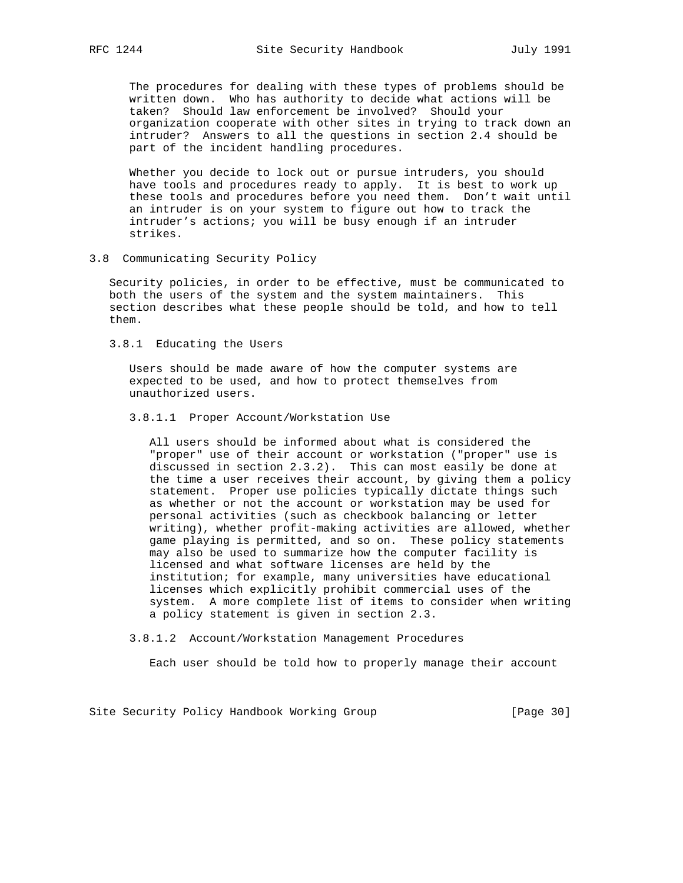The procedures for dealing with these types of problems should be written down. Who has authority to decide what actions will be taken? Should law enforcement be involved? Should your organization cooperate with other sites in trying to track down an intruder? Answers to all the questions in section 2.4 should be part of the incident handling procedures.

 Whether you decide to lock out or pursue intruders, you should have tools and procedures ready to apply. It is best to work up these tools and procedures before you need them. Don't wait until an intruder is on your system to figure out how to track the intruder's actions; you will be busy enough if an intruder strikes.

3.8 Communicating Security Policy

 Security policies, in order to be effective, must be communicated to both the users of the system and the system maintainers. This section describes what these people should be told, and how to tell them.

3.8.1 Educating the Users

 Users should be made aware of how the computer systems are expected to be used, and how to protect themselves from unauthorized users.

3.8.1.1 Proper Account/Workstation Use

 All users should be informed about what is considered the "proper" use of their account or workstation ("proper" use is discussed in section 2.3.2). This can most easily be done at the time a user receives their account, by giving them a policy statement. Proper use policies typically dictate things such as whether or not the account or workstation may be used for personal activities (such as checkbook balancing or letter writing), whether profit-making activities are allowed, whether game playing is permitted, and so on. These policy statements may also be used to summarize how the computer facility is licensed and what software licenses are held by the institution; for example, many universities have educational licenses which explicitly prohibit commercial uses of the system. A more complete list of items to consider when writing a policy statement is given in section 2.3.

#### 3.8.1.2 Account/Workstation Management Procedures

Each user should be told how to properly manage their account

Site Security Policy Handbook Working Group [Page 30]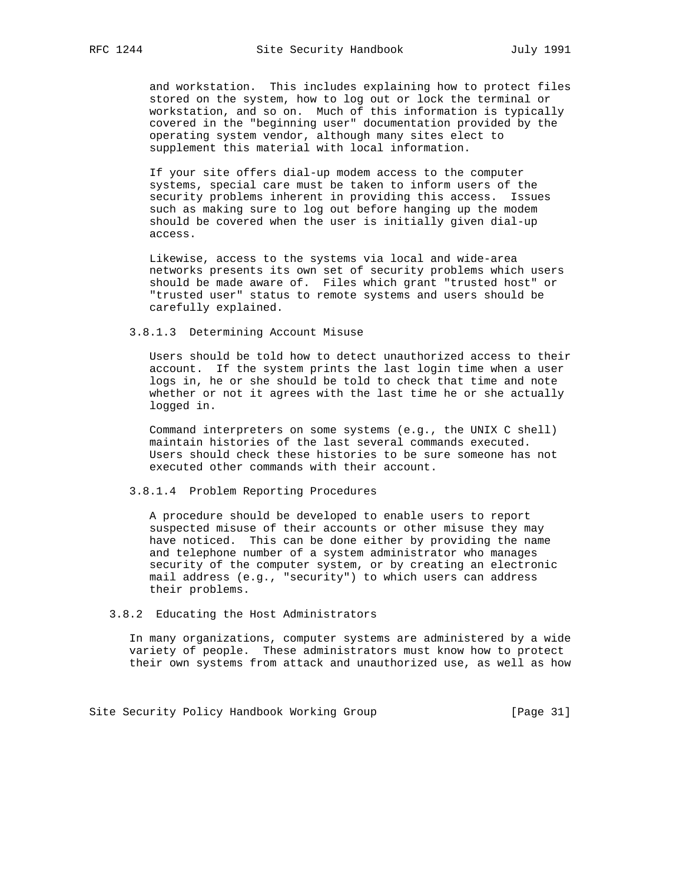and workstation. This includes explaining how to protect files stored on the system, how to log out or lock the terminal or workstation, and so on. Much of this information is typically covered in the "beginning user" documentation provided by the operating system vendor, although many sites elect to supplement this material with local information.

 If your site offers dial-up modem access to the computer systems, special care must be taken to inform users of the security problems inherent in providing this access. Issues such as making sure to log out before hanging up the modem should be covered when the user is initially given dial-up access.

 Likewise, access to the systems via local and wide-area networks presents its own set of security problems which users should be made aware of. Files which grant "trusted host" or "trusted user" status to remote systems and users should be carefully explained.

3.8.1.3 Determining Account Misuse

 Users should be told how to detect unauthorized access to their account. If the system prints the last login time when a user logs in, he or she should be told to check that time and note whether or not it agrees with the last time he or she actually logged in.

 Command interpreters on some systems (e.g., the UNIX C shell) maintain histories of the last several commands executed. Users should check these histories to be sure someone has not executed other commands with their account.

3.8.1.4 Problem Reporting Procedures

 A procedure should be developed to enable users to report suspected misuse of their accounts or other misuse they may have noticed. This can be done either by providing the name and telephone number of a system administrator who manages security of the computer system, or by creating an electronic mail address (e.g., "security") to which users can address their problems.

3.8.2 Educating the Host Administrators

 In many organizations, computer systems are administered by a wide variety of people. These administrators must know how to protect their own systems from attack and unauthorized use, as well as how

Site Security Policy Handbook Working Group [Page 31]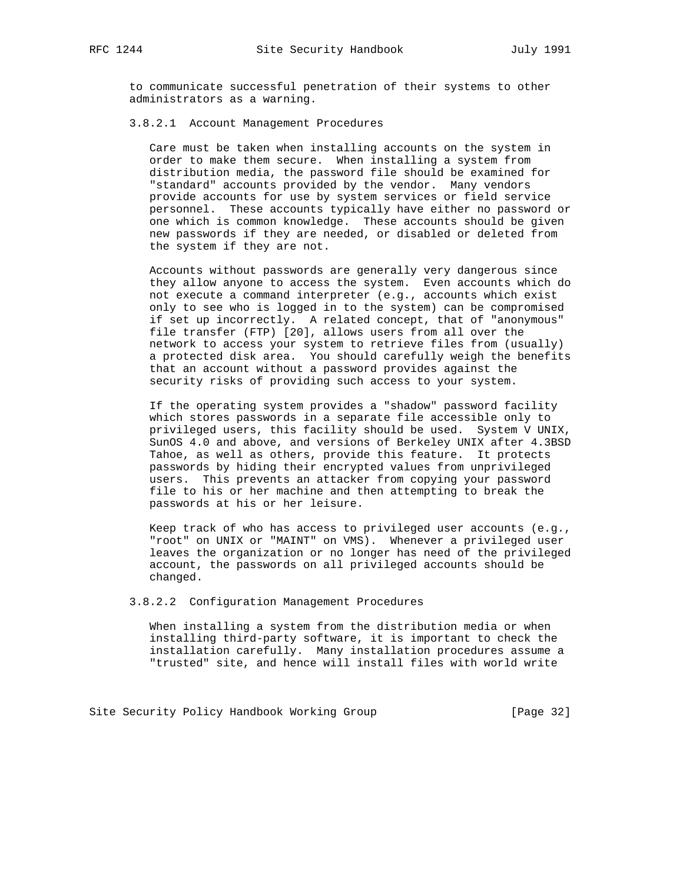to communicate successful penetration of their systems to other administrators as a warning.

## 3.8.2.1 Account Management Procedures

 Care must be taken when installing accounts on the system in order to make them secure. When installing a system from distribution media, the password file should be examined for "standard" accounts provided by the vendor. Many vendors provide accounts for use by system services or field service personnel. These accounts typically have either no password or one which is common knowledge. These accounts should be given new passwords if they are needed, or disabled or deleted from the system if they are not.

 Accounts without passwords are generally very dangerous since they allow anyone to access the system. Even accounts which do not execute a command interpreter (e.g., accounts which exist only to see who is logged in to the system) can be compromised if set up incorrectly. A related concept, that of "anonymous" file transfer (FTP) [20], allows users from all over the network to access your system to retrieve files from (usually) a protected disk area. You should carefully weigh the benefits that an account without a password provides against the security risks of providing such access to your system.

 If the operating system provides a "shadow" password facility which stores passwords in a separate file accessible only to privileged users, this facility should be used. System V UNIX, SunOS 4.0 and above, and versions of Berkeley UNIX after 4.3BSD Tahoe, as well as others, provide this feature. It protects passwords by hiding their encrypted values from unprivileged users. This prevents an attacker from copying your password file to his or her machine and then attempting to break the passwords at his or her leisure.

 Keep track of who has access to privileged user accounts (e.g., "root" on UNIX or "MAINT" on VMS). Whenever a privileged user leaves the organization or no longer has need of the privileged account, the passwords on all privileged accounts should be changed.

3.8.2.2 Configuration Management Procedures

 When installing a system from the distribution media or when installing third-party software, it is important to check the installation carefully. Many installation procedures assume a "trusted" site, and hence will install files with world write

Site Security Policy Handbook Working Group [Page 32]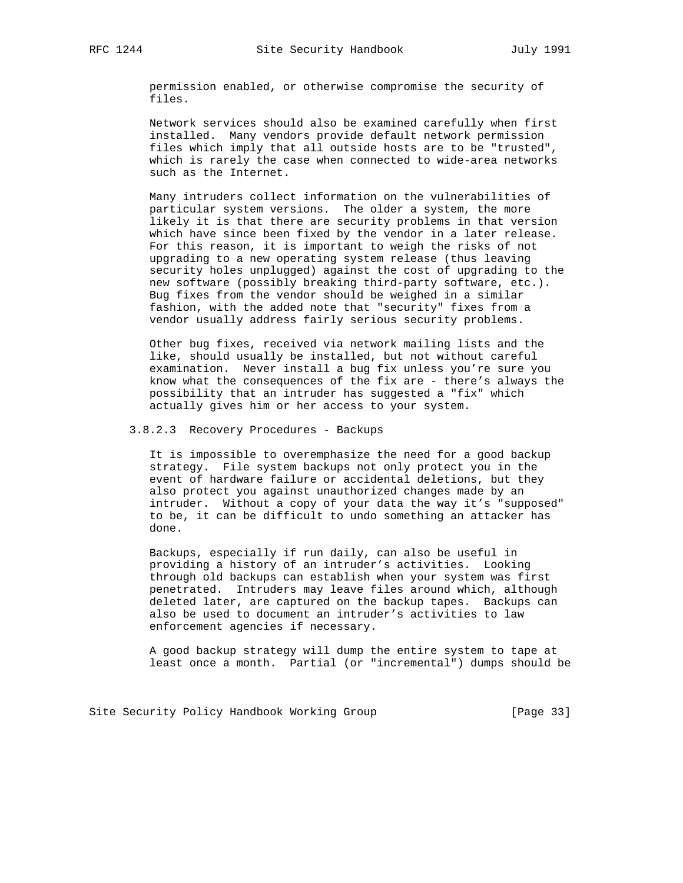permission enabled, or otherwise compromise the security of files.

 Network services should also be examined carefully when first installed. Many vendors provide default network permission files which imply that all outside hosts are to be "trusted", which is rarely the case when connected to wide-area networks such as the Internet.

 Many intruders collect information on the vulnerabilities of particular system versions. The older a system, the more likely it is that there are security problems in that version which have since been fixed by the vendor in a later release. For this reason, it is important to weigh the risks of not upgrading to a new operating system release (thus leaving security holes unplugged) against the cost of upgrading to the new software (possibly breaking third-party software, etc.). Bug fixes from the vendor should be weighed in a similar fashion, with the added note that "security" fixes from a vendor usually address fairly serious security problems.

 Other bug fixes, received via network mailing lists and the like, should usually be installed, but not without careful examination. Never install a bug fix unless you're sure you know what the consequences of the fix are - there's always the possibility that an intruder has suggested a "fix" which actually gives him or her access to your system.

3.8.2.3 Recovery Procedures - Backups

 It is impossible to overemphasize the need for a good backup strategy. File system backups not only protect you in the event of hardware failure or accidental deletions, but they also protect you against unauthorized changes made by an intruder. Without a copy of your data the way it's "supposed" to be, it can be difficult to undo something an attacker has done.

 Backups, especially if run daily, can also be useful in providing a history of an intruder's activities. Looking through old backups can establish when your system was first penetrated. Intruders may leave files around which, although deleted later, are captured on the backup tapes. Backups can also be used to document an intruder's activities to law enforcement agencies if necessary.

 A good backup strategy will dump the entire system to tape at least once a month. Partial (or "incremental") dumps should be

Site Security Policy Handbook Working Group [Page 33]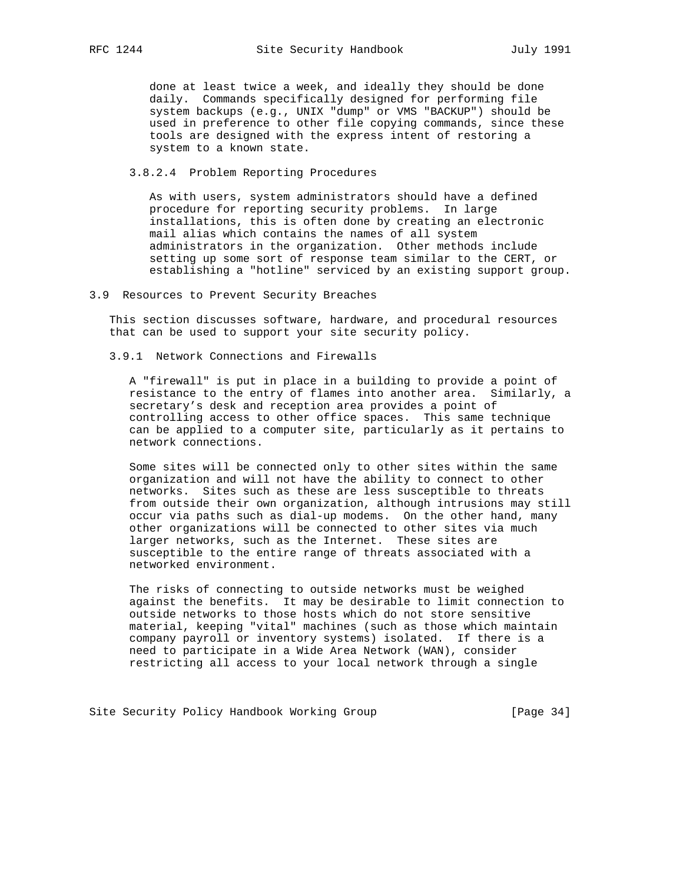done at least twice a week, and ideally they should be done daily. Commands specifically designed for performing file system backups (e.g., UNIX "dump" or VMS "BACKUP") should be used in preference to other file copying commands, since these tools are designed with the express intent of restoring a system to a known state.

3.8.2.4 Problem Reporting Procedures

 As with users, system administrators should have a defined procedure for reporting security problems. In large installations, this is often done by creating an electronic mail alias which contains the names of all system administrators in the organization. Other methods include setting up some sort of response team similar to the CERT, or establishing a "hotline" serviced by an existing support group.

## 3.9 Resources to Prevent Security Breaches

 This section discusses software, hardware, and procedural resources that can be used to support your site security policy.

3.9.1 Network Connections and Firewalls

 A "firewall" is put in place in a building to provide a point of resistance to the entry of flames into another area. Similarly, a secretary's desk and reception area provides a point of controlling access to other office spaces. This same technique can be applied to a computer site, particularly as it pertains to network connections.

 Some sites will be connected only to other sites within the same organization and will not have the ability to connect to other networks. Sites such as these are less susceptible to threats from outside their own organization, although intrusions may still occur via paths such as dial-up modems. On the other hand, many other organizations will be connected to other sites via much larger networks, such as the Internet. These sites are susceptible to the entire range of threats associated with a networked environment.

 The risks of connecting to outside networks must be weighed against the benefits. It may be desirable to limit connection to outside networks to those hosts which do not store sensitive material, keeping "vital" machines (such as those which maintain company payroll or inventory systems) isolated. If there is a need to participate in a Wide Area Network (WAN), consider restricting all access to your local network through a single

Site Security Policy Handbook Working Group [Page 34]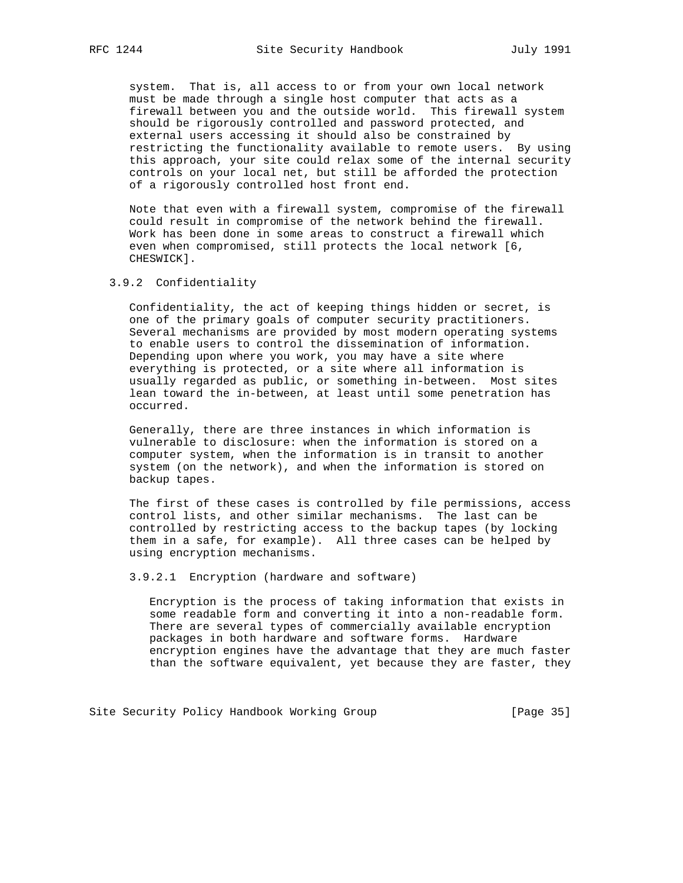system. That is, all access to or from your own local network must be made through a single host computer that acts as a firewall between you and the outside world. This firewall system should be rigorously controlled and password protected, and external users accessing it should also be constrained by restricting the functionality available to remote users. By using this approach, your site could relax some of the internal security controls on your local net, but still be afforded the protection of a rigorously controlled host front end.

 Note that even with a firewall system, compromise of the firewall could result in compromise of the network behind the firewall. Work has been done in some areas to construct a firewall which even when compromised, still protects the local network [6, CHESWICK].

## 3.9.2 Confidentiality

 Confidentiality, the act of keeping things hidden or secret, is one of the primary goals of computer security practitioners. Several mechanisms are provided by most modern operating systems to enable users to control the dissemination of information. Depending upon where you work, you may have a site where everything is protected, or a site where all information is usually regarded as public, or something in-between. Most sites lean toward the in-between, at least until some penetration has occurred.

 Generally, there are three instances in which information is vulnerable to disclosure: when the information is stored on a computer system, when the information is in transit to another system (on the network), and when the information is stored on backup tapes.

 The first of these cases is controlled by file permissions, access control lists, and other similar mechanisms. The last can be controlled by restricting access to the backup tapes (by locking them in a safe, for example). All three cases can be helped by using encryption mechanisms.

3.9.2.1 Encryption (hardware and software)

 Encryption is the process of taking information that exists in some readable form and converting it into a non-readable form. There are several types of commercially available encryption packages in both hardware and software forms. Hardware encryption engines have the advantage that they are much faster than the software equivalent, yet because they are faster, they

Site Security Policy Handbook Working Group [Page 35]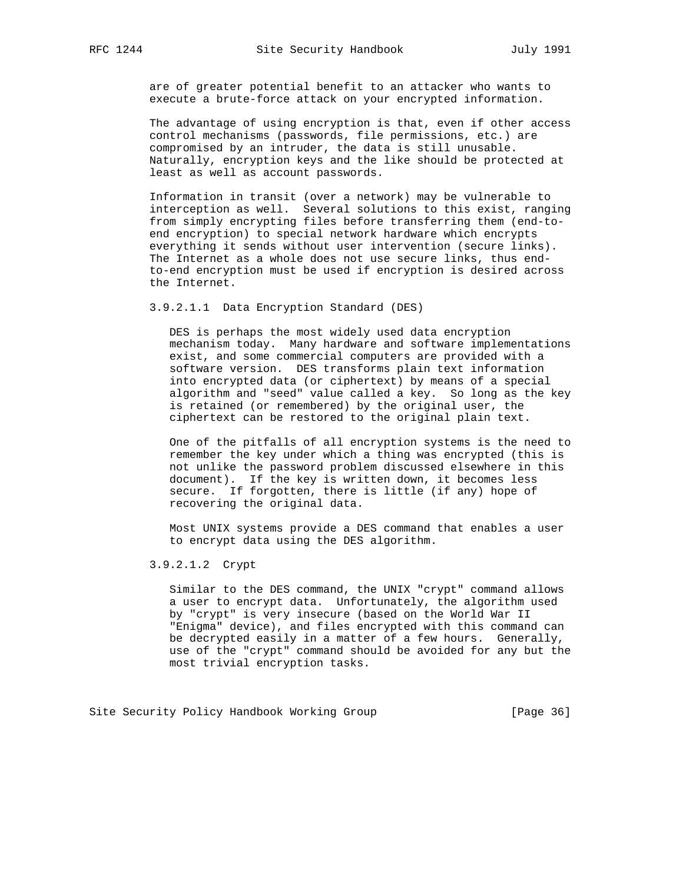are of greater potential benefit to an attacker who wants to execute a brute-force attack on your encrypted information.

 The advantage of using encryption is that, even if other access control mechanisms (passwords, file permissions, etc.) are compromised by an intruder, the data is still unusable. Naturally, encryption keys and the like should be protected at least as well as account passwords.

 Information in transit (over a network) may be vulnerable to interception as well. Several solutions to this exist, ranging from simply encrypting files before transferring them (end-to end encryption) to special network hardware which encrypts everything it sends without user intervention (secure links). The Internet as a whole does not use secure links, thus end to-end encryption must be used if encryption is desired across the Internet.

3.9.2.1.1 Data Encryption Standard (DES)

 DES is perhaps the most widely used data encryption mechanism today. Many hardware and software implementations exist, and some commercial computers are provided with a software version. DES transforms plain text information into encrypted data (or ciphertext) by means of a special algorithm and "seed" value called a key. So long as the key is retained (or remembered) by the original user, the ciphertext can be restored to the original plain text.

 One of the pitfalls of all encryption systems is the need to remember the key under which a thing was encrypted (this is not unlike the password problem discussed elsewhere in this document). If the key is written down, it becomes less secure. If forgotten, there is little (if any) hope of recovering the original data.

 Most UNIX systems provide a DES command that enables a user to encrypt data using the DES algorithm.

3.9.2.1.2 Crypt

 Similar to the DES command, the UNIX "crypt" command allows a user to encrypt data. Unfortunately, the algorithm used by "crypt" is very insecure (based on the World War II "Enigma" device), and files encrypted with this command can be decrypted easily in a matter of a few hours. Generally, use of the "crypt" command should be avoided for any but the most trivial encryption tasks.

Site Security Policy Handbook Working Group [Page 36]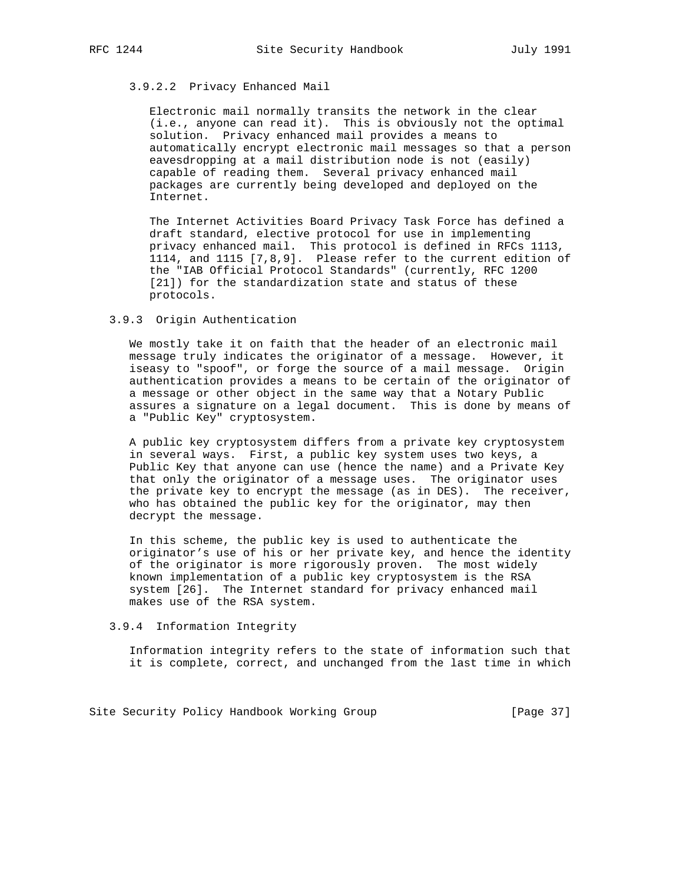# 3.9.2.2 Privacy Enhanced Mail

 Electronic mail normally transits the network in the clear (i.e., anyone can read it). This is obviously not the optimal solution. Privacy enhanced mail provides a means to automatically encrypt electronic mail messages so that a person eavesdropping at a mail distribution node is not (easily) capable of reading them. Several privacy enhanced mail packages are currently being developed and deployed on the Internet.

 The Internet Activities Board Privacy Task Force has defined a draft standard, elective protocol for use in implementing privacy enhanced mail. This protocol is defined in RFCs 1113, 1114, and 1115 [7,8,9]. Please refer to the current edition of the "IAB Official Protocol Standards" (currently, RFC 1200 [21]) for the standardization state and status of these protocols.

#### 3.9.3 Origin Authentication

 We mostly take it on faith that the header of an electronic mail message truly indicates the originator of a message. However, it iseasy to "spoof", or forge the source of a mail message. Origin authentication provides a means to be certain of the originator of a message or other object in the same way that a Notary Public assures a signature on a legal document. This is done by means of a "Public Key" cryptosystem.

 A public key cryptosystem differs from a private key cryptosystem in several ways. First, a public key system uses two keys, a Public Key that anyone can use (hence the name) and a Private Key that only the originator of a message uses. The originator uses the private key to encrypt the message (as in DES). The receiver, who has obtained the public key for the originator, may then decrypt the message.

 In this scheme, the public key is used to authenticate the originator's use of his or her private key, and hence the identity of the originator is more rigorously proven. The most widely known implementation of a public key cryptosystem is the RSA system [26]. The Internet standard for privacy enhanced mail makes use of the RSA system.

3.9.4 Information Integrity

 Information integrity refers to the state of information such that it is complete, correct, and unchanged from the last time in which

Site Security Policy Handbook Working Group [Page 37]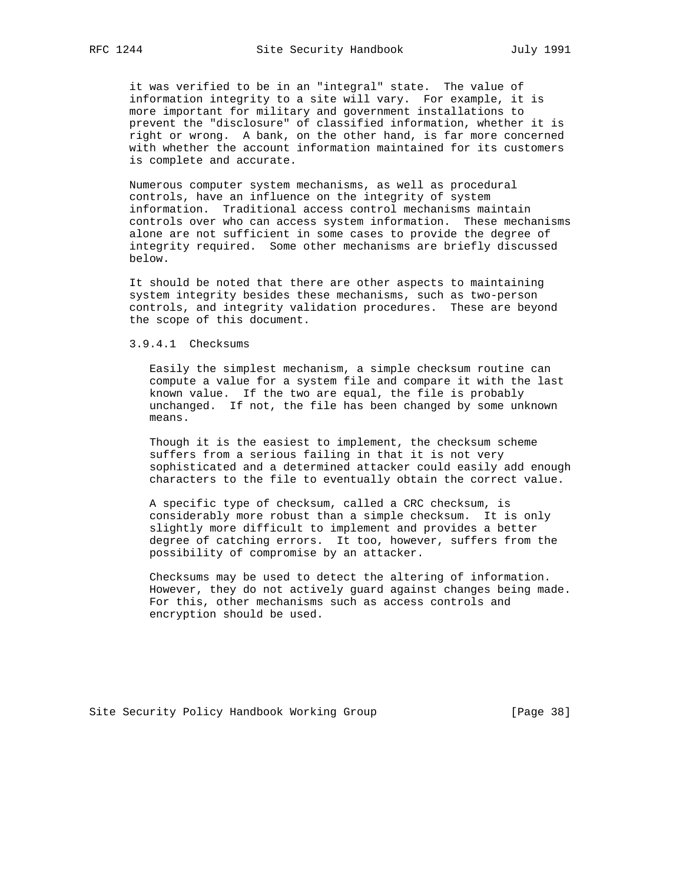it was verified to be in an "integral" state. The value of information integrity to a site will vary. For example, it is more important for military and government installations to prevent the "disclosure" of classified information, whether it is right or wrong. A bank, on the other hand, is far more concerned with whether the account information maintained for its customers is complete and accurate.

 Numerous computer system mechanisms, as well as procedural controls, have an influence on the integrity of system information. Traditional access control mechanisms maintain controls over who can access system information. These mechanisms alone are not sufficient in some cases to provide the degree of integrity required. Some other mechanisms are briefly discussed below.

 It should be noted that there are other aspects to maintaining system integrity besides these mechanisms, such as two-person controls, and integrity validation procedures. These are beyond the scope of this document.

3.9.4.1 Checksums

 Easily the simplest mechanism, a simple checksum routine can compute a value for a system file and compare it with the last known value. If the two are equal, the file is probably unchanged. If not, the file has been changed by some unknown means.

 Though it is the easiest to implement, the checksum scheme suffers from a serious failing in that it is not very sophisticated and a determined attacker could easily add enough characters to the file to eventually obtain the correct value.

 A specific type of checksum, called a CRC checksum, is considerably more robust than a simple checksum. It is only slightly more difficult to implement and provides a better degree of catching errors. It too, however, suffers from the possibility of compromise by an attacker.

 Checksums may be used to detect the altering of information. However, they do not actively guard against changes being made. For this, other mechanisms such as access controls and encryption should be used.

Site Security Policy Handbook Working Group [Page 38]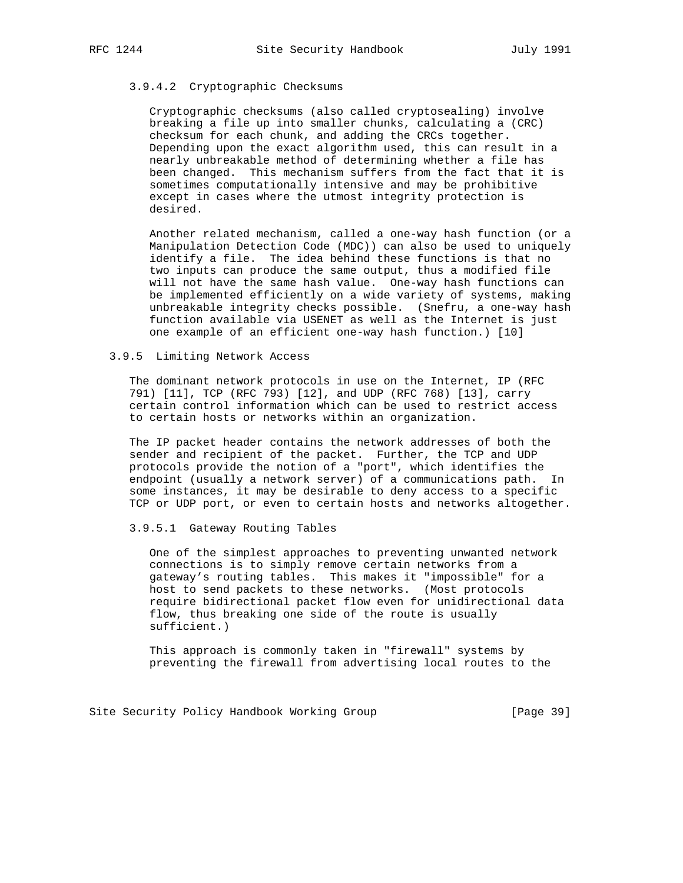#### 3.9.4.2 Cryptographic Checksums

 Cryptographic checksums (also called cryptosealing) involve breaking a file up into smaller chunks, calculating a (CRC) checksum for each chunk, and adding the CRCs together. Depending upon the exact algorithm used, this can result in a nearly unbreakable method of determining whether a file has been changed. This mechanism suffers from the fact that it is sometimes computationally intensive and may be prohibitive except in cases where the utmost integrity protection is desired.

 Another related mechanism, called a one-way hash function (or a Manipulation Detection Code (MDC)) can also be used to uniquely identify a file. The idea behind these functions is that no two inputs can produce the same output, thus a modified file will not have the same hash value. One-way hash functions can be implemented efficiently on a wide variety of systems, making unbreakable integrity checks possible. (Snefru, a one-way hash function available via USENET as well as the Internet is just one example of an efficient one-way hash function.) [10]

#### 3.9.5 Limiting Network Access

 The dominant network protocols in use on the Internet, IP (RFC 791) [11], TCP (RFC 793) [12], and UDP (RFC 768) [13], carry certain control information which can be used to restrict access to certain hosts or networks within an organization.

 The IP packet header contains the network addresses of both the sender and recipient of the packet. Further, the TCP and UDP protocols provide the notion of a "port", which identifies the endpoint (usually a network server) of a communications path. In some instances, it may be desirable to deny access to a specific TCP or UDP port, or even to certain hosts and networks altogether.

### 3.9.5.1 Gateway Routing Tables

 One of the simplest approaches to preventing unwanted network connections is to simply remove certain networks from a gateway's routing tables. This makes it "impossible" for a host to send packets to these networks. (Most protocols require bidirectional packet flow even for unidirectional data flow, thus breaking one side of the route is usually sufficient.)

 This approach is commonly taken in "firewall" systems by preventing the firewall from advertising local routes to the

Site Security Policy Handbook Working Group [Page 39]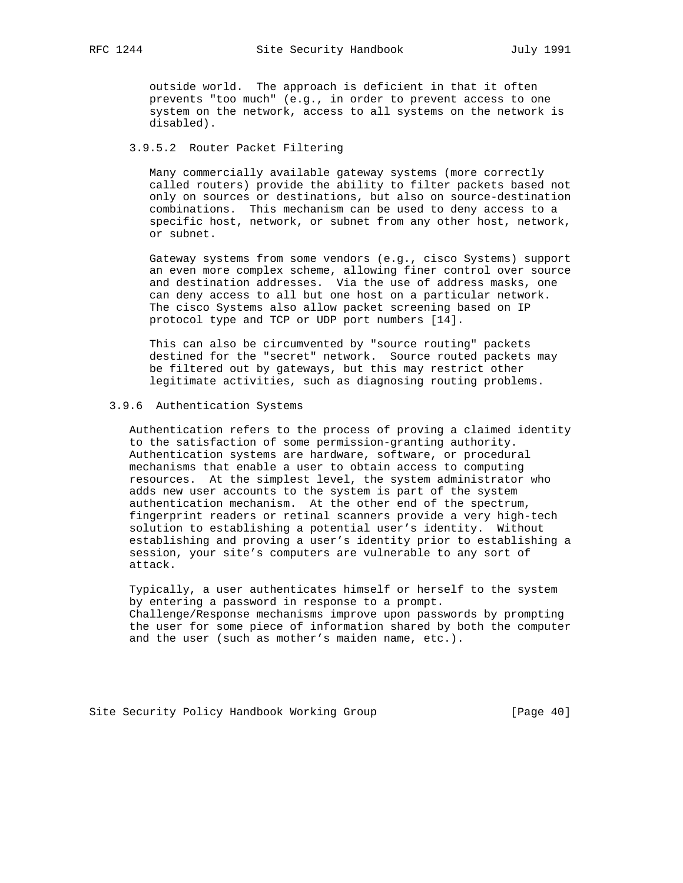outside world. The approach is deficient in that it often prevents "too much" (e.g., in order to prevent access to one system on the network, access to all systems on the network is disabled).

### 3.9.5.2 Router Packet Filtering

 Many commercially available gateway systems (more correctly called routers) provide the ability to filter packets based not only on sources or destinations, but also on source-destination combinations. This mechanism can be used to deny access to a specific host, network, or subnet from any other host, network, or subnet.

 Gateway systems from some vendors (e.g., cisco Systems) support an even more complex scheme, allowing finer control over source and destination addresses. Via the use of address masks, one can deny access to all but one host on a particular network. The cisco Systems also allow packet screening based on IP protocol type and TCP or UDP port numbers [14].

 This can also be circumvented by "source routing" packets destined for the "secret" network. Source routed packets may be filtered out by gateways, but this may restrict other legitimate activities, such as diagnosing routing problems.

## 3.9.6 Authentication Systems

 Authentication refers to the process of proving a claimed identity to the satisfaction of some permission-granting authority. Authentication systems are hardware, software, or procedural mechanisms that enable a user to obtain access to computing resources. At the simplest level, the system administrator who adds new user accounts to the system is part of the system authentication mechanism. At the other end of the spectrum, fingerprint readers or retinal scanners provide a very high-tech solution to establishing a potential user's identity. Without establishing and proving a user's identity prior to establishing a session, your site's computers are vulnerable to any sort of attack.

 Typically, a user authenticates himself or herself to the system by entering a password in response to a prompt. Challenge/Response mechanisms improve upon passwords by prompting the user for some piece of information shared by both the computer and the user (such as mother's maiden name, etc.).

Site Security Policy Handbook Working Group [Page 40]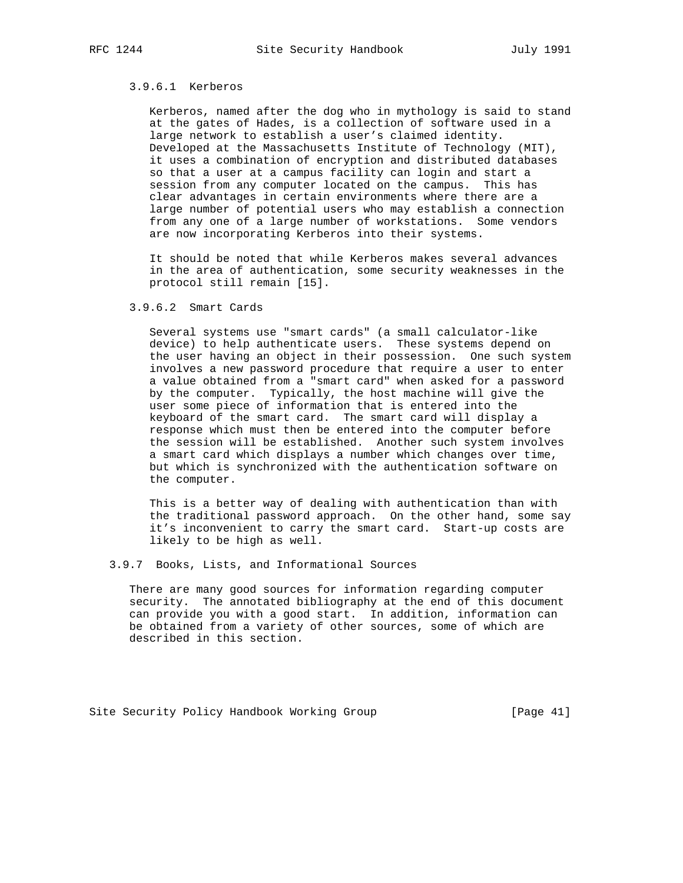## 3.9.6.1 Kerberos

 Kerberos, named after the dog who in mythology is said to stand at the gates of Hades, is a collection of software used in a large network to establish a user's claimed identity. Developed at the Massachusetts Institute of Technology (MIT), it uses a combination of encryption and distributed databases so that a user at a campus facility can login and start a session from any computer located on the campus. This has clear advantages in certain environments where there are a large number of potential users who may establish a connection from any one of a large number of workstations. Some vendors are now incorporating Kerberos into their systems.

 It should be noted that while Kerberos makes several advances in the area of authentication, some security weaknesses in the protocol still remain [15].

### 3.9.6.2 Smart Cards

 Several systems use "smart cards" (a small calculator-like device) to help authenticate users. These systems depend on the user having an object in their possession. One such system involves a new password procedure that require a user to enter a value obtained from a "smart card" when asked for a password by the computer. Typically, the host machine will give the user some piece of information that is entered into the keyboard of the smart card. The smart card will display a response which must then be entered into the computer before the session will be established. Another such system involves a smart card which displays a number which changes over time, but which is synchronized with the authentication software on the computer.

 This is a better way of dealing with authentication than with the traditional password approach. On the other hand, some say it's inconvenient to carry the smart card. Start-up costs are likely to be high as well.

3.9.7 Books, Lists, and Informational Sources

 There are many good sources for information regarding computer security. The annotated bibliography at the end of this document can provide you with a good start. In addition, information can be obtained from a variety of other sources, some of which are described in this section.

Site Security Policy Handbook Working Group [Page 41]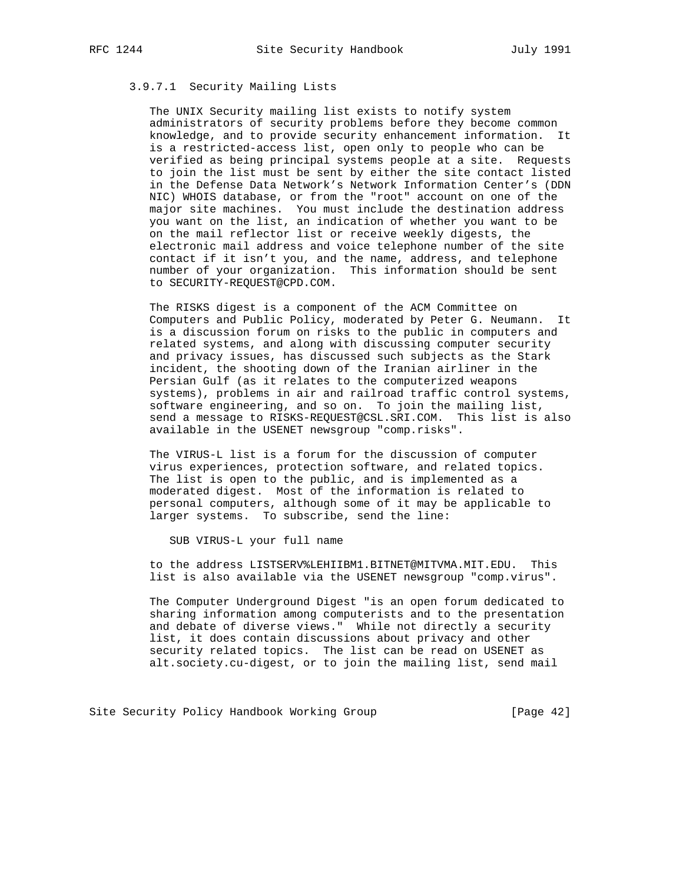# 3.9.7.1 Security Mailing Lists

 The UNIX Security mailing list exists to notify system administrators of security problems before they become common knowledge, and to provide security enhancement information. It is a restricted-access list, open only to people who can be verified as being principal systems people at a site. Requests to join the list must be sent by either the site contact listed in the Defense Data Network's Network Information Center's (DDN NIC) WHOIS database, or from the "root" account on one of the major site machines. You must include the destination address you want on the list, an indication of whether you want to be on the mail reflector list or receive weekly digests, the electronic mail address and voice telephone number of the site contact if it isn't you, and the name, address, and telephone number of your organization. This information should be sent to SECURITY-REQUEST@CPD.COM.

 The RISKS digest is a component of the ACM Committee on Computers and Public Policy, moderated by Peter G. Neumann. It is a discussion forum on risks to the public in computers and related systems, and along with discussing computer security and privacy issues, has discussed such subjects as the Stark incident, the shooting down of the Iranian airliner in the Persian Gulf (as it relates to the computerized weapons systems), problems in air and railroad traffic control systems, software engineering, and so on. To join the mailing list, send a message to RISKS-REQUEST@CSL.SRI.COM. This list is also available in the USENET newsgroup "comp.risks".

 The VIRUS-L list is a forum for the discussion of computer virus experiences, protection software, and related topics. The list is open to the public, and is implemented as a moderated digest. Most of the information is related to personal computers, although some of it may be applicable to larger systems. To subscribe, send the line:

SUB VIRUS-L your full name

 to the address LISTSERV%LEHIIBM1.BITNET@MITVMA.MIT.EDU. This list is also available via the USENET newsgroup "comp.virus".

 The Computer Underground Digest "is an open forum dedicated to sharing information among computerists and to the presentation and debate of diverse views." While not directly a security list, it does contain discussions about privacy and other security related topics. The list can be read on USENET as alt.society.cu-digest, or to join the mailing list, send mail

Site Security Policy Handbook Working Group [Page 42]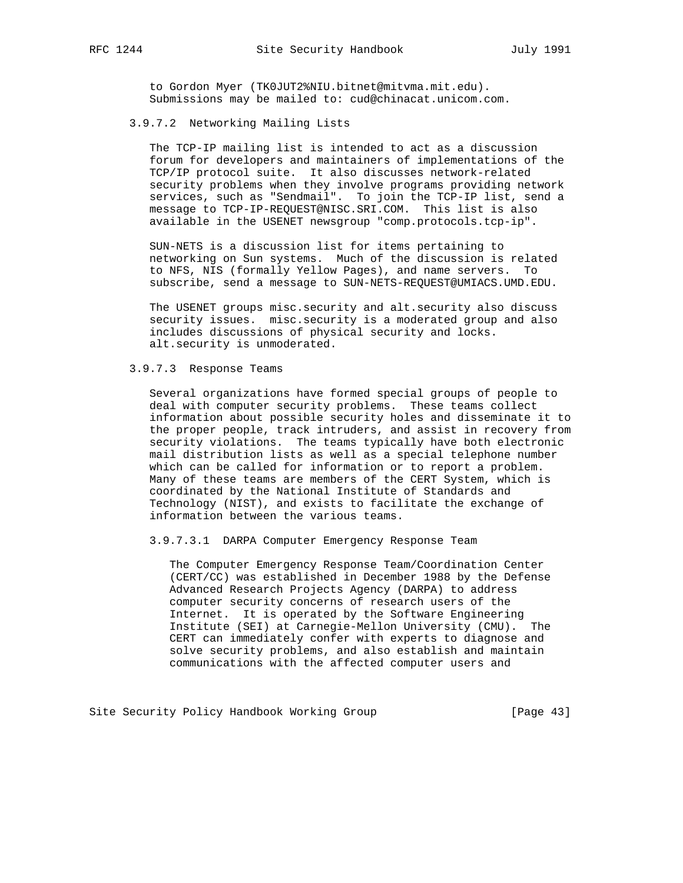to Gordon Myer (TK0JUT2%NIU.bitnet@mitvma.mit.edu). Submissions may be mailed to: cud@chinacat.unicom.com.

### 3.9.7.2 Networking Mailing Lists

 The TCP-IP mailing list is intended to act as a discussion forum for developers and maintainers of implementations of the TCP/IP protocol suite. It also discusses network-related security problems when they involve programs providing network services, such as "Sendmail". To join the TCP-IP list, send a message to TCP-IP-REQUEST@NISC.SRI.COM. This list is also available in the USENET newsgroup "comp.protocols.tcp-ip".

 SUN-NETS is a discussion list for items pertaining to networking on Sun systems. Much of the discussion is related to NFS, NIS (formally Yellow Pages), and name servers. To subscribe, send a message to SUN-NETS-REQUEST@UMIACS.UMD.EDU.

 The USENET groups misc.security and alt.security also discuss security issues. misc.security is a moderated group and also includes discussions of physical security and locks. alt.security is unmoderated.

#### 3.9.7.3 Response Teams

 Several organizations have formed special groups of people to deal with computer security problems. These teams collect information about possible security holes and disseminate it to the proper people, track intruders, and assist in recovery from security violations. The teams typically have both electronic mail distribution lists as well as a special telephone number which can be called for information or to report a problem. Many of these teams are members of the CERT System, which is coordinated by the National Institute of Standards and Technology (NIST), and exists to facilitate the exchange of information between the various teams.

3.9.7.3.1 DARPA Computer Emergency Response Team

 The Computer Emergency Response Team/Coordination Center (CERT/CC) was established in December 1988 by the Defense Advanced Research Projects Agency (DARPA) to address computer security concerns of research users of the Internet. It is operated by the Software Engineering Institute (SEI) at Carnegie-Mellon University (CMU). The CERT can immediately confer with experts to diagnose and solve security problems, and also establish and maintain communications with the affected computer users and

Site Security Policy Handbook Working Group [Page 43]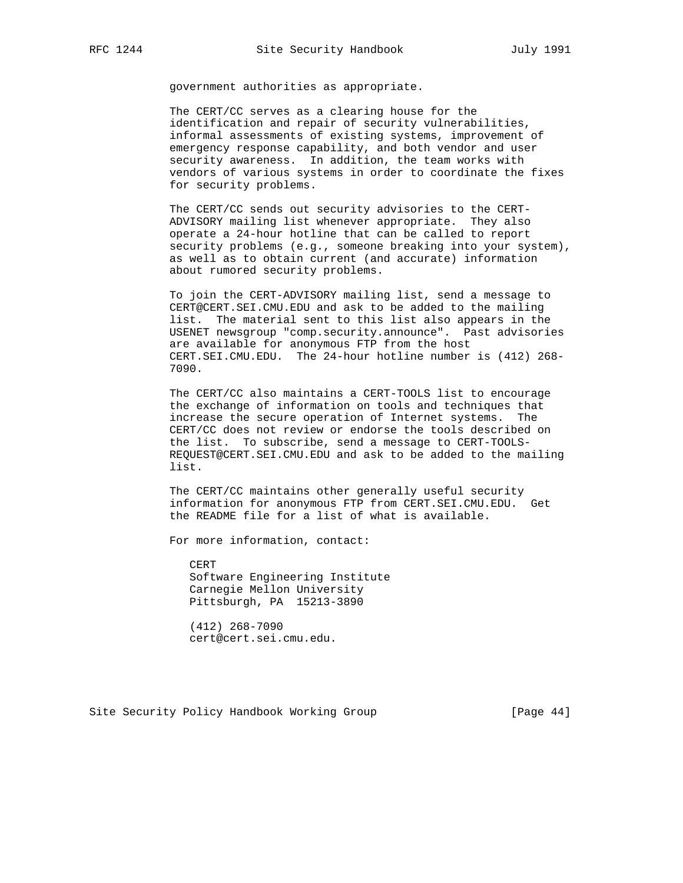government authorities as appropriate.

 The CERT/CC serves as a clearing house for the identification and repair of security vulnerabilities, informal assessments of existing systems, improvement of emergency response capability, and both vendor and user security awareness. In addition, the team works with vendors of various systems in order to coordinate the fixes for security problems.

 The CERT/CC sends out security advisories to the CERT- ADVISORY mailing list whenever appropriate. They also operate a 24-hour hotline that can be called to report security problems (e.g., someone breaking into your system), as well as to obtain current (and accurate) information about rumored security problems.

 To join the CERT-ADVISORY mailing list, send a message to CERT@CERT.SEI.CMU.EDU and ask to be added to the mailing list. The material sent to this list also appears in the USENET newsgroup "comp.security.announce". Past advisories are available for anonymous FTP from the host CERT.SEI.CMU.EDU. The 24-hour hotline number is (412) 268- 7090.

 The CERT/CC also maintains a CERT-TOOLS list to encourage the exchange of information on tools and techniques that increase the secure operation of Internet systems. The CERT/CC does not review or endorse the tools described on the list. To subscribe, send a message to CERT-TOOLS- REQUEST@CERT.SEI.CMU.EDU and ask to be added to the mailing list.

 The CERT/CC maintains other generally useful security information for anonymous FTP from CERT.SEI.CMU.EDU. Get the README file for a list of what is available.

For more information, contact:

 CERT Software Engineering Institute Carnegie Mellon University Pittsburgh, PA 15213-3890

 (412) 268-7090 cert@cert.sei.cmu.edu.

Site Security Policy Handbook Working Group [Page 44]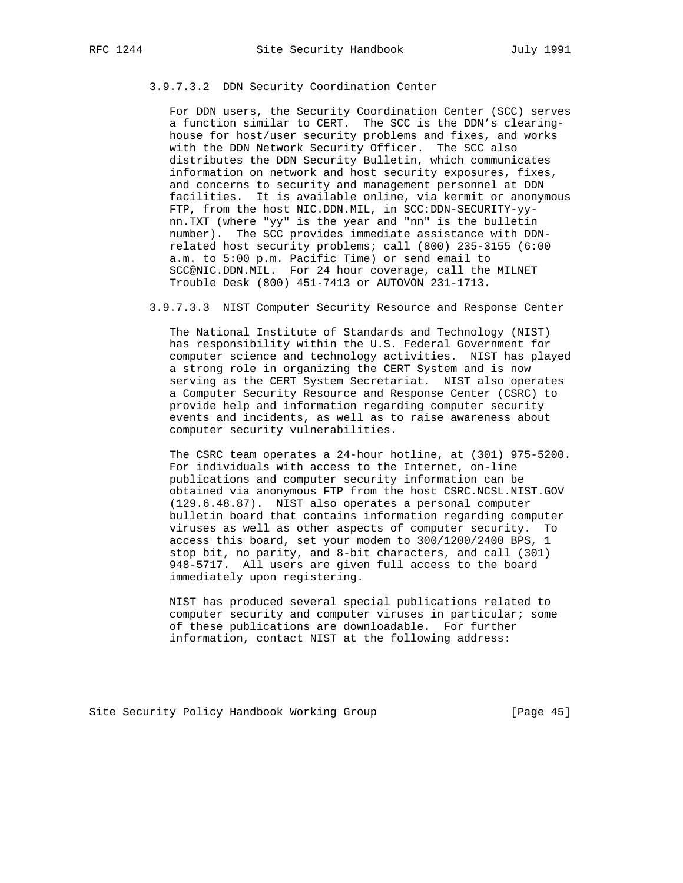# 3.9.7.3.2 DDN Security Coordination Center

 For DDN users, the Security Coordination Center (SCC) serves a function similar to CERT. The SCC is the DDN's clearing house for host/user security problems and fixes, and works with the DDN Network Security Officer. The SCC also distributes the DDN Security Bulletin, which communicates information on network and host security exposures, fixes, and concerns to security and management personnel at DDN facilities. It is available online, via kermit or anonymous FTP, from the host NIC.DDN.MIL, in SCC:DDN-SECURITY-yy nn.TXT (where "yy" is the year and "nn" is the bulletin number). The SCC provides immediate assistance with DDN related host security problems; call (800) 235-3155 (6:00 a.m. to 5:00 p.m. Pacific Time) or send email to SCC@NIC.DDN.MIL. For 24 hour coverage, call the MILNET Trouble Desk (800) 451-7413 or AUTOVON 231-1713.

3.9.7.3.3 NIST Computer Security Resource and Response Center

 The National Institute of Standards and Technology (NIST) has responsibility within the U.S. Federal Government for computer science and technology activities. NIST has played a strong role in organizing the CERT System and is now serving as the CERT System Secretariat. NIST also operates a Computer Security Resource and Response Center (CSRC) to provide help and information regarding computer security events and incidents, as well as to raise awareness about computer security vulnerabilities.

 The CSRC team operates a 24-hour hotline, at (301) 975-5200. For individuals with access to the Internet, on-line publications and computer security information can be obtained via anonymous FTP from the host CSRC.NCSL.NIST.GOV (129.6.48.87). NIST also operates a personal computer bulletin board that contains information regarding computer viruses as well as other aspects of computer security. To access this board, set your modem to 300/1200/2400 BPS, 1 stop bit, no parity, and 8-bit characters, and call (301) 948-5717. All users are given full access to the board immediately upon registering.

 NIST has produced several special publications related to computer security and computer viruses in particular; some of these publications are downloadable. For further information, contact NIST at the following address:

Site Security Policy Handbook Working Group [Page 45]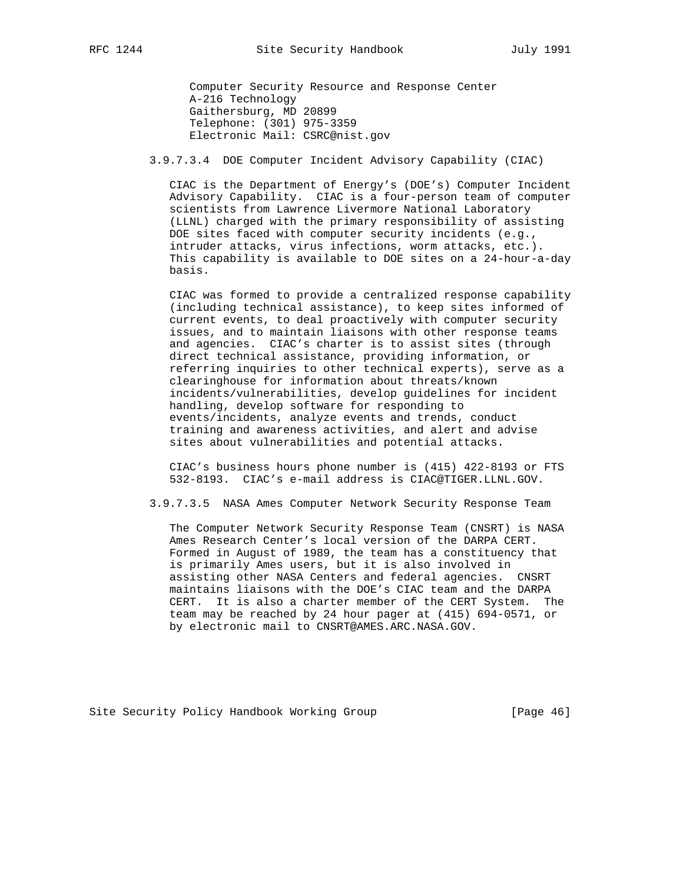Computer Security Resource and Response Center A-216 Technology Gaithersburg, MD 20899 Telephone: (301) 975-3359 Electronic Mail: CSRC@nist.gov

3.9.7.3.4 DOE Computer Incident Advisory Capability (CIAC)

 CIAC is the Department of Energy's (DOE's) Computer Incident Advisory Capability. CIAC is a four-person team of computer scientists from Lawrence Livermore National Laboratory (LLNL) charged with the primary responsibility of assisting DOE sites faced with computer security incidents (e.g., intruder attacks, virus infections, worm attacks, etc.). This capability is available to DOE sites on a 24-hour-a-day basis.

 CIAC was formed to provide a centralized response capability (including technical assistance), to keep sites informed of current events, to deal proactively with computer security issues, and to maintain liaisons with other response teams and agencies. CIAC's charter is to assist sites (through direct technical assistance, providing information, or referring inquiries to other technical experts), serve as a clearinghouse for information about threats/known incidents/vulnerabilities, develop guidelines for incident handling, develop software for responding to events/incidents, analyze events and trends, conduct training and awareness activities, and alert and advise sites about vulnerabilities and potential attacks.

 CIAC's business hours phone number is (415) 422-8193 or FTS 532-8193. CIAC's e-mail address is CIAC@TIGER.LLNL.GOV.

3.9.7.3.5 NASA Ames Computer Network Security Response Team

 The Computer Network Security Response Team (CNSRT) is NASA Ames Research Center's local version of the DARPA CERT. Formed in August of 1989, the team has a constituency that is primarily Ames users, but it is also involved in assisting other NASA Centers and federal agencies. CNSRT maintains liaisons with the DOE's CIAC team and the DARPA CERT. It is also a charter member of the CERT System. The team may be reached by 24 hour pager at (415) 694-0571, or by electronic mail to CNSRT@AMES.ARC.NASA.GOV.

Site Security Policy Handbook Working Group [Page 46]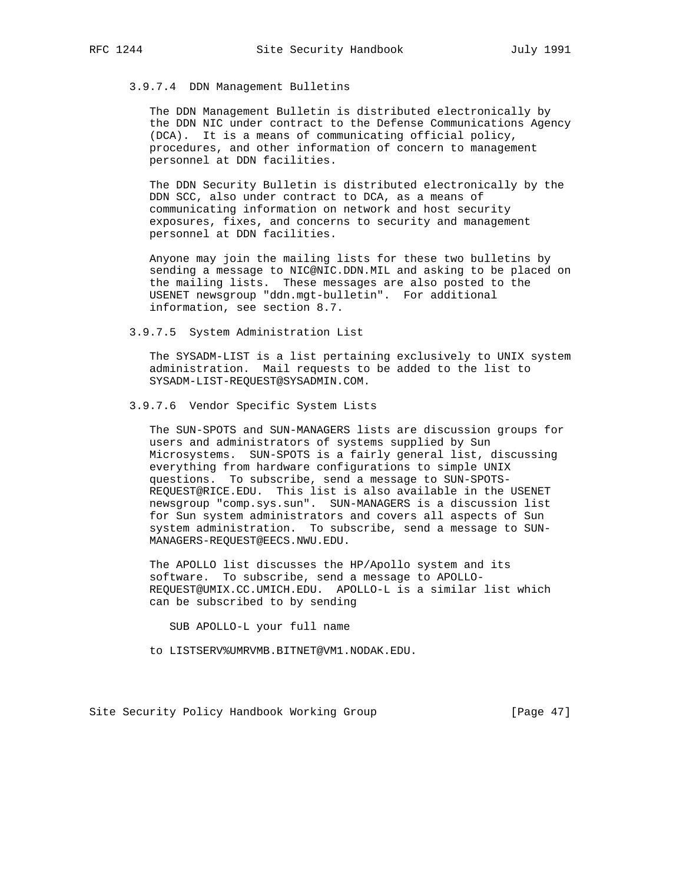# 3.9.7.4 DDN Management Bulletins

 The DDN Management Bulletin is distributed electronically by the DDN NIC under contract to the Defense Communications Agency (DCA). It is a means of communicating official policy, procedures, and other information of concern to management personnel at DDN facilities.

 The DDN Security Bulletin is distributed electronically by the DDN SCC, also under contract to DCA, as a means of communicating information on network and host security exposures, fixes, and concerns to security and management personnel at DDN facilities.

 Anyone may join the mailing lists for these two bulletins by sending a message to NIC@NIC.DDN.MIL and asking to be placed on the mailing lists. These messages are also posted to the USENET newsgroup "ddn.mgt-bulletin". For additional information, see section 8.7.

3.9.7.5 System Administration List

 The SYSADM-LIST is a list pertaining exclusively to UNIX system administration. Mail requests to be added to the list to SYSADM-LIST-REQUEST@SYSADMIN.COM.

3.9.7.6 Vendor Specific System Lists

 The SUN-SPOTS and SUN-MANAGERS lists are discussion groups for users and administrators of systems supplied by Sun Microsystems. SUN-SPOTS is a fairly general list, discussing everything from hardware configurations to simple UNIX questions. To subscribe, send a message to SUN-SPOTS- REQUEST@RICE.EDU. This list is also available in the USENET newsgroup "comp.sys.sun". SUN-MANAGERS is a discussion list for Sun system administrators and covers all aspects of Sun system administration. To subscribe, send a message to SUN- MANAGERS-REQUEST@EECS.NWU.EDU.

 The APOLLO list discusses the HP/Apollo system and its software. To subscribe, send a message to APOLLO- REQUEST@UMIX.CC.UMICH.EDU. APOLLO-L is a similar list which can be subscribed to by sending

SUB APOLLO-L your full name

to LISTSERV%UMRVMB.BITNET@VM1.NODAK.EDU.

Site Security Policy Handbook Working Group [Page 47]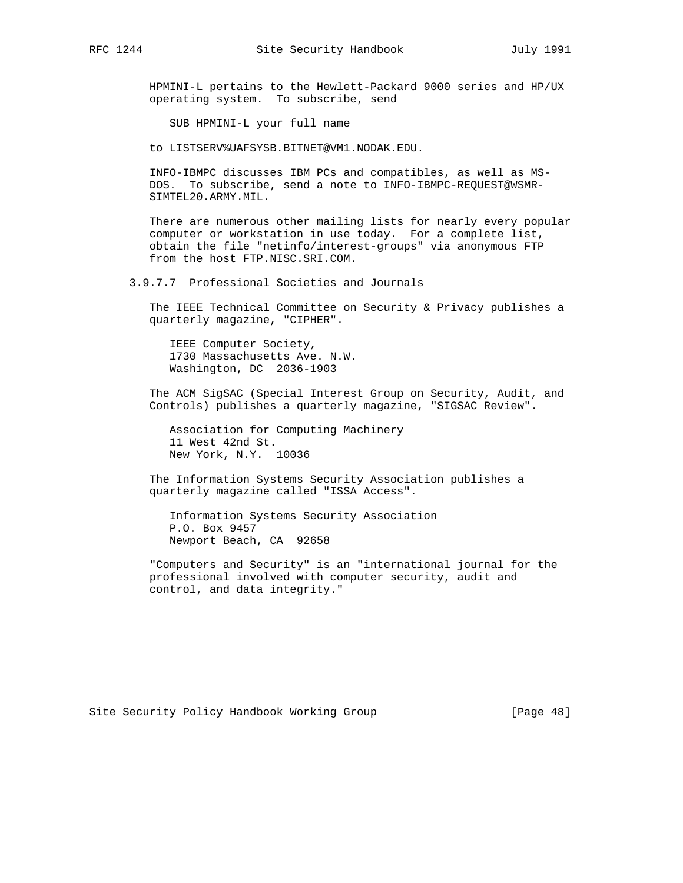HPMINI-L pertains to the Hewlett-Packard 9000 series and HP/UX operating system. To subscribe, send

SUB HPMINI-L your full name

to LISTSERV%UAFSYSB.BITNET@VM1.NODAK.EDU.

 INFO-IBMPC discusses IBM PCs and compatibles, as well as MS- DOS. To subscribe, send a note to INFO-IBMPC-REQUEST@WSMR- SIMTEL20.ARMY.MIL.

 There are numerous other mailing lists for nearly every popular computer or workstation in use today. For a complete list, obtain the file "netinfo/interest-groups" via anonymous FTP from the host FTP.NISC.SRI.COM.

3.9.7.7 Professional Societies and Journals

 The IEEE Technical Committee on Security & Privacy publishes a quarterly magazine, "CIPHER".

 IEEE Computer Society, 1730 Massachusetts Ave. N.W. Washington, DC 2036-1903

 The ACM SigSAC (Special Interest Group on Security, Audit, and Controls) publishes a quarterly magazine, "SIGSAC Review".

 Association for Computing Machinery 11 West 42nd St. New York, N.Y. 10036

 The Information Systems Security Association publishes a quarterly magazine called "ISSA Access".

 Information Systems Security Association P.O. Box 9457 Newport Beach, CA 92658

 "Computers and Security" is an "international journal for the professional involved with computer security, audit and control, and data integrity."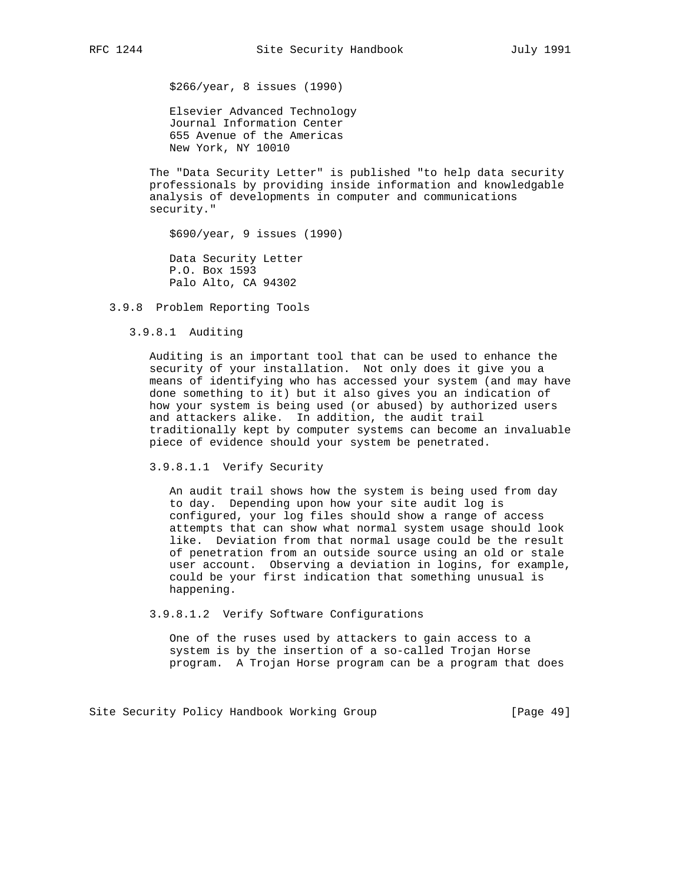\$266/year, 8 issues (1990)

 Elsevier Advanced Technology Journal Information Center 655 Avenue of the Americas New York, NY 10010

 The "Data Security Letter" is published "to help data security professionals by providing inside information and knowledgable analysis of developments in computer and communications security."

\$690/year, 9 issues (1990)

 Data Security Letter P.O. Box 1593 Palo Alto, CA 94302

3.9.8 Problem Reporting Tools

3.9.8.1 Auditing

 Auditing is an important tool that can be used to enhance the security of your installation. Not only does it give you a means of identifying who has accessed your system (and may have done something to it) but it also gives you an indication of how your system is being used (or abused) by authorized users and attackers alike. In addition, the audit trail traditionally kept by computer systems can become an invaluable piece of evidence should your system be penetrated.

3.9.8.1.1 Verify Security

 An audit trail shows how the system is being used from day to day. Depending upon how your site audit log is configured, your log files should show a range of access attempts that can show what normal system usage should look like. Deviation from that normal usage could be the result of penetration from an outside source using an old or stale user account. Observing a deviation in logins, for example, could be your first indication that something unusual is happening.

3.9.8.1.2 Verify Software Configurations

 One of the ruses used by attackers to gain access to a system is by the insertion of a so-called Trojan Horse program. A Trojan Horse program can be a program that does

Site Security Policy Handbook Working Group [Page 49]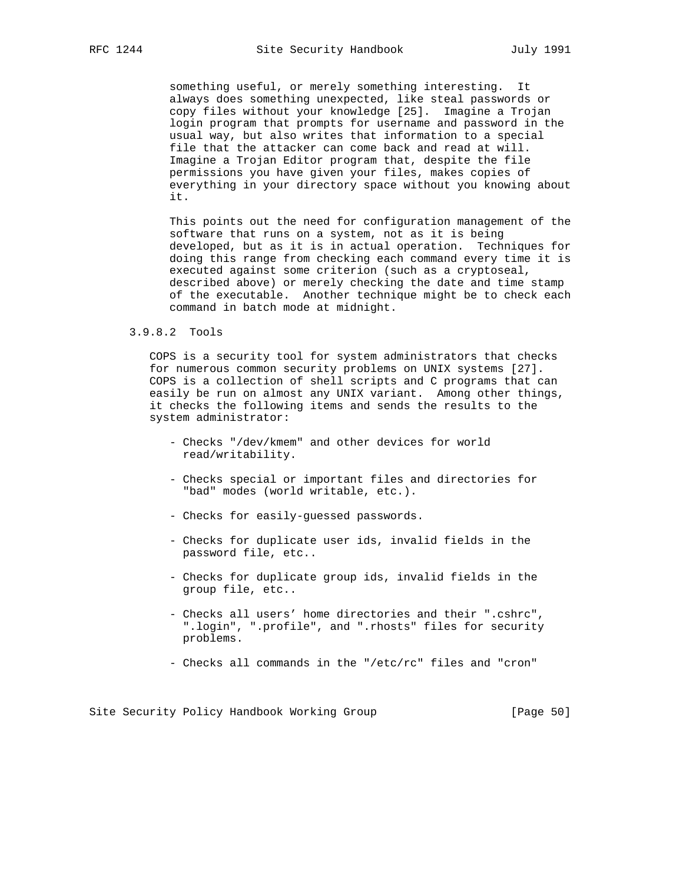something useful, or merely something interesting. It always does something unexpected, like steal passwords or copy files without your knowledge [25]. Imagine a Trojan login program that prompts for username and password in the usual way, but also writes that information to a special file that the attacker can come back and read at will. Imagine a Trojan Editor program that, despite the file permissions you have given your files, makes copies of everything in your directory space without you knowing about it.

 This points out the need for configuration management of the software that runs on a system, not as it is being developed, but as it is in actual operation. Techniques for doing this range from checking each command every time it is executed against some criterion (such as a cryptoseal, described above) or merely checking the date and time stamp of the executable. Another technique might be to check each command in batch mode at midnight.

### 3.9.8.2 Tools

 COPS is a security tool for system administrators that checks for numerous common security problems on UNIX systems [27]. COPS is a collection of shell scripts and C programs that can easily be run on almost any UNIX variant. Among other things, it checks the following items and sends the results to the system administrator:

- Checks "/dev/kmem" and other devices for world read/writability.
- Checks special or important files and directories for "bad" modes (world writable, etc.).
- Checks for easily-guessed passwords.
- Checks for duplicate user ids, invalid fields in the password file, etc..
- Checks for duplicate group ids, invalid fields in the group file, etc..
- Checks all users' home directories and their ".cshrc", ".login", ".profile", and ".rhosts" files for security problems.
- Checks all commands in the "/etc/rc" files and "cron"

Site Security Policy Handbook Working Group [Page 50]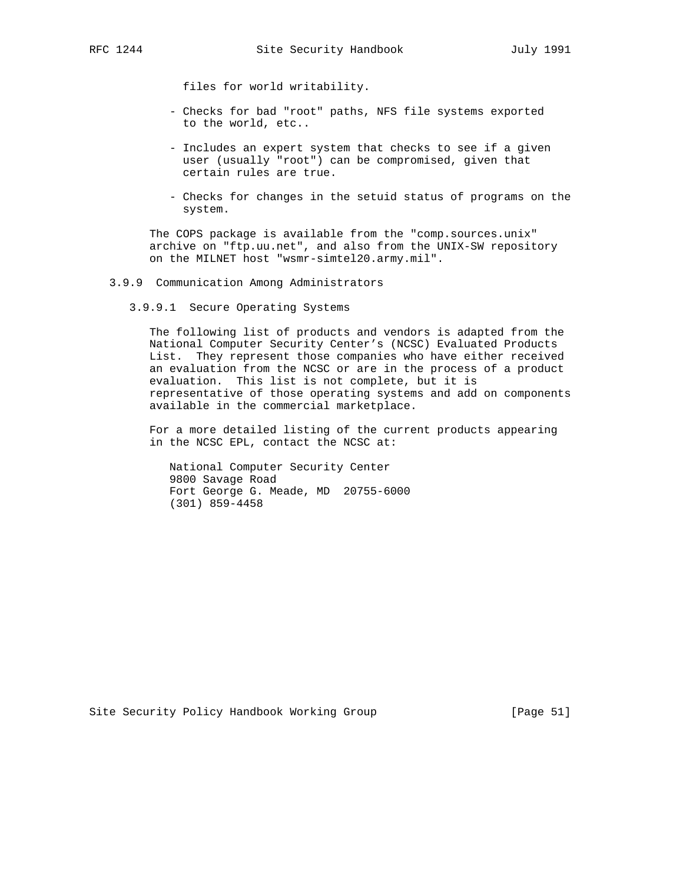files for world writability.

- Checks for bad "root" paths, NFS file systems exported to the world, etc..
- Includes an expert system that checks to see if a given user (usually "root") can be compromised, given that certain rules are true.
- Checks for changes in the setuid status of programs on the system.

 The COPS package is available from the "comp.sources.unix" archive on "ftp.uu.net", and also from the UNIX-SW repository on the MILNET host "wsmr-simtel20.army.mil".

- 3.9.9 Communication Among Administrators
	- 3.9.9.1 Secure Operating Systems

 The following list of products and vendors is adapted from the National Computer Security Center's (NCSC) Evaluated Products List. They represent those companies who have either received an evaluation from the NCSC or are in the process of a product evaluation. This list is not complete, but it is representative of those operating systems and add on components available in the commercial marketplace.

 For a more detailed listing of the current products appearing in the NCSC EPL, contact the NCSC at:

 National Computer Security Center 9800 Savage Road Fort George G. Meade, MD 20755-6000 (301) 859-4458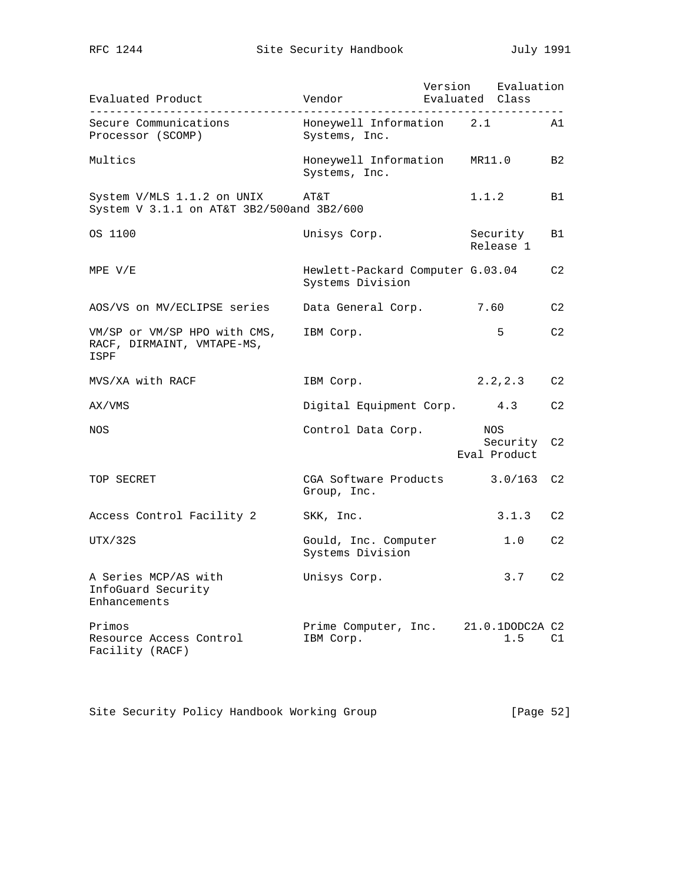| Evaluated Product                                                       | Vendor                                               | Evaluated Class | Version Evaluation               |                          |
|-------------------------------------------------------------------------|------------------------------------------------------|-----------------|----------------------------------|--------------------------|
| Secure Communications<br>Processor (SCOMP)                              | Honeywell Information<br>Systems, Inc.               |                 | 2.1                              | A1                       |
| Multics                                                                 | Honeywell Information<br>Systems, Inc.               |                 | MR11.0                           | B <sub>2</sub>           |
| System V/MLS 1.1.2 on UNIX<br>System V 3.1.1 on AT&T 3B2/500and 3B2/600 | AT&T                                                 |                 | 1.1.2                            | B1                       |
| OS 1100                                                                 | Unisys Corp.                                         |                 | Security<br>Release 1            | B1                       |
| MPE V/E                                                                 | Hewlett-Packard Computer G.03.04<br>Systems Division |                 |                                  | C2                       |
| AOS/VS on MV/ECLIPSE series                                             | Data General Corp.                                   |                 | 7.60                             | C2                       |
| VM/SP or VM/SP HPO with CMS,<br>RACF, DIRMAINT, VMTAPE-MS,<br>ISPF      | IBM Corp.                                            |                 | 5                                | C <sub>2</sub>           |
| MVS/XA with RACF                                                        | IBM Corp.                                            |                 | 2.2, 2.3                         | C2                       |
| AX/VMS                                                                  | Digital Equipment Corp.                              |                 | 4.3                              | C2                       |
| NOS                                                                     | Control Data Corp.                                   |                 | NOS.<br>Security<br>Eval Product | C2                       |
| TOP SECRET                                                              | CGA Software Products<br>Group, Inc.                 |                 | 3.0/163                          | C2                       |
| Access Control Facility 2                                               | SKK, Inc.                                            |                 | 3.1.3                            | C2                       |
| UTX/32S                                                                 | Gould, Inc. Computer<br>Systems Division             |                 | 1.0                              | $\mbox{c}\mskip 1.5mu 2$ |
| A Series MCP/AS with<br>InfoGuard Security<br>Enhancements              | Unisys Corp.                                         |                 | 3.7                              | C <sub>2</sub>           |
| Primos<br>Resource Access Control<br>Facility (RACF)                    | Prime Computer, Inc.<br>IBM Corp.                    |                 | 21.0.1DODC2A C2<br>1.5           | C1                       |

Site Security Policy Handbook Working Group [Page 52]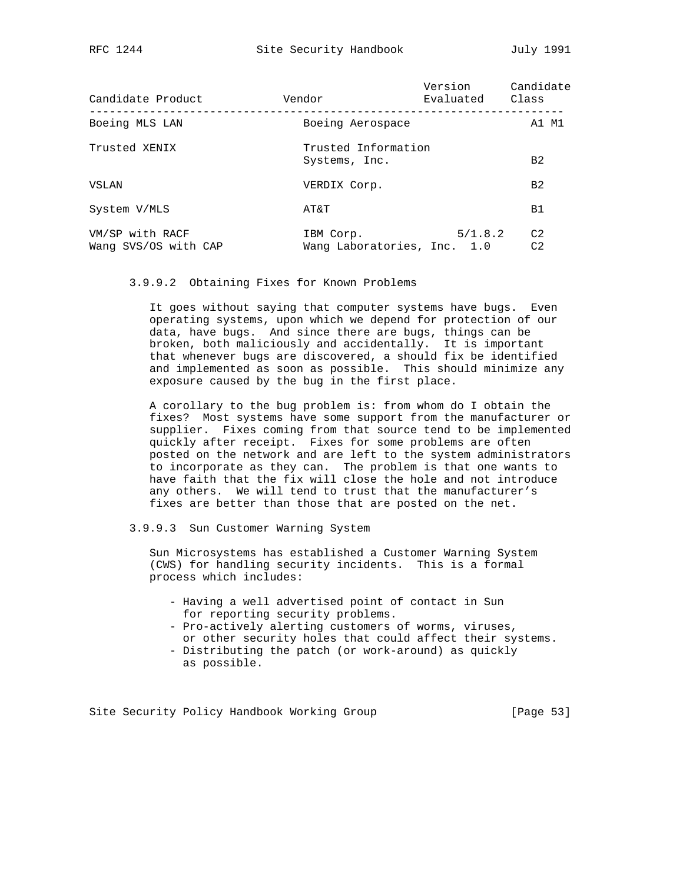| Candidate Product                       | Vendor                                   | Version<br>Evaluated | Candidate<br>Class |
|-----------------------------------------|------------------------------------------|----------------------|--------------------|
| Boeing MLS LAN                          | Boeing Aerospace                         |                      | A1 M1              |
| Trusted XENIX                           | Trusted Information<br>Systems, Inc.     |                      | B <sub>2</sub>     |
| VSLAN                                   | VERDIX Corp.                             |                      | B <sub>2</sub>     |
| System V/MLS                            | AT&T                                     |                      | B1                 |
| VM/SP with RACF<br>Wang SVS/OS with CAP | IBM Corp.<br>Wang Laboratories, Inc. 1.0 | 5/1.8.2              | C2<br>C2           |

3.9.9.2 Obtaining Fixes for Known Problems

 It goes without saying that computer systems have bugs. Even operating systems, upon which we depend for protection of our data, have bugs. And since there are bugs, things can be broken, both maliciously and accidentally. It is important that whenever bugs are discovered, a should fix be identified and implemented as soon as possible. This should minimize any exposure caused by the bug in the first place.

 A corollary to the bug problem is: from whom do I obtain the fixes? Most systems have some support from the manufacturer or supplier. Fixes coming from that source tend to be implemented quickly after receipt. Fixes for some problems are often posted on the network and are left to the system administrators to incorporate as they can. The problem is that one wants to have faith that the fix will close the hole and not introduce any others. We will tend to trust that the manufacturer's fixes are better than those that are posted on the net.

3.9.9.3 Sun Customer Warning System

 Sun Microsystems has established a Customer Warning System (CWS) for handling security incidents. This is a formal process which includes:

- Having a well advertised point of contact in Sun for reporting security problems.
- Pro-actively alerting customers of worms, viruses, or other security holes that could affect their systems.
- Distributing the patch (or work-around) as quickly as possible.

Site Security Policy Handbook Working Group [Page 53]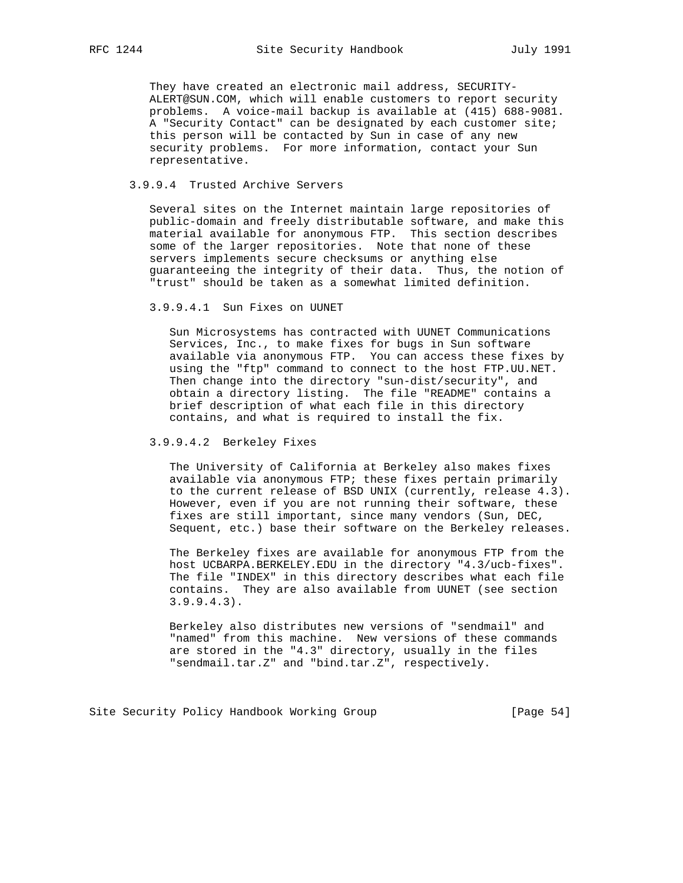They have created an electronic mail address, SECURITY- ALERT@SUN.COM, which will enable customers to report security problems. A voice-mail backup is available at (415) 688-9081. A "Security Contact" can be designated by each customer site; this person will be contacted by Sun in case of any new security problems. For more information, contact your Sun representative.

### 3.9.9.4 Trusted Archive Servers

 Several sites on the Internet maintain large repositories of public-domain and freely distributable software, and make this material available for anonymous FTP. This section describes some of the larger repositories. Note that none of these servers implements secure checksums or anything else guaranteeing the integrity of their data. Thus, the notion of "trust" should be taken as a somewhat limited definition.

### 3.9.9.4.1 Sun Fixes on UUNET

 Sun Microsystems has contracted with UUNET Communications Services, Inc., to make fixes for bugs in Sun software available via anonymous FTP. You can access these fixes by using the "ftp" command to connect to the host FTP.UU.NET. Then change into the directory "sun-dist/security", and obtain a directory listing. The file "README" contains a brief description of what each file in this directory contains, and what is required to install the fix.

### 3.9.9.4.2 Berkeley Fixes

 The University of California at Berkeley also makes fixes available via anonymous FTP; these fixes pertain primarily to the current release of BSD UNIX (currently, release 4.3). However, even if you are not running their software, these fixes are still important, since many vendors (Sun, DEC, Sequent, etc.) base their software on the Berkeley releases.

 The Berkeley fixes are available for anonymous FTP from the host UCBARPA.BERKELEY.EDU in the directory "4.3/ucb-fixes". The file "INDEX" in this directory describes what each file contains. They are also available from UUNET (see section 3.9.9.4.3).

 Berkeley also distributes new versions of "sendmail" and "named" from this machine. New versions of these commands are stored in the "4.3" directory, usually in the files "sendmail.tar.Z" and "bind.tar.Z", respectively.

Site Security Policy Handbook Working Group [Page 54]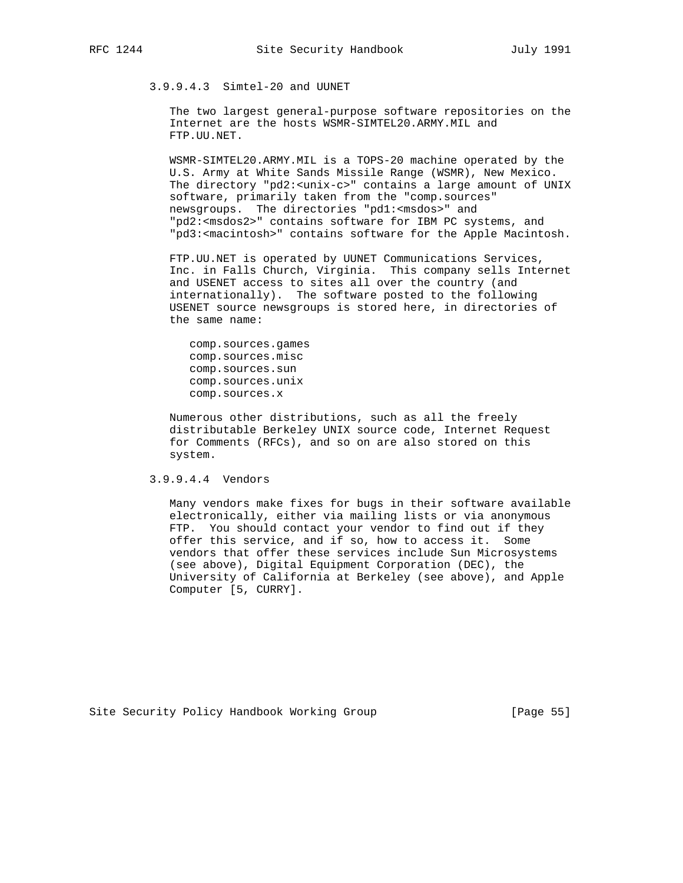# 3.9.9.4.3 Simtel-20 and UUNET

 The two largest general-purpose software repositories on the Internet are the hosts WSMR-SIMTEL20.ARMY.MIL and FTP.UU.NET.

 WSMR-SIMTEL20.ARMY.MIL is a TOPS-20 machine operated by the U.S. Army at White Sands Missile Range (WSMR), New Mexico. The directory "pd2:<unix-c>" contains a large amount of UNIX software, primarily taken from the "comp.sources" newsgroups. The directories "pd1:<msdos>" and "pd2:<msdos2>" contains software for IBM PC systems, and "pd3:<macintosh>" contains software for the Apple Macintosh.

 FTP.UU.NET is operated by UUNET Communications Services, Inc. in Falls Church, Virginia. This company sells Internet and USENET access to sites all over the country (and internationally). The software posted to the following USENET source newsgroups is stored here, in directories of the same name:

 comp.sources.games comp.sources.misc comp.sources.sun comp.sources.unix comp.sources.x

 Numerous other distributions, such as all the freely distributable Berkeley UNIX source code, Internet Request for Comments (RFCs), and so on are also stored on this system.

3.9.9.4.4 Vendors

 Many vendors make fixes for bugs in their software available electronically, either via mailing lists or via anonymous FTP. You should contact your vendor to find out if they offer this service, and if so, how to access it. Some vendors that offer these services include Sun Microsystems (see above), Digital Equipment Corporation (DEC), the University of California at Berkeley (see above), and Apple Computer [5, CURRY].

Site Security Policy Handbook Working Group [Page 55]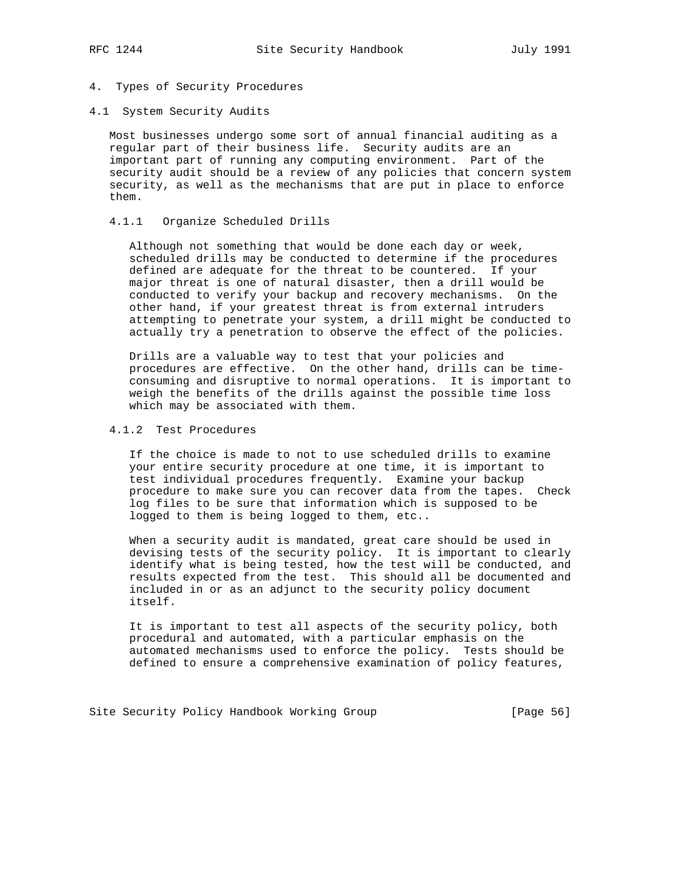### 4. Types of Security Procedures

4.1 System Security Audits

 Most businesses undergo some sort of annual financial auditing as a regular part of their business life. Security audits are an important part of running any computing environment. Part of the security audit should be a review of any policies that concern system security, as well as the mechanisms that are put in place to enforce them.

#### 4.1.1 Organize Scheduled Drills

 Although not something that would be done each day or week, scheduled drills may be conducted to determine if the procedures defined are adequate for the threat to be countered. If your major threat is one of natural disaster, then a drill would be conducted to verify your backup and recovery mechanisms. On the other hand, if your greatest threat is from external intruders attempting to penetrate your system, a drill might be conducted to actually try a penetration to observe the effect of the policies.

 Drills are a valuable way to test that your policies and procedures are effective. On the other hand, drills can be time consuming and disruptive to normal operations. It is important to weigh the benefits of the drills against the possible time loss which may be associated with them.

# 4.1.2 Test Procedures

 If the choice is made to not to use scheduled drills to examine your entire security procedure at one time, it is important to test individual procedures frequently. Examine your backup procedure to make sure you can recover data from the tapes. Check log files to be sure that information which is supposed to be logged to them is being logged to them, etc..

 When a security audit is mandated, great care should be used in devising tests of the security policy. It is important to clearly identify what is being tested, how the test will be conducted, and results expected from the test. This should all be documented and included in or as an adjunct to the security policy document itself.

 It is important to test all aspects of the security policy, both procedural and automated, with a particular emphasis on the automated mechanisms used to enforce the policy. Tests should be defined to ensure a comprehensive examination of policy features,

Site Security Policy Handbook Working Group [Page 56]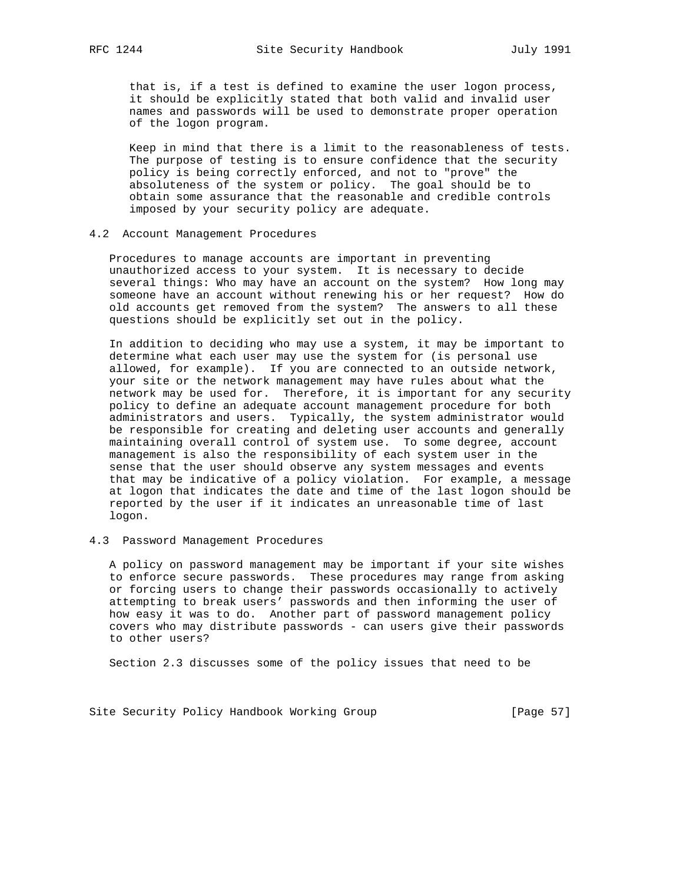that is, if a test is defined to examine the user logon process, it should be explicitly stated that both valid and invalid user names and passwords will be used to demonstrate proper operation of the logon program.

 Keep in mind that there is a limit to the reasonableness of tests. The purpose of testing is to ensure confidence that the security policy is being correctly enforced, and not to "prove" the absoluteness of the system or policy. The goal should be to obtain some assurance that the reasonable and credible controls imposed by your security policy are adequate.

### 4.2 Account Management Procedures

 Procedures to manage accounts are important in preventing unauthorized access to your system. It is necessary to decide several things: Who may have an account on the system? How long may someone have an account without renewing his or her request? How do old accounts get removed from the system? The answers to all these questions should be explicitly set out in the policy.

 In addition to deciding who may use a system, it may be important to determine what each user may use the system for (is personal use allowed, for example). If you are connected to an outside network, your site or the network management may have rules about what the network may be used for. Therefore, it is important for any security policy to define an adequate account management procedure for both administrators and users. Typically, the system administrator would be responsible for creating and deleting user accounts and generally maintaining overall control of system use. To some degree, account management is also the responsibility of each system user in the sense that the user should observe any system messages and events that may be indicative of a policy violation. For example, a message at logon that indicates the date and time of the last logon should be reported by the user if it indicates an unreasonable time of last logon.

#### 4.3 Password Management Procedures

 A policy on password management may be important if your site wishes to enforce secure passwords. These procedures may range from asking or forcing users to change their passwords occasionally to actively attempting to break users' passwords and then informing the user of how easy it was to do. Another part of password management policy covers who may distribute passwords - can users give their passwords to other users?

Section 2.3 discusses some of the policy issues that need to be

Site Security Policy Handbook Working Group [Page 57]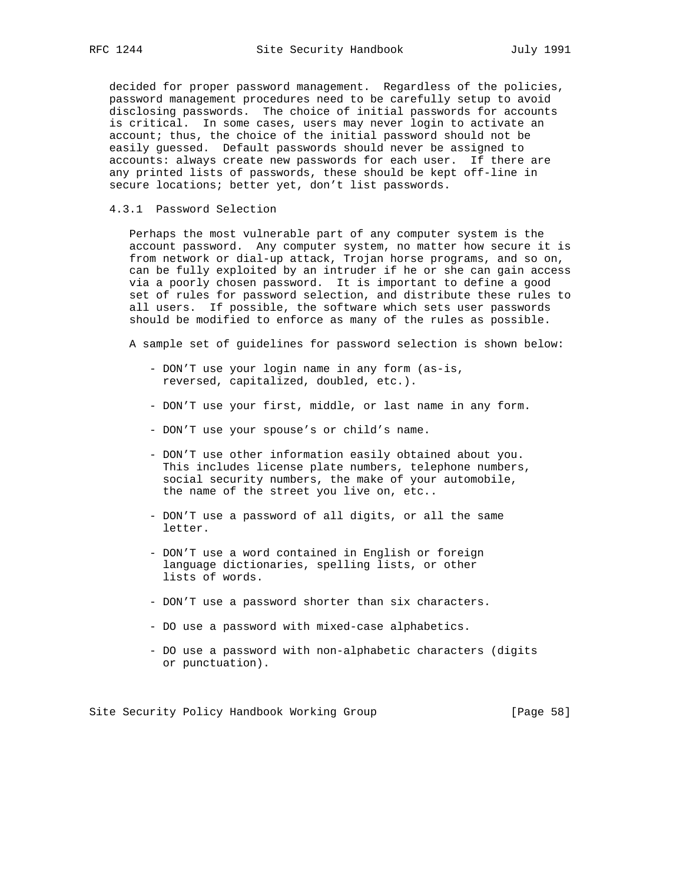decided for proper password management. Regardless of the policies, password management procedures need to be carefully setup to avoid disclosing passwords. The choice of initial passwords for accounts is critical. In some cases, users may never login to activate an account; thus, the choice of the initial password should not be easily guessed. Default passwords should never be assigned to accounts: always create new passwords for each user. If there are any printed lists of passwords, these should be kept off-line in secure locations; better yet, don't list passwords.

#### 4.3.1 Password Selection

 Perhaps the most vulnerable part of any computer system is the account password. Any computer system, no matter how secure it is from network or dial-up attack, Trojan horse programs, and so on, can be fully exploited by an intruder if he or she can gain access via a poorly chosen password. It is important to define a good set of rules for password selection, and distribute these rules to all users. If possible, the software which sets user passwords should be modified to enforce as many of the rules as possible.

A sample set of guidelines for password selection is shown below:

- DON'T use your login name in any form (as-is, reversed, capitalized, doubled, etc.).
- DON'T use your first, middle, or last name in any form.
- DON'T use your spouse's or child's name.
- DON'T use other information easily obtained about you. This includes license plate numbers, telephone numbers, social security numbers, the make of your automobile, the name of the street you live on, etc..
- DON'T use a password of all digits, or all the same letter.
- DON'T use a word contained in English or foreign language dictionaries, spelling lists, or other lists of words.
- DON'T use a password shorter than six characters.
- DO use a password with mixed-case alphabetics.
- DO use a password with non-alphabetic characters (digits or punctuation).

Site Security Policy Handbook Working Group [Page 58]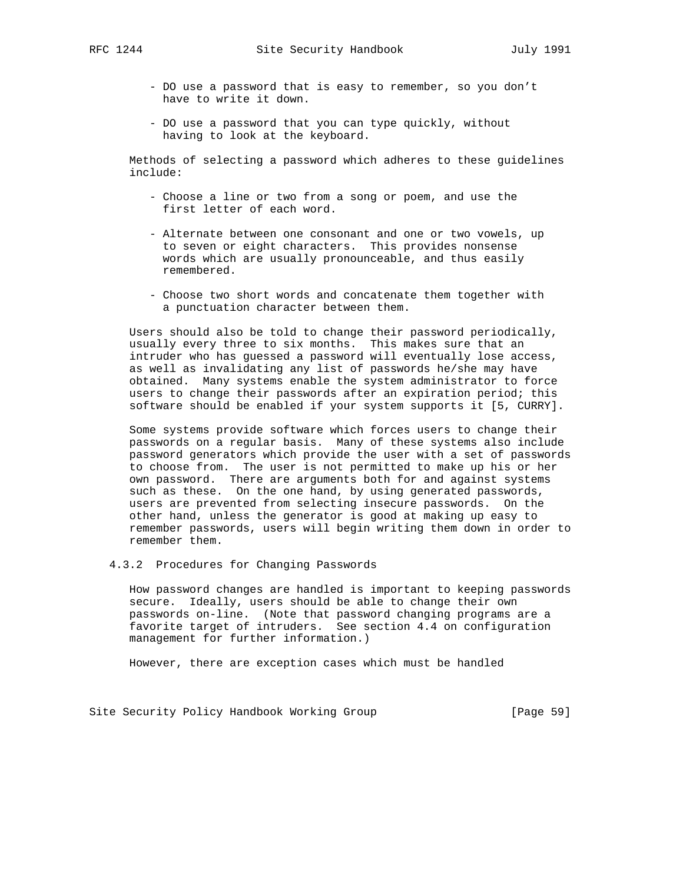- DO use a password that is easy to remember, so you don't have to write it down.
- DO use a password that you can type quickly, without having to look at the keyboard.

 Methods of selecting a password which adheres to these guidelines include:

- Choose a line or two from a song or poem, and use the first letter of each word.
- Alternate between one consonant and one or two vowels, up to seven or eight characters. This provides nonsense words which are usually pronounceable, and thus easily remembered.
- Choose two short words and concatenate them together with a punctuation character between them.

 Users should also be told to change their password periodically, usually every three to six months. This makes sure that an intruder who has guessed a password will eventually lose access, as well as invalidating any list of passwords he/she may have obtained. Many systems enable the system administrator to force users to change their passwords after an expiration period; this software should be enabled if your system supports it [5, CURRY].

 Some systems provide software which forces users to change their passwords on a regular basis. Many of these systems also include password generators which provide the user with a set of passwords to choose from. The user is not permitted to make up his or her own password. There are arguments both for and against systems such as these. On the one hand, by using generated passwords, users are prevented from selecting insecure passwords. On the other hand, unless the generator is good at making up easy to remember passwords, users will begin writing them down in order to remember them.

4.3.2 Procedures for Changing Passwords

 How password changes are handled is important to keeping passwords secure. Ideally, users should be able to change their own passwords on-line. (Note that password changing programs are a favorite target of intruders. See section 4.4 on configuration management for further information.)

However, there are exception cases which must be handled

Site Security Policy Handbook Working Group [Page 59]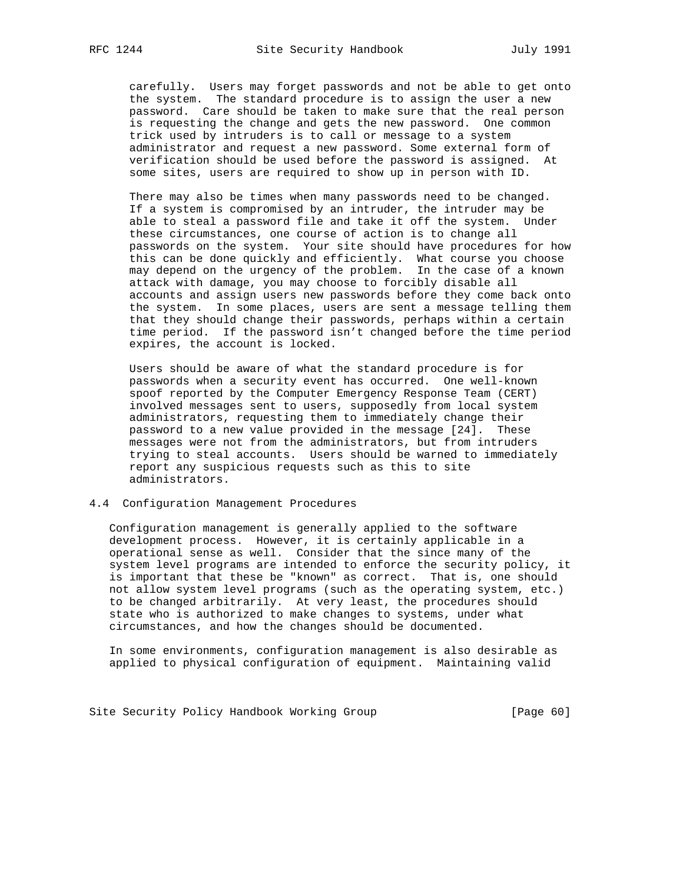carefully. Users may forget passwords and not be able to get onto the system. The standard procedure is to assign the user a new password. Care should be taken to make sure that the real person is requesting the change and gets the new password. One common trick used by intruders is to call or message to a system administrator and request a new password. Some external form of verification should be used before the password is assigned. At some sites, users are required to show up in person with ID.

 There may also be times when many passwords need to be changed. If a system is compromised by an intruder, the intruder may be able to steal a password file and take it off the system. Under these circumstances, one course of action is to change all passwords on the system. Your site should have procedures for how this can be done quickly and efficiently. What course you choose may depend on the urgency of the problem. In the case of a known attack with damage, you may choose to forcibly disable all accounts and assign users new passwords before they come back onto the system. In some places, users are sent a message telling them that they should change their passwords, perhaps within a certain time period. If the password isn't changed before the time period expires, the account is locked.

 Users should be aware of what the standard procedure is for passwords when a security event has occurred. One well-known spoof reported by the Computer Emergency Response Team (CERT) involved messages sent to users, supposedly from local system administrators, requesting them to immediately change their password to a new value provided in the message [24]. These messages were not from the administrators, but from intruders trying to steal accounts. Users should be warned to immediately report any suspicious requests such as this to site administrators.

#### 4.4 Configuration Management Procedures

 Configuration management is generally applied to the software development process. However, it is certainly applicable in a operational sense as well. Consider that the since many of the system level programs are intended to enforce the security policy, it is important that these be "known" as correct. That is, one should not allow system level programs (such as the operating system, etc.) to be changed arbitrarily. At very least, the procedures should state who is authorized to make changes to systems, under what circumstances, and how the changes should be documented.

 In some environments, configuration management is also desirable as applied to physical configuration of equipment. Maintaining valid

Site Security Policy Handbook Working Group [Page 60]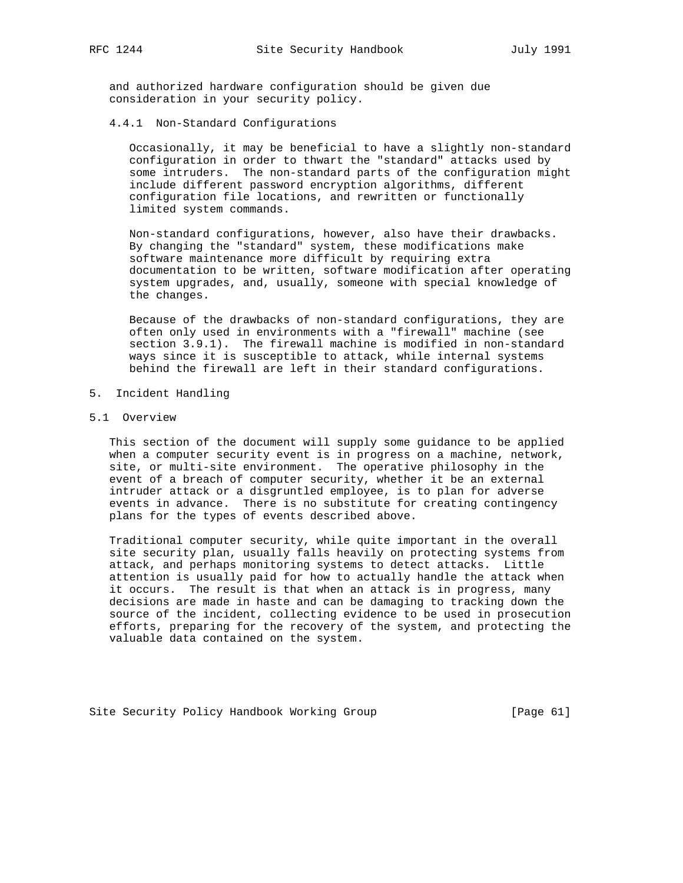and authorized hardware configuration should be given due consideration in your security policy.

4.4.1 Non-Standard Configurations

 Occasionally, it may be beneficial to have a slightly non-standard configuration in order to thwart the "standard" attacks used by some intruders. The non-standard parts of the configuration might include different password encryption algorithms, different configuration file locations, and rewritten or functionally limited system commands.

 Non-standard configurations, however, also have their drawbacks. By changing the "standard" system, these modifications make software maintenance more difficult by requiring extra documentation to be written, software modification after operating system upgrades, and, usually, someone with special knowledge of the changes.

 Because of the drawbacks of non-standard configurations, they are often only used in environments with a "firewall" machine (see section 3.9.1). The firewall machine is modified in non-standard ways since it is susceptible to attack, while internal systems behind the firewall are left in their standard configurations.

- 5. Incident Handling
- 5.1 Overview

 This section of the document will supply some guidance to be applied when a computer security event is in progress on a machine, network, site, or multi-site environment. The operative philosophy in the event of a breach of computer security, whether it be an external intruder attack or a disgruntled employee, is to plan for adverse events in advance. There is no substitute for creating contingency plans for the types of events described above.

 Traditional computer security, while quite important in the overall site security plan, usually falls heavily on protecting systems from attack, and perhaps monitoring systems to detect attacks. Little attention is usually paid for how to actually handle the attack when it occurs. The result is that when an attack is in progress, many decisions are made in haste and can be damaging to tracking down the source of the incident, collecting evidence to be used in prosecution efforts, preparing for the recovery of the system, and protecting the valuable data contained on the system.

Site Security Policy Handbook Working Group [Page 61]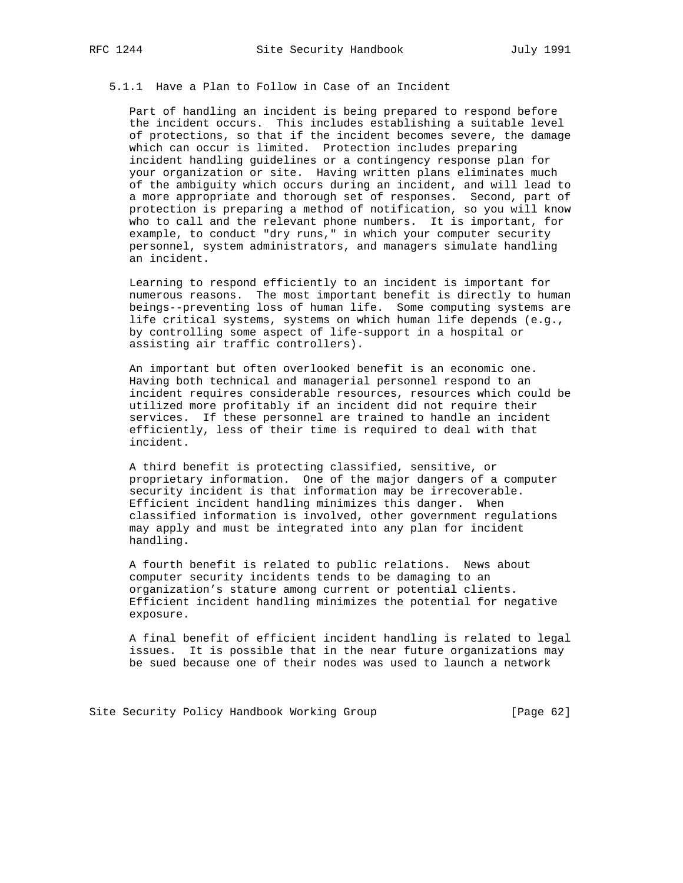## 5.1.1 Have a Plan to Follow in Case of an Incident

 Part of handling an incident is being prepared to respond before the incident occurs. This includes establishing a suitable level of protections, so that if the incident becomes severe, the damage which can occur is limited. Protection includes preparing incident handling guidelines or a contingency response plan for your organization or site. Having written plans eliminates much of the ambiguity which occurs during an incident, and will lead to a more appropriate and thorough set of responses. Second, part of protection is preparing a method of notification, so you will know who to call and the relevant phone numbers. It is important, for example, to conduct "dry runs," in which your computer security personnel, system administrators, and managers simulate handling an incident.

 Learning to respond efficiently to an incident is important for numerous reasons. The most important benefit is directly to human beings--preventing loss of human life. Some computing systems are life critical systems, systems on which human life depends (e.g., by controlling some aspect of life-support in a hospital or assisting air traffic controllers).

 An important but often overlooked benefit is an economic one. Having both technical and managerial personnel respond to an incident requires considerable resources, resources which could be utilized more profitably if an incident did not require their services. If these personnel are trained to handle an incident efficiently, less of their time is required to deal with that incident.

 A third benefit is protecting classified, sensitive, or proprietary information. One of the major dangers of a computer security incident is that information may be irrecoverable. Efficient incident handling minimizes this danger. When classified information is involved, other government regulations may apply and must be integrated into any plan for incident handling.

 A fourth benefit is related to public relations. News about computer security incidents tends to be damaging to an organization's stature among current or potential clients. Efficient incident handling minimizes the potential for negative exposure.

 A final benefit of efficient incident handling is related to legal issues. It is possible that in the near future organizations may be sued because one of their nodes was used to launch a network

Site Security Policy Handbook Working Group [Page 62]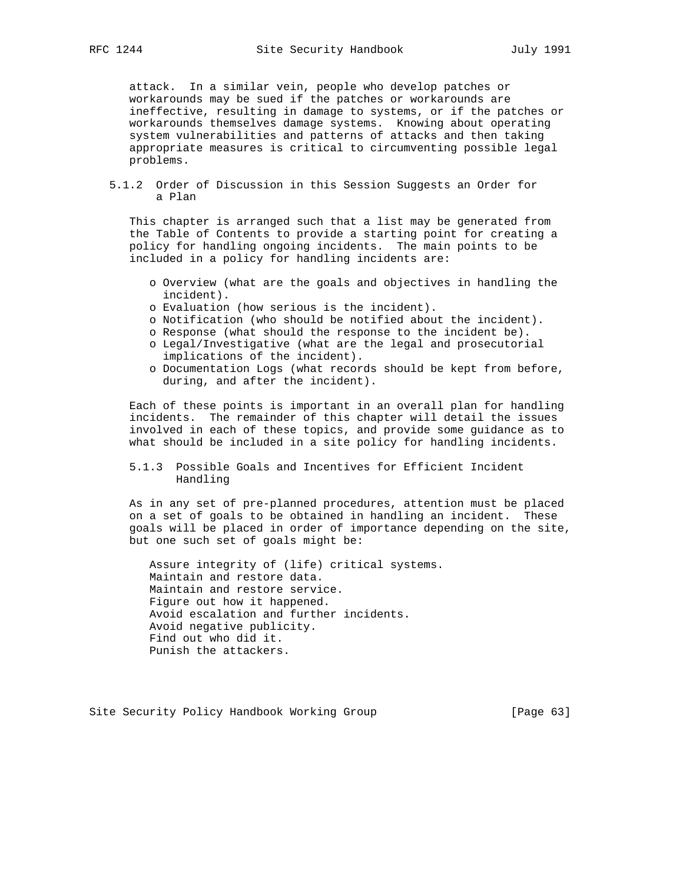attack. In a similar vein, people who develop patches or workarounds may be sued if the patches or workarounds are ineffective, resulting in damage to systems, or if the patches or workarounds themselves damage systems. Knowing about operating system vulnerabilities and patterns of attacks and then taking appropriate measures is critical to circumventing possible legal problems.

 5.1.2 Order of Discussion in this Session Suggests an Order for a Plan

 This chapter is arranged such that a list may be generated from the Table of Contents to provide a starting point for creating a policy for handling ongoing incidents. The main points to be included in a policy for handling incidents are:

- o Overview (what are the goals and objectives in handling the incident).
- o Evaluation (how serious is the incident).
- o Notification (who should be notified about the incident).
- o Response (what should the response to the incident be).
- o Legal/Investigative (what are the legal and prosecutorial implications of the incident).
- o Documentation Logs (what records should be kept from before, during, and after the incident).

 Each of these points is important in an overall plan for handling incidents. The remainder of this chapter will detail the issues involved in each of these topics, and provide some guidance as to what should be included in a site policy for handling incidents.

 5.1.3 Possible Goals and Incentives for Efficient Incident Handling

 As in any set of pre-planned procedures, attention must be placed on a set of goals to be obtained in handling an incident. These goals will be placed in order of importance depending on the site, but one such set of goals might be:

 Assure integrity of (life) critical systems. Maintain and restore data. Maintain and restore service. Figure out how it happened. Avoid escalation and further incidents. Avoid negative publicity. Find out who did it. Punish the attackers.

Site Security Policy Handbook Working Group [Page 63]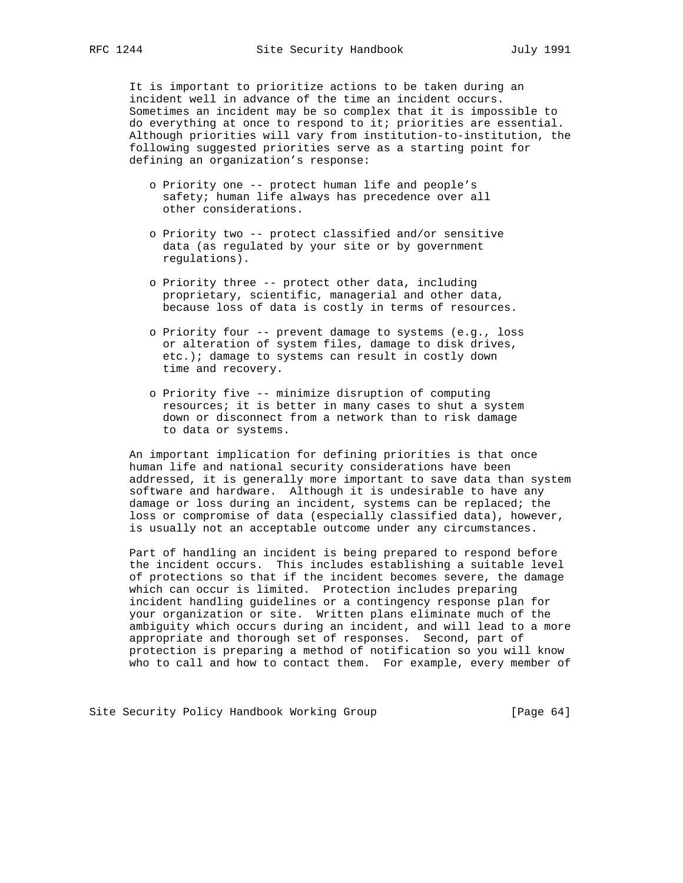It is important to prioritize actions to be taken during an incident well in advance of the time an incident occurs. Sometimes an incident may be so complex that it is impossible to do everything at once to respond to it; priorities are essential. Although priorities will vary from institution-to-institution, the following suggested priorities serve as a starting point for defining an organization's response:

- o Priority one -- protect human life and people's safety; human life always has precedence over all other considerations.
- o Priority two -- protect classified and/or sensitive data (as regulated by your site or by government regulations).
- o Priority three -- protect other data, including proprietary, scientific, managerial and other data, because loss of data is costly in terms of resources.
- o Priority four -- prevent damage to systems (e.g., loss or alteration of system files, damage to disk drives, etc.); damage to systems can result in costly down time and recovery.
- o Priority five -- minimize disruption of computing resources; it is better in many cases to shut a system down or disconnect from a network than to risk damage to data or systems.

 An important implication for defining priorities is that once human life and national security considerations have been addressed, it is generally more important to save data than system software and hardware. Although it is undesirable to have any damage or loss during an incident, systems can be replaced; the loss or compromise of data (especially classified data), however, is usually not an acceptable outcome under any circumstances.

 Part of handling an incident is being prepared to respond before the incident occurs. This includes establishing a suitable level of protections so that if the incident becomes severe, the damage which can occur is limited. Protection includes preparing incident handling guidelines or a contingency response plan for your organization or site. Written plans eliminate much of the ambiguity which occurs during an incident, and will lead to a more appropriate and thorough set of responses. Second, part of protection is preparing a method of notification so you will know who to call and how to contact them. For example, every member of

Site Security Policy Handbook Working Group [Page 64]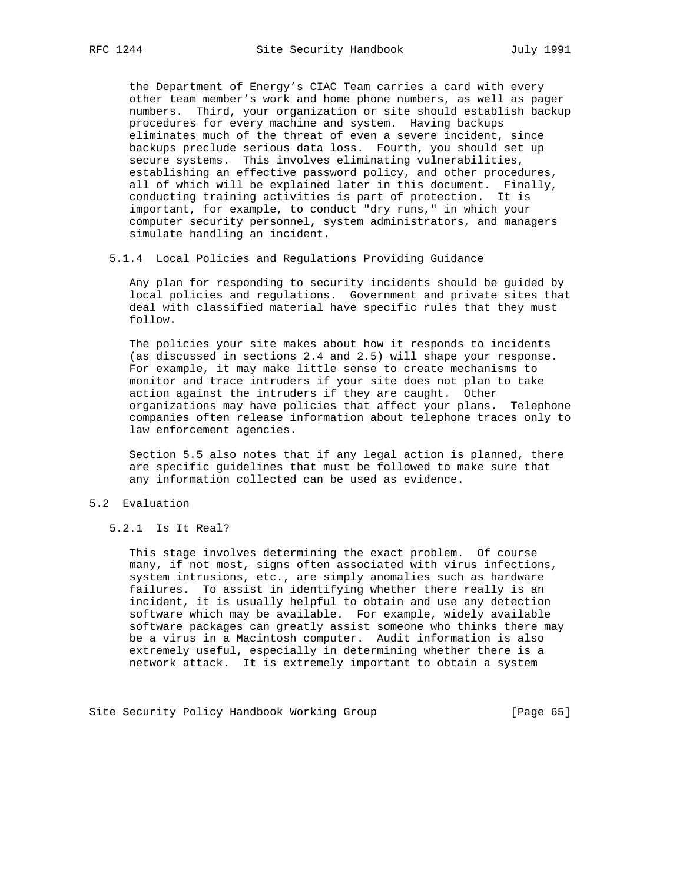the Department of Energy's CIAC Team carries a card with every other team member's work and home phone numbers, as well as pager numbers. Third, your organization or site should establish backup procedures for every machine and system. Having backups eliminates much of the threat of even a severe incident, since backups preclude serious data loss. Fourth, you should set up secure systems. This involves eliminating vulnerabilities, establishing an effective password policy, and other procedures, all of which will be explained later in this document. Finally, conducting training activities is part of protection. It is important, for example, to conduct "dry runs," in which your computer security personnel, system administrators, and managers simulate handling an incident.

5.1.4 Local Policies and Regulations Providing Guidance

 Any plan for responding to security incidents should be guided by local policies and regulations. Government and private sites that deal with classified material have specific rules that they must follow.

 The policies your site makes about how it responds to incidents (as discussed in sections 2.4 and 2.5) will shape your response. For example, it may make little sense to create mechanisms to monitor and trace intruders if your site does not plan to take action against the intruders if they are caught. Other organizations may have policies that affect your plans. Telephone companies often release information about telephone traces only to law enforcement agencies.

 Section 5.5 also notes that if any legal action is planned, there are specific guidelines that must be followed to make sure that any information collected can be used as evidence.

#### 5.2 Evaluation

5.2.1 Is It Real?

 This stage involves determining the exact problem. Of course many, if not most, signs often associated with virus infections, system intrusions, etc., are simply anomalies such as hardware failures. To assist in identifying whether there really is an incident, it is usually helpful to obtain and use any detection software which may be available. For example, widely available software packages can greatly assist someone who thinks there may be a virus in a Macintosh computer. Audit information is also extremely useful, especially in determining whether there is a network attack. It is extremely important to obtain a system

Site Security Policy Handbook Working Group [Page 65]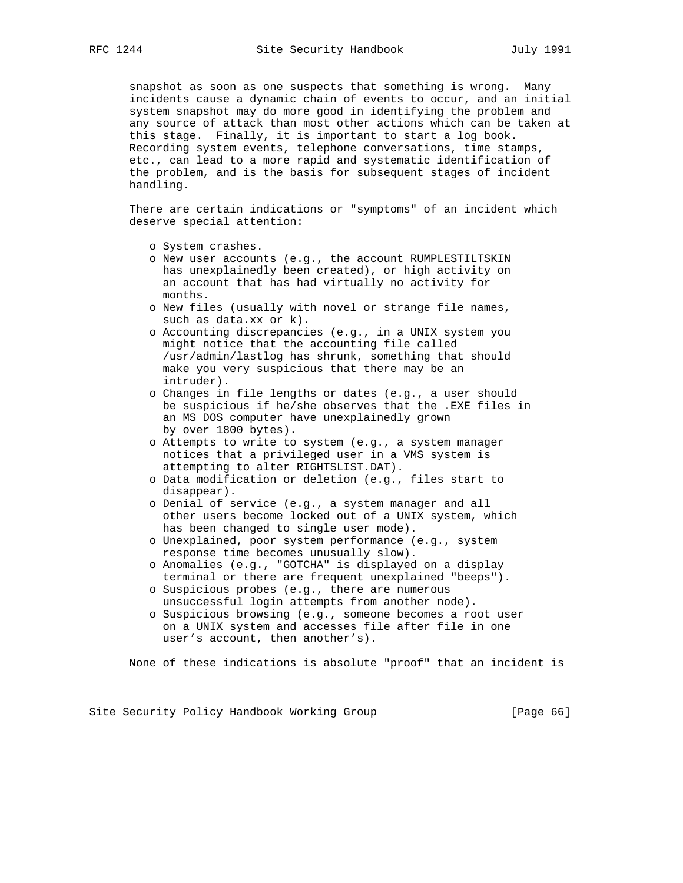snapshot as soon as one suspects that something is wrong. Many incidents cause a dynamic chain of events to occur, and an initial system snapshot may do more good in identifying the problem and any source of attack than most other actions which can be taken at this stage. Finally, it is important to start a log book. Recording system events, telephone conversations, time stamps, etc., can lead to a more rapid and systematic identification of the problem, and is the basis for subsequent stages of incident handling.

 There are certain indications or "symptoms" of an incident which deserve special attention:

- o System crashes.
- o New user accounts (e.g., the account RUMPLESTILTSKIN has unexplainedly been created), or high activity on an account that has had virtually no activity for months.
- o New files (usually with novel or strange file names, such as data.xx or k).
- o Accounting discrepancies (e.g., in a UNIX system you might notice that the accounting file called /usr/admin/lastlog has shrunk, something that should make you very suspicious that there may be an intruder).
- o Changes in file lengths or dates (e.g., a user should be suspicious if he/she observes that the .EXE files in an MS DOS computer have unexplainedly grown by over 1800 bytes).
- o Attempts to write to system (e.g., a system manager notices that a privileged user in a VMS system is attempting to alter RIGHTSLIST.DAT).
- o Data modification or deletion (e.g., files start to disappear).
- o Denial of service (e.g., a system manager and all other users become locked out of a UNIX system, which has been changed to single user mode).
- o Unexplained, poor system performance (e.g., system response time becomes unusually slow).
- o Anomalies (e.g., "GOTCHA" is displayed on a display terminal or there are frequent unexplained "beeps").
- o Suspicious probes (e.g., there are numerous unsuccessful login attempts from another node).
- o Suspicious browsing (e.g., someone becomes a root user on a UNIX system and accesses file after file in one user's account, then another's).

None of these indications is absolute "proof" that an incident is

Site Security Policy Handbook Working Group [Page 66]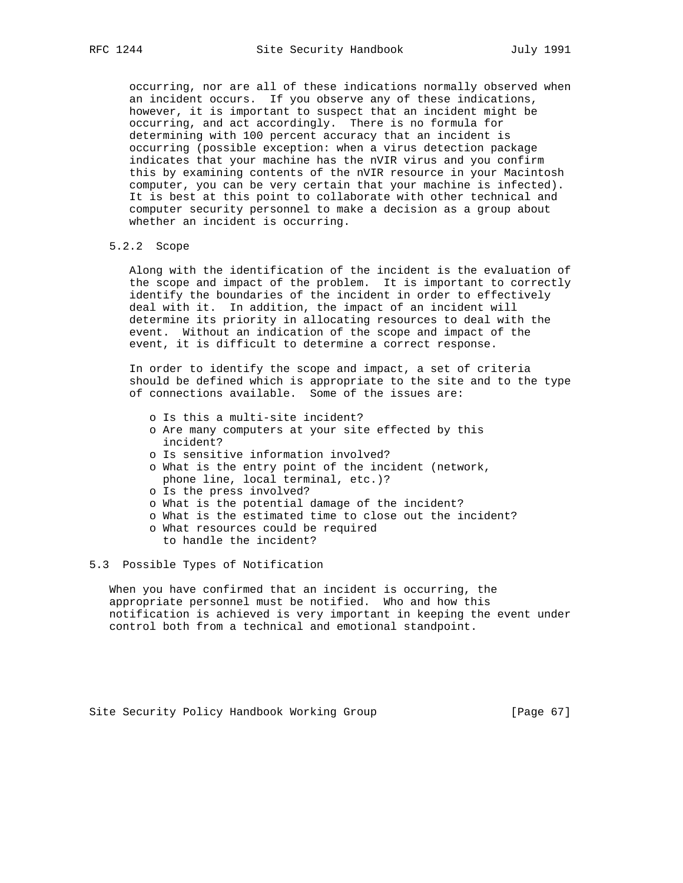occurring, nor are all of these indications normally observed when an incident occurs. If you observe any of these indications, however, it is important to suspect that an incident might be occurring, and act accordingly. There is no formula for determining with 100 percent accuracy that an incident is occurring (possible exception: when a virus detection package indicates that your machine has the nVIR virus and you confirm this by examining contents of the nVIR resource in your Macintosh computer, you can be very certain that your machine is infected). It is best at this point to collaborate with other technical and computer security personnel to make a decision as a group about whether an incident is occurring.

# 5.2.2 Scope

 Along with the identification of the incident is the evaluation of the scope and impact of the problem. It is important to correctly identify the boundaries of the incident in order to effectively deal with it. In addition, the impact of an incident will determine its priority in allocating resources to deal with the event. Without an indication of the scope and impact of the event, it is difficult to determine a correct response.

 In order to identify the scope and impact, a set of criteria should be defined which is appropriate to the site and to the type of connections available. Some of the issues are:

- o Is this a multi-site incident?
- o Are many computers at your site effected by this incident?
- o Is sensitive information involved?
- o What is the entry point of the incident (network, phone line, local terminal, etc.)?
- o Is the press involved?
- o What is the potential damage of the incident?
- o What is the estimated time to close out the incident?
- o What resources could be required to handle the incident?

### 5.3 Possible Types of Notification

 When you have confirmed that an incident is occurring, the appropriate personnel must be notified. Who and how this notification is achieved is very important in keeping the event under control both from a technical and emotional standpoint.

Site Security Policy Handbook Working Group [Page 67]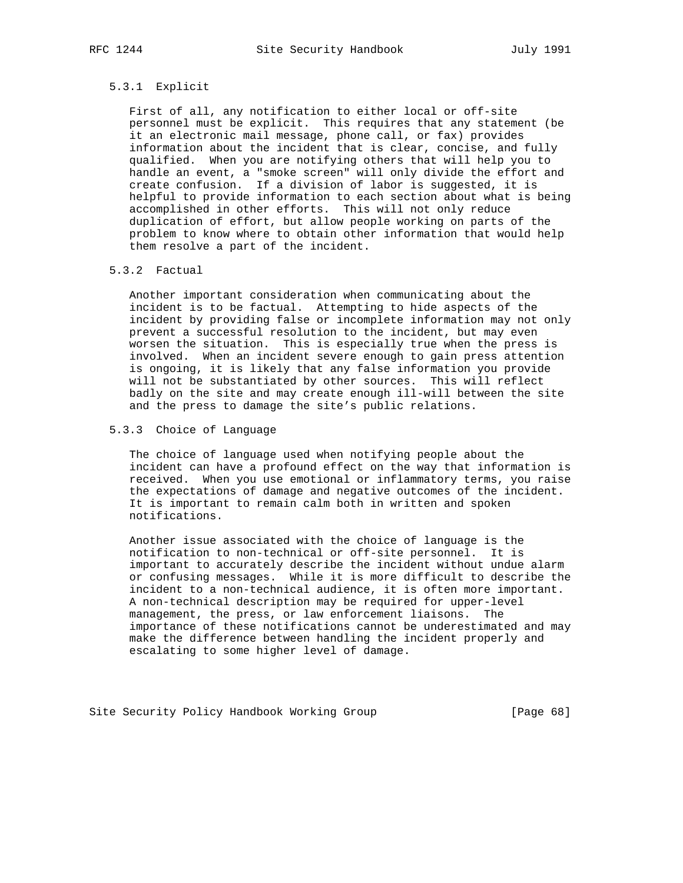## 5.3.1 Explicit

 First of all, any notification to either local or off-site personnel must be explicit. This requires that any statement (be it an electronic mail message, phone call, or fax) provides information about the incident that is clear, concise, and fully qualified. When you are notifying others that will help you to handle an event, a "smoke screen" will only divide the effort and create confusion. If a division of labor is suggested, it is helpful to provide information to each section about what is being accomplished in other efforts. This will not only reduce duplication of effort, but allow people working on parts of the problem to know where to obtain other information that would help them resolve a part of the incident.

### 5.3.2 Factual

 Another important consideration when communicating about the incident is to be factual. Attempting to hide aspects of the incident by providing false or incomplete information may not only prevent a successful resolution to the incident, but may even worsen the situation. This is especially true when the press is involved. When an incident severe enough to gain press attention is ongoing, it is likely that any false information you provide will not be substantiated by other sources. This will reflect badly on the site and may create enough ill-will between the site and the press to damage the site's public relations.

### 5.3.3 Choice of Language

 The choice of language used when notifying people about the incident can have a profound effect on the way that information is received. When you use emotional or inflammatory terms, you raise the expectations of damage and negative outcomes of the incident. It is important to remain calm both in written and spoken notifications.

 Another issue associated with the choice of language is the notification to non-technical or off-site personnel. It is important to accurately describe the incident without undue alarm or confusing messages. While it is more difficult to describe the incident to a non-technical audience, it is often more important. A non-technical description may be required for upper-level management, the press, or law enforcement liaisons. The importance of these notifications cannot be underestimated and may make the difference between handling the incident properly and escalating to some higher level of damage.

Site Security Policy Handbook Working Group [Page 68]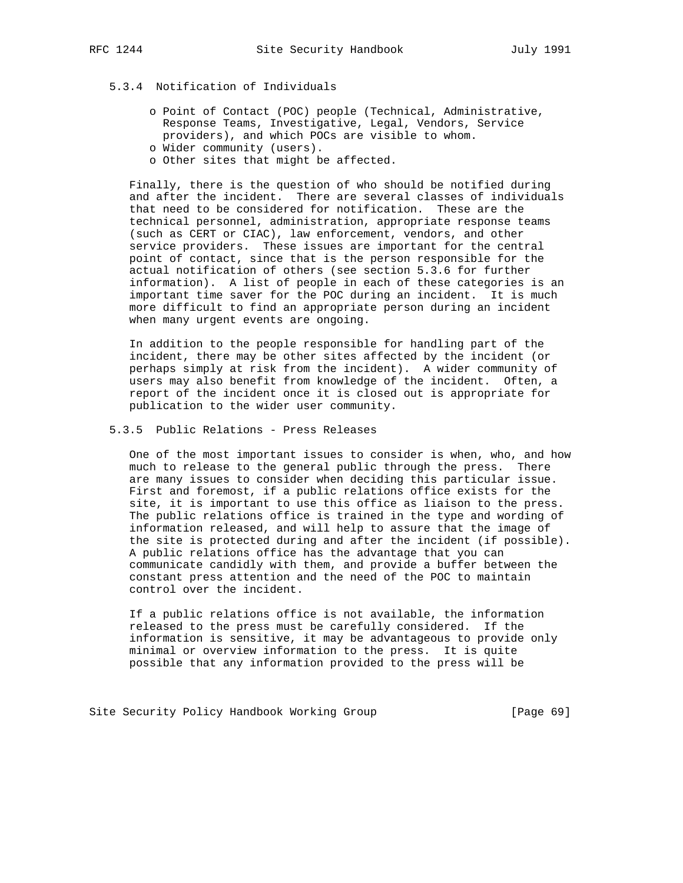# 5.3.4 Notification of Individuals

- o Point of Contact (POC) people (Technical, Administrative, Response Teams, Investigative, Legal, Vendors, Service providers), and which POCs are visible to whom. o Wider community (users).
- 
- o Other sites that might be affected.

 Finally, there is the question of who should be notified during and after the incident. There are several classes of individuals that need to be considered for notification. These are the technical personnel, administration, appropriate response teams (such as CERT or CIAC), law enforcement, vendors, and other service providers. These issues are important for the central point of contact, since that is the person responsible for the actual notification of others (see section 5.3.6 for further information). A list of people in each of these categories is an important time saver for the POC during an incident. It is much more difficult to find an appropriate person during an incident when many urgent events are ongoing.

 In addition to the people responsible for handling part of the incident, there may be other sites affected by the incident (or perhaps simply at risk from the incident). A wider community of users may also benefit from knowledge of the incident. Often, a report of the incident once it is closed out is appropriate for publication to the wider user community.

5.3.5 Public Relations - Press Releases

 One of the most important issues to consider is when, who, and how much to release to the general public through the press. There are many issues to consider when deciding this particular issue. First and foremost, if a public relations office exists for the site, it is important to use this office as liaison to the press. The public relations office is trained in the type and wording of information released, and will help to assure that the image of the site is protected during and after the incident (if possible). A public relations office has the advantage that you can communicate candidly with them, and provide a buffer between the constant press attention and the need of the POC to maintain control over the incident.

 If a public relations office is not available, the information released to the press must be carefully considered. If the information is sensitive, it may be advantageous to provide only minimal or overview information to the press. It is quite possible that any information provided to the press will be

Site Security Policy Handbook Working Group [Page 69]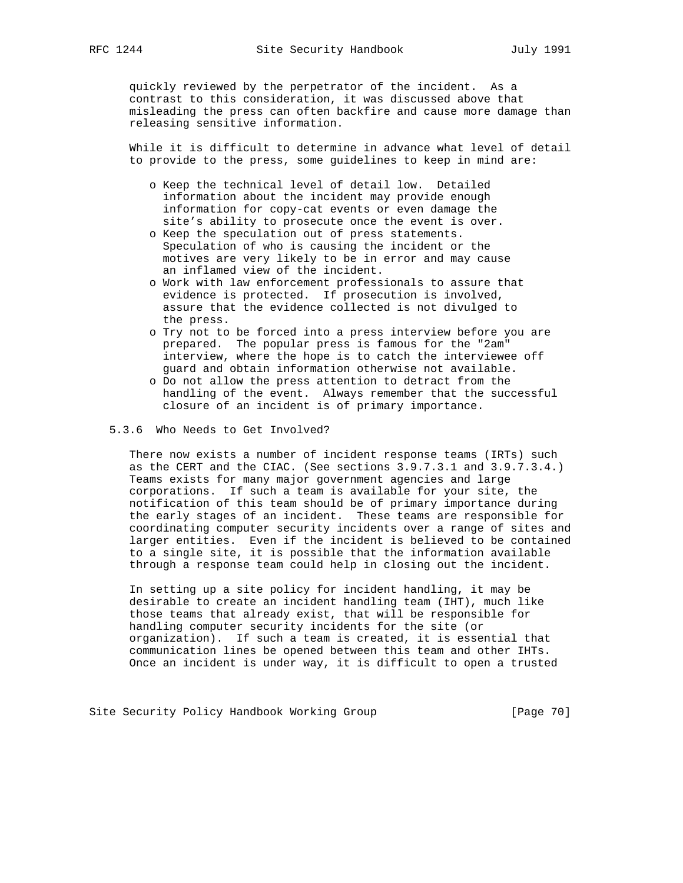quickly reviewed by the perpetrator of the incident. As a contrast to this consideration, it was discussed above that misleading the press can often backfire and cause more damage than releasing sensitive information.

 While it is difficult to determine in advance what level of detail to provide to the press, some guidelines to keep in mind are:

- o Keep the technical level of detail low. Detailed information about the incident may provide enough information for copy-cat events or even damage the site's ability to prosecute once the event is over.
- o Keep the speculation out of press statements. Speculation of who is causing the incident or the motives are very likely to be in error and may cause an inflamed view of the incident.
- o Work with law enforcement professionals to assure that evidence is protected. If prosecution is involved, assure that the evidence collected is not divulged to the press.
- o Try not to be forced into a press interview before you are prepared. The popular press is famous for the "2am" interview, where the hope is to catch the interviewee off guard and obtain information otherwise not available.
- o Do not allow the press attention to detract from the handling of the event. Always remember that the successful closure of an incident is of primary importance.
	- 5.3.6 Who Needs to Get Involved?

 There now exists a number of incident response teams (IRTs) such as the CERT and the CIAC. (See sections 3.9.7.3.1 and 3.9.7.3.4.) Teams exists for many major government agencies and large corporations. If such a team is available for your site, the notification of this team should be of primary importance during the early stages of an incident. These teams are responsible for coordinating computer security incidents over a range of sites and larger entities. Even if the incident is believed to be contained to a single site, it is possible that the information available through a response team could help in closing out the incident.

 In setting up a site policy for incident handling, it may be desirable to create an incident handling team (IHT), much like those teams that already exist, that will be responsible for handling computer security incidents for the site (or organization). If such a team is created, it is essential that communication lines be opened between this team and other IHTs. Once an incident is under way, it is difficult to open a trusted

Site Security Policy Handbook Working Group [Page 70]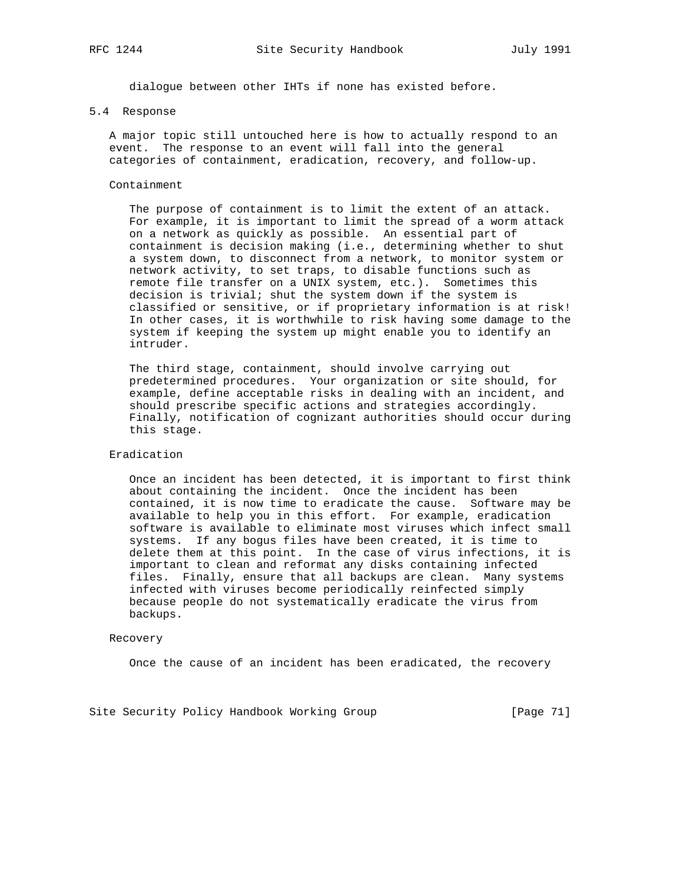dialogue between other IHTs if none has existed before.

#### 5.4 Response

 A major topic still untouched here is how to actually respond to an event. The response to an event will fall into the general categories of containment, eradication, recovery, and follow-up.

#### Containment

 The purpose of containment is to limit the extent of an attack. For example, it is important to limit the spread of a worm attack on a network as quickly as possible. An essential part of containment is decision making (i.e., determining whether to shut a system down, to disconnect from a network, to monitor system or network activity, to set traps, to disable functions such as remote file transfer on a UNIX system, etc.). Sometimes this decision is trivial; shut the system down if the system is classified or sensitive, or if proprietary information is at risk! In other cases, it is worthwhile to risk having some damage to the system if keeping the system up might enable you to identify an intruder.

 The third stage, containment, should involve carrying out predetermined procedures. Your organization or site should, for example, define acceptable risks in dealing with an incident, and should prescribe specific actions and strategies accordingly. Finally, notification of cognizant authorities should occur during this stage.

# Eradication

 Once an incident has been detected, it is important to first think about containing the incident. Once the incident has been contained, it is now time to eradicate the cause. Software may be available to help you in this effort. For example, eradication software is available to eliminate most viruses which infect small systems. If any bogus files have been created, it is time to delete them at this point. In the case of virus infections, it is important to clean and reformat any disks containing infected files. Finally, ensure that all backups are clean. Many systems infected with viruses become periodically reinfected simply because people do not systematically eradicate the virus from backups.

#### Recovery

Once the cause of an incident has been eradicated, the recovery

Site Security Policy Handbook Working Group [Page 71]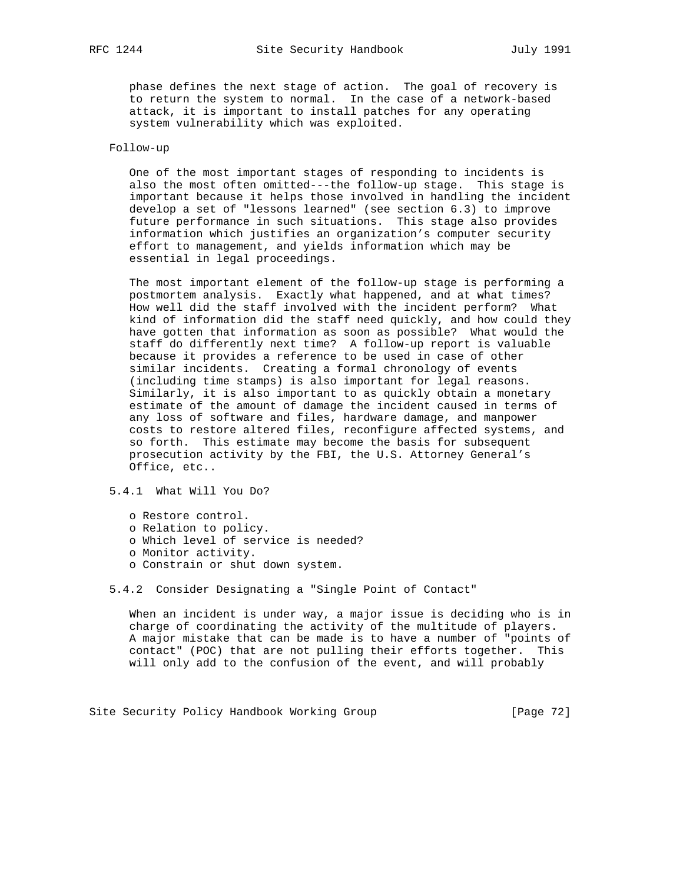phase defines the next stage of action. The goal of recovery is to return the system to normal. In the case of a network-based attack, it is important to install patches for any operating system vulnerability which was exploited.

#### Follow-up

 One of the most important stages of responding to incidents is also the most often omitted---the follow-up stage. This stage is important because it helps those involved in handling the incident develop a set of "lessons learned" (see section 6.3) to improve future performance in such situations. This stage also provides information which justifies an organization's computer security effort to management, and yields information which may be essential in legal proceedings.

 The most important element of the follow-up stage is performing a postmortem analysis. Exactly what happened, and at what times? How well did the staff involved with the incident perform? What kind of information did the staff need quickly, and how could they have gotten that information as soon as possible? What would the staff do differently next time? A follow-up report is valuable because it provides a reference to be used in case of other similar incidents. Creating a formal chronology of events (including time stamps) is also important for legal reasons. Similarly, it is also important to as quickly obtain a monetary estimate of the amount of damage the incident caused in terms of any loss of software and files, hardware damage, and manpower costs to restore altered files, reconfigure affected systems, and so forth. This estimate may become the basis for subsequent prosecution activity by the FBI, the U.S. Attorney General's Office, etc..

5.4.1 What Will You Do?

- o Restore control.
- o Relation to policy.
- o Which level of service is needed?
- o Monitor activity.
- o Constrain or shut down system.

5.4.2 Consider Designating a "Single Point of Contact"

 When an incident is under way, a major issue is deciding who is in charge of coordinating the activity of the multitude of players. A major mistake that can be made is to have a number of "points of contact" (POC) that are not pulling their efforts together. This will only add to the confusion of the event, and will probably

Site Security Policy Handbook Working Group [Page 72]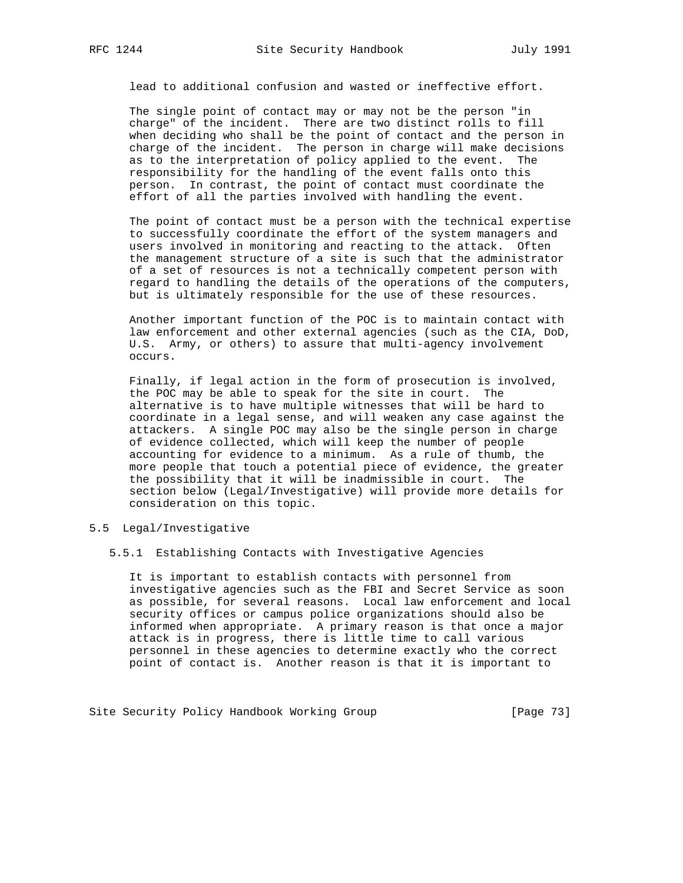lead to additional confusion and wasted or ineffective effort.

 The single point of contact may or may not be the person "in charge" of the incident. There are two distinct rolls to fill when deciding who shall be the point of contact and the person in charge of the incident. The person in charge will make decisions as to the interpretation of policy applied to the event. The responsibility for the handling of the event falls onto this person. In contrast, the point of contact must coordinate the effort of all the parties involved with handling the event.

 The point of contact must be a person with the technical expertise to successfully coordinate the effort of the system managers and users involved in monitoring and reacting to the attack. Often the management structure of a site is such that the administrator of a set of resources is not a technically competent person with regard to handling the details of the operations of the computers, but is ultimately responsible for the use of these resources.

 Another important function of the POC is to maintain contact with law enforcement and other external agencies (such as the CIA, DoD, U.S. Army, or others) to assure that multi-agency involvement occurs.

 Finally, if legal action in the form of prosecution is involved, the POC may be able to speak for the site in court. The alternative is to have multiple witnesses that will be hard to coordinate in a legal sense, and will weaken any case against the attackers. A single POC may also be the single person in charge of evidence collected, which will keep the number of people accounting for evidence to a minimum. As a rule of thumb, the more people that touch a potential piece of evidence, the greater the possibility that it will be inadmissible in court. The section below (Legal/Investigative) will provide more details for consideration on this topic.

5.5 Legal/Investigative

## 5.5.1 Establishing Contacts with Investigative Agencies

 It is important to establish contacts with personnel from investigative agencies such as the FBI and Secret Service as soon as possible, for several reasons. Local law enforcement and local security offices or campus police organizations should also be informed when appropriate. A primary reason is that once a major attack is in progress, there is little time to call various personnel in these agencies to determine exactly who the correct point of contact is. Another reason is that it is important to

Site Security Policy Handbook Working Group [Page 73]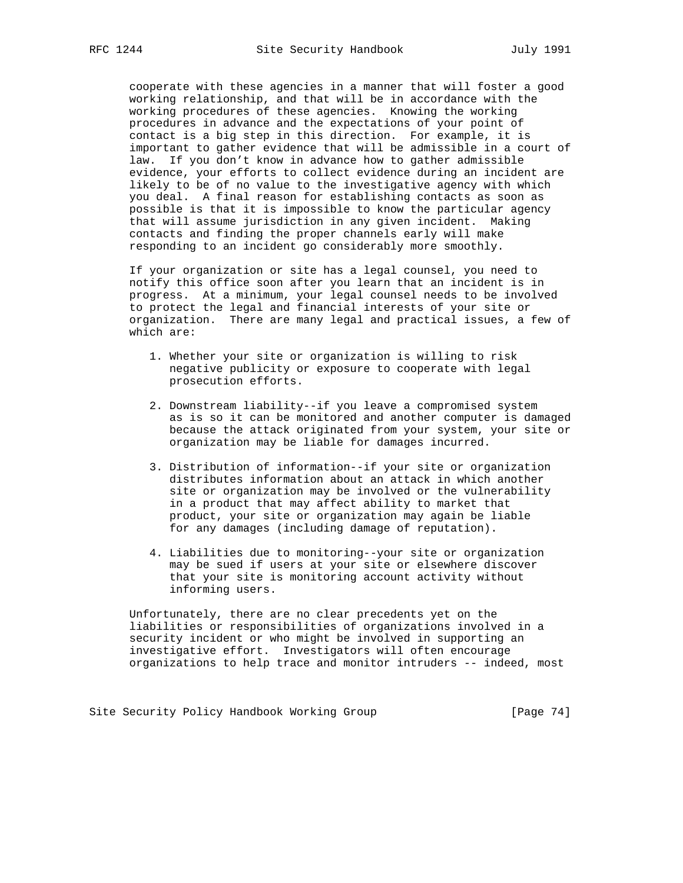cooperate with these agencies in a manner that will foster a good working relationship, and that will be in accordance with the working procedures of these agencies. Knowing the working procedures in advance and the expectations of your point of contact is a big step in this direction. For example, it is important to gather evidence that will be admissible in a court of law. If you don't know in advance how to gather admissible evidence, your efforts to collect evidence during an incident are likely to be of no value to the investigative agency with which you deal. A final reason for establishing contacts as soon as possible is that it is impossible to know the particular agency that will assume jurisdiction in any given incident. Making contacts and finding the proper channels early will make responding to an incident go considerably more smoothly.

 If your organization or site has a legal counsel, you need to notify this office soon after you learn that an incident is in progress. At a minimum, your legal counsel needs to be involved to protect the legal and financial interests of your site or organization. There are many legal and practical issues, a few of which are:

- 1. Whether your site or organization is willing to risk negative publicity or exposure to cooperate with legal prosecution efforts.
- 2. Downstream liability--if you leave a compromised system as is so it can be monitored and another computer is damaged because the attack originated from your system, your site or organization may be liable for damages incurred.
- 3. Distribution of information--if your site or organization distributes information about an attack in which another site or organization may be involved or the vulnerability in a product that may affect ability to market that product, your site or organization may again be liable for any damages (including damage of reputation).
- 4. Liabilities due to monitoring--your site or organization may be sued if users at your site or elsewhere discover that your site is monitoring account activity without informing users.

 Unfortunately, there are no clear precedents yet on the liabilities or responsibilities of organizations involved in a security incident or who might be involved in supporting an investigative effort. Investigators will often encourage organizations to help trace and monitor intruders -- indeed, most

Site Security Policy Handbook Working Group [Page 74]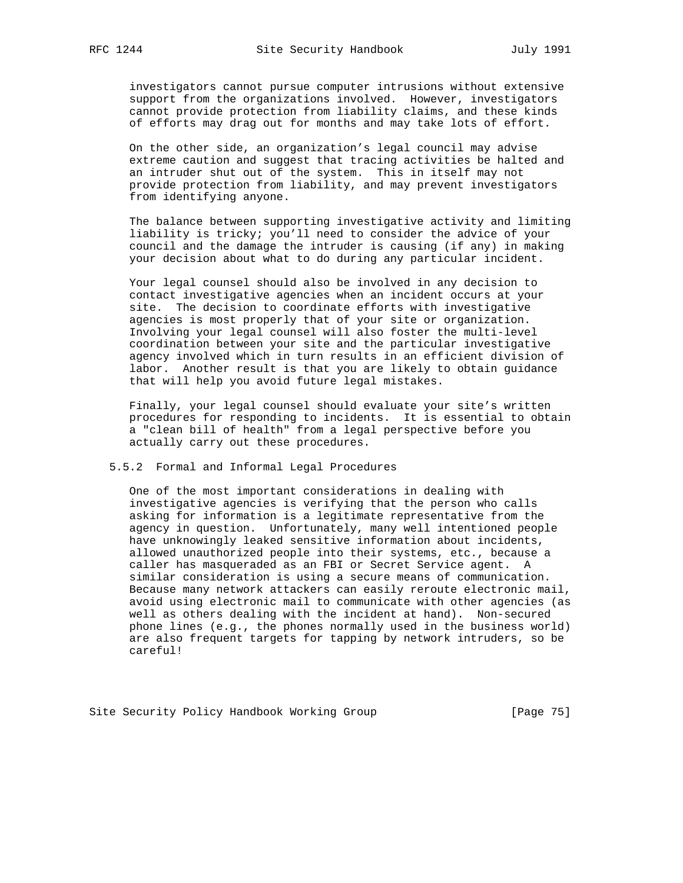investigators cannot pursue computer intrusions without extensive support from the organizations involved. However, investigators cannot provide protection from liability claims, and these kinds of efforts may drag out for months and may take lots of effort.

 On the other side, an organization's legal council may advise extreme caution and suggest that tracing activities be halted and an intruder shut out of the system. This in itself may not provide protection from liability, and may prevent investigators from identifying anyone.

 The balance between supporting investigative activity and limiting liability is tricky; you'll need to consider the advice of your council and the damage the intruder is causing (if any) in making your decision about what to do during any particular incident.

 Your legal counsel should also be involved in any decision to contact investigative agencies when an incident occurs at your site. The decision to coordinate efforts with investigative agencies is most properly that of your site or organization. Involving your legal counsel will also foster the multi-level coordination between your site and the particular investigative agency involved which in turn results in an efficient division of labor. Another result is that you are likely to obtain guidance that will help you avoid future legal mistakes.

 Finally, your legal counsel should evaluate your site's written procedures for responding to incidents. It is essential to obtain a "clean bill of health" from a legal perspective before you actually carry out these procedures.

5.5.2 Formal and Informal Legal Procedures

 One of the most important considerations in dealing with investigative agencies is verifying that the person who calls asking for information is a legitimate representative from the agency in question. Unfortunately, many well intentioned people have unknowingly leaked sensitive information about incidents, allowed unauthorized people into their systems, etc., because a caller has masqueraded as an FBI or Secret Service agent. A similar consideration is using a secure means of communication. Because many network attackers can easily reroute electronic mail, avoid using electronic mail to communicate with other agencies (as well as others dealing with the incident at hand). Non-secured phone lines (e.g., the phones normally used in the business world) are also frequent targets for tapping by network intruders, so be careful!

Site Security Policy Handbook Working Group [Page 75]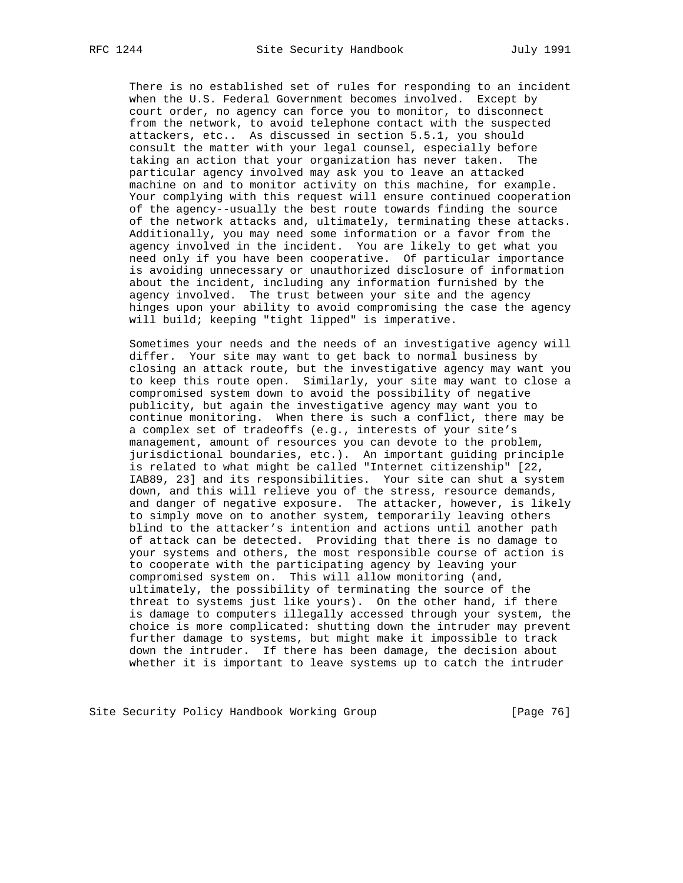There is no established set of rules for responding to an incident when the U.S. Federal Government becomes involved. Except by court order, no agency can force you to monitor, to disconnect from the network, to avoid telephone contact with the suspected attackers, etc.. As discussed in section 5.5.1, you should consult the matter with your legal counsel, especially before taking an action that your organization has never taken. The particular agency involved may ask you to leave an attacked machine on and to monitor activity on this machine, for example. Your complying with this request will ensure continued cooperation of the agency--usually the best route towards finding the source of the network attacks and, ultimately, terminating these attacks. Additionally, you may need some information or a favor from the agency involved in the incident. You are likely to get what you need only if you have been cooperative. Of particular importance is avoiding unnecessary or unauthorized disclosure of information about the incident, including any information furnished by the agency involved. The trust between your site and the agency hinges upon your ability to avoid compromising the case the agency will build; keeping "tight lipped" is imperative.

 Sometimes your needs and the needs of an investigative agency will differ. Your site may want to get back to normal business by closing an attack route, but the investigative agency may want you to keep this route open. Similarly, your site may want to close a compromised system down to avoid the possibility of negative publicity, but again the investigative agency may want you to continue monitoring. When there is such a conflict, there may be a complex set of tradeoffs (e.g., interests of your site's management, amount of resources you can devote to the problem, jurisdictional boundaries, etc.). An important guiding principle is related to what might be called "Internet citizenship" [22, IAB89, 23] and its responsibilities. Your site can shut a system down, and this will relieve you of the stress, resource demands, and danger of negative exposure. The attacker, however, is likely to simply move on to another system, temporarily leaving others blind to the attacker's intention and actions until another path of attack can be detected. Providing that there is no damage to your systems and others, the most responsible course of action is to cooperate with the participating agency by leaving your compromised system on. This will allow monitoring (and, ultimately, the possibility of terminating the source of the threat to systems just like yours). On the other hand, if there is damage to computers illegally accessed through your system, the choice is more complicated: shutting down the intruder may prevent further damage to systems, but might make it impossible to track down the intruder. If there has been damage, the decision about whether it is important to leave systems up to catch the intruder

Site Security Policy Handbook Working Group [Page 76]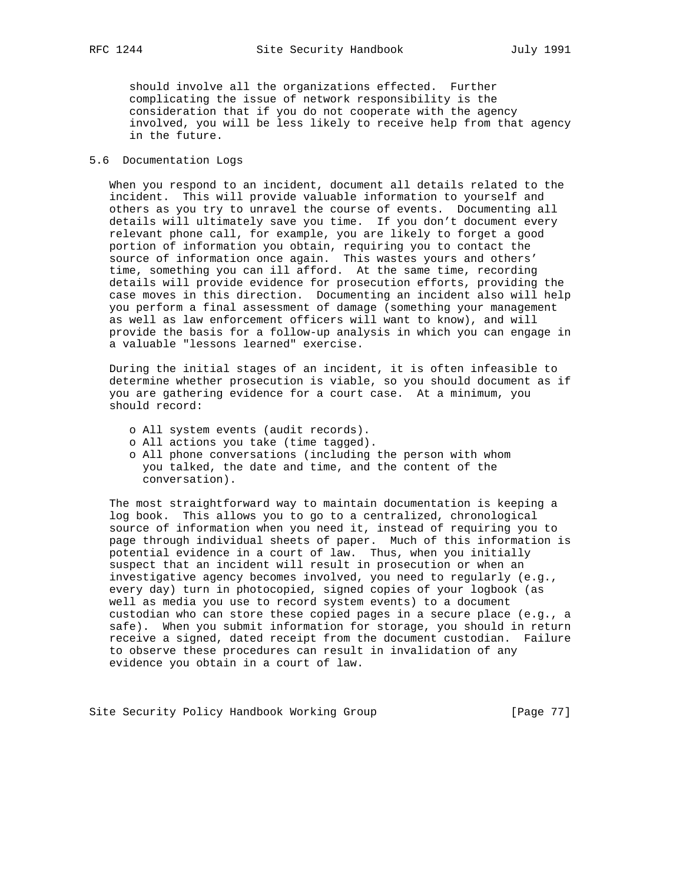should involve all the organizations effected. Further complicating the issue of network responsibility is the consideration that if you do not cooperate with the agency involved, you will be less likely to receive help from that agency in the future.

## 5.6 Documentation Logs

 When you respond to an incident, document all details related to the incident. This will provide valuable information to yourself and others as you try to unravel the course of events. Documenting all details will ultimately save you time. If you don't document every relevant phone call, for example, you are likely to forget a good portion of information you obtain, requiring you to contact the source of information once again. This wastes yours and others' time, something you can ill afford. At the same time, recording details will provide evidence for prosecution efforts, providing the case moves in this direction. Documenting an incident also will help you perform a final assessment of damage (something your management as well as law enforcement officers will want to know), and will provide the basis for a follow-up analysis in which you can engage in a valuable "lessons learned" exercise.

 During the initial stages of an incident, it is often infeasible to determine whether prosecution is viable, so you should document as if you are gathering evidence for a court case. At a minimum, you should record:

- o All system events (audit records).
- o All actions you take (time tagged).
- o All phone conversations (including the person with whom you talked, the date and time, and the content of the conversation).

 The most straightforward way to maintain documentation is keeping a log book. This allows you to go to a centralized, chronological source of information when you need it, instead of requiring you to page through individual sheets of paper. Much of this information is potential evidence in a court of law. Thus, when you initially suspect that an incident will result in prosecution or when an investigative agency becomes involved, you need to regularly (e.g., every day) turn in photocopied, signed copies of your logbook (as well as media you use to record system events) to a document custodian who can store these copied pages in a secure place (e.g., a safe). When you submit information for storage, you should in return receive a signed, dated receipt from the document custodian. Failure to observe these procedures can result in invalidation of any evidence you obtain in a court of law.

Site Security Policy Handbook Working Group [Page 77]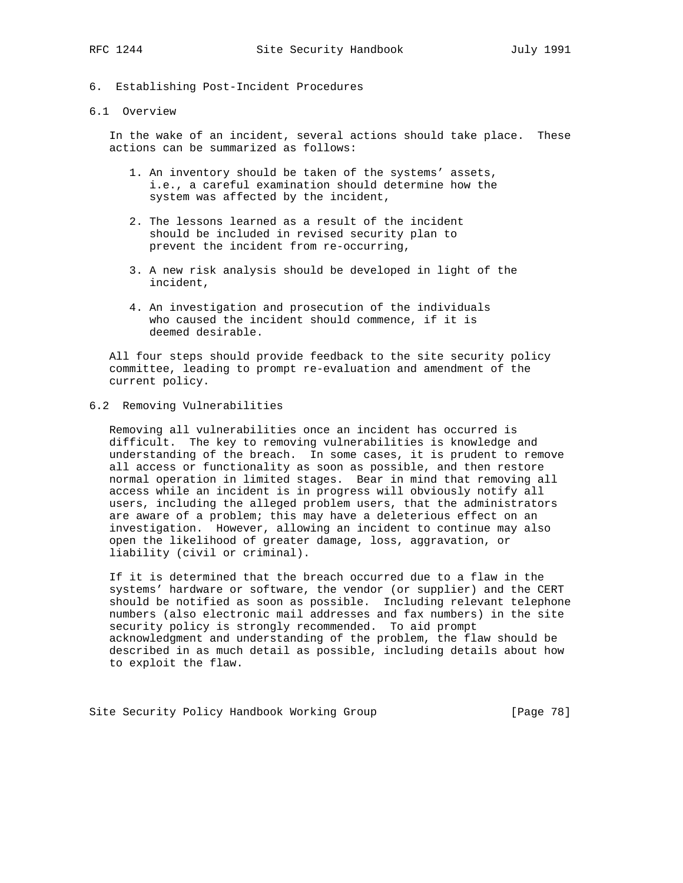# 6. Establishing Post-Incident Procedures

## 6.1 Overview

 In the wake of an incident, several actions should take place. These actions can be summarized as follows:

- 1. An inventory should be taken of the systems' assets, i.e., a careful examination should determine how the system was affected by the incident,
- 2. The lessons learned as a result of the incident should be included in revised security plan to prevent the incident from re-occurring,
- 3. A new risk analysis should be developed in light of the incident,
- 4. An investigation and prosecution of the individuals who caused the incident should commence, if it is deemed desirable.

 All four steps should provide feedback to the site security policy committee, leading to prompt re-evaluation and amendment of the current policy.

## 6.2 Removing Vulnerabilities

 Removing all vulnerabilities once an incident has occurred is difficult. The key to removing vulnerabilities is knowledge and understanding of the breach. In some cases, it is prudent to remove all access or functionality as soon as possible, and then restore normal operation in limited stages. Bear in mind that removing all access while an incident is in progress will obviously notify all users, including the alleged problem users, that the administrators are aware of a problem; this may have a deleterious effect on an investigation. However, allowing an incident to continue may also open the likelihood of greater damage, loss, aggravation, or liability (civil or criminal).

 If it is determined that the breach occurred due to a flaw in the systems' hardware or software, the vendor (or supplier) and the CERT should be notified as soon as possible. Including relevant telephone numbers (also electronic mail addresses and fax numbers) in the site security policy is strongly recommended. To aid prompt acknowledgment and understanding of the problem, the flaw should be described in as much detail as possible, including details about how to exploit the flaw.

Site Security Policy Handbook Working Group [Page 78]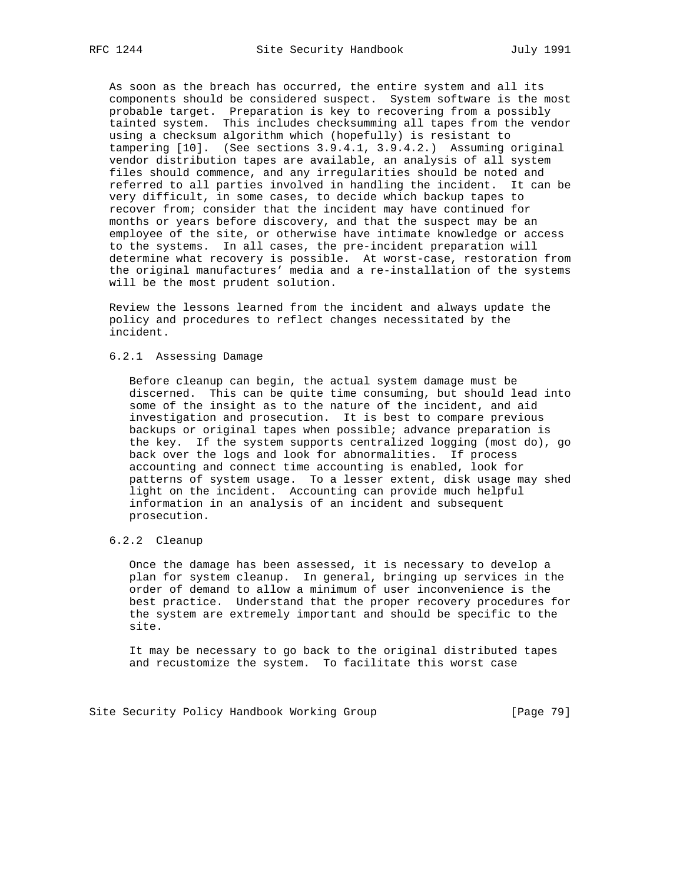As soon as the breach has occurred, the entire system and all its components should be considered suspect. System software is the most probable target. Preparation is key to recovering from a possibly tainted system. This includes checksumming all tapes from the vendor using a checksum algorithm which (hopefully) is resistant to tampering [10]. (See sections 3.9.4.1, 3.9.4.2.) Assuming original vendor distribution tapes are available, an analysis of all system files should commence, and any irregularities should be noted and referred to all parties involved in handling the incident. It can be very difficult, in some cases, to decide which backup tapes to recover from; consider that the incident may have continued for months or years before discovery, and that the suspect may be an employee of the site, or otherwise have intimate knowledge or access to the systems. In all cases, the pre-incident preparation will determine what recovery is possible. At worst-case, restoration from the original manufactures' media and a re-installation of the systems will be the most prudent solution.

 Review the lessons learned from the incident and always update the policy and procedures to reflect changes necessitated by the incident.

## 6.2.1 Assessing Damage

 Before cleanup can begin, the actual system damage must be discerned. This can be quite time consuming, but should lead into some of the insight as to the nature of the incident, and aid investigation and prosecution. It is best to compare previous backups or original tapes when possible; advance preparation is the key. If the system supports centralized logging (most do), go back over the logs and look for abnormalities. If process accounting and connect time accounting is enabled, look for patterns of system usage. To a lesser extent, disk usage may shed light on the incident. Accounting can provide much helpful information in an analysis of an incident and subsequent prosecution.

## 6.2.2 Cleanup

 Once the damage has been assessed, it is necessary to develop a plan for system cleanup. In general, bringing up services in the order of demand to allow a minimum of user inconvenience is the best practice. Understand that the proper recovery procedures for the system are extremely important and should be specific to the site.

 It may be necessary to go back to the original distributed tapes and recustomize the system. To facilitate this worst case

Site Security Policy Handbook Working Group [Page 79]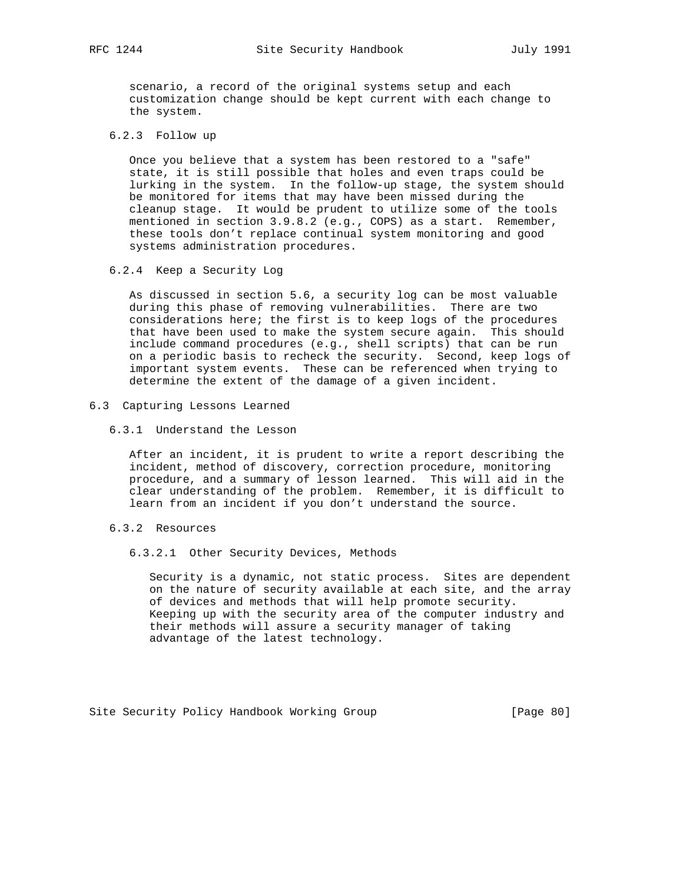scenario, a record of the original systems setup and each customization change should be kept current with each change to the system.

6.2.3 Follow up

 Once you believe that a system has been restored to a "safe" state, it is still possible that holes and even traps could be lurking in the system. In the follow-up stage, the system should be monitored for items that may have been missed during the cleanup stage. It would be prudent to utilize some of the tools mentioned in section 3.9.8.2 (e.g., COPS) as a start. Remember, these tools don't replace continual system monitoring and good systems administration procedures.

6.2.4 Keep a Security Log

 As discussed in section 5.6, a security log can be most valuable during this phase of removing vulnerabilities. There are two considerations here; the first is to keep logs of the procedures that have been used to make the system secure again. This should include command procedures (e.g., shell scripts) that can be run on a periodic basis to recheck the security. Second, keep logs of important system events. These can be referenced when trying to determine the extent of the damage of a given incident.

- 6.3 Capturing Lessons Learned
	- 6.3.1 Understand the Lesson

 After an incident, it is prudent to write a report describing the incident, method of discovery, correction procedure, monitoring procedure, and a summary of lesson learned. This will aid in the clear understanding of the problem. Remember, it is difficult to learn from an incident if you don't understand the source.

- 6.3.2 Resources
	- 6.3.2.1 Other Security Devices, Methods

 Security is a dynamic, not static process. Sites are dependent on the nature of security available at each site, and the array of devices and methods that will help promote security. Keeping up with the security area of the computer industry and their methods will assure a security manager of taking advantage of the latest technology.

Site Security Policy Handbook Working Group [Page 80]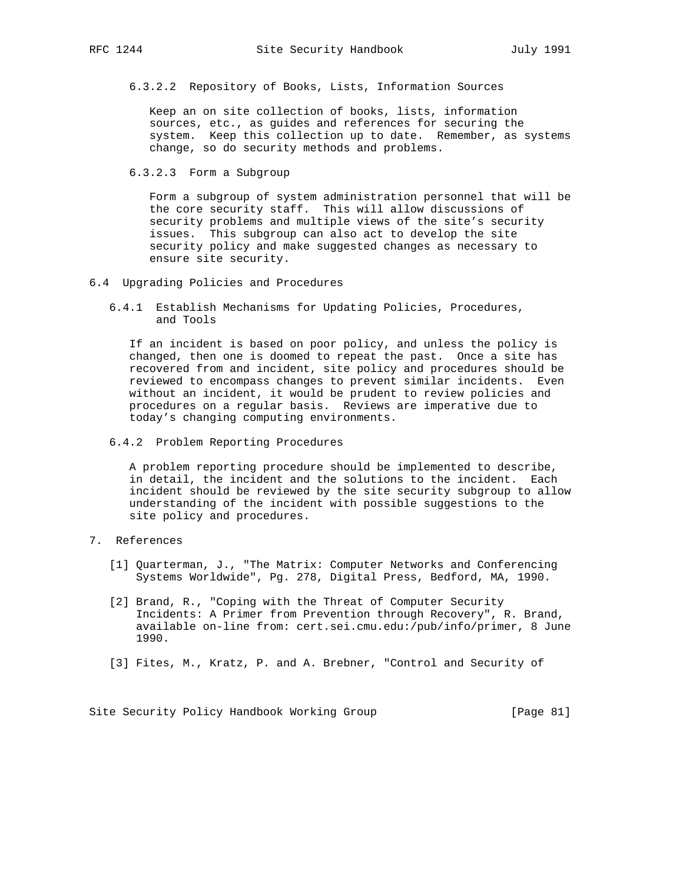6.3.2.2 Repository of Books, Lists, Information Sources

 Keep an on site collection of books, lists, information sources, etc., as guides and references for securing the system. Keep this collection up to date. Remember, as systems change, so do security methods and problems.

6.3.2.3 Form a Subgroup

 Form a subgroup of system administration personnel that will be the core security staff. This will allow discussions of security problems and multiple views of the site's security issues. This subgroup can also act to develop the site security policy and make suggested changes as necessary to ensure site security.

- 6.4 Upgrading Policies and Procedures
	- 6.4.1 Establish Mechanisms for Updating Policies, Procedures, and Tools

 If an incident is based on poor policy, and unless the policy is changed, then one is doomed to repeat the past. Once a site has recovered from and incident, site policy and procedures should be reviewed to encompass changes to prevent similar incidents. Even without an incident, it would be prudent to review policies and procedures on a regular basis. Reviews are imperative due to today's changing computing environments.

6.4.2 Problem Reporting Procedures

 A problem reporting procedure should be implemented to describe, in detail, the incident and the solutions to the incident. Each incident should be reviewed by the site security subgroup to allow understanding of the incident with possible suggestions to the site policy and procedures.

- 7. References
	- [1] Quarterman, J., "The Matrix: Computer Networks and Conferencing Systems Worldwide", Pg. 278, Digital Press, Bedford, MA, 1990.
	- [2] Brand, R., "Coping with the Threat of Computer Security Incidents: A Primer from Prevention through Recovery", R. Brand, available on-line from: cert.sei.cmu.edu:/pub/info/primer, 8 June 1990.
	- [3] Fites, M., Kratz, P. and A. Brebner, "Control and Security of

Site Security Policy Handbook Working Group [Page 81]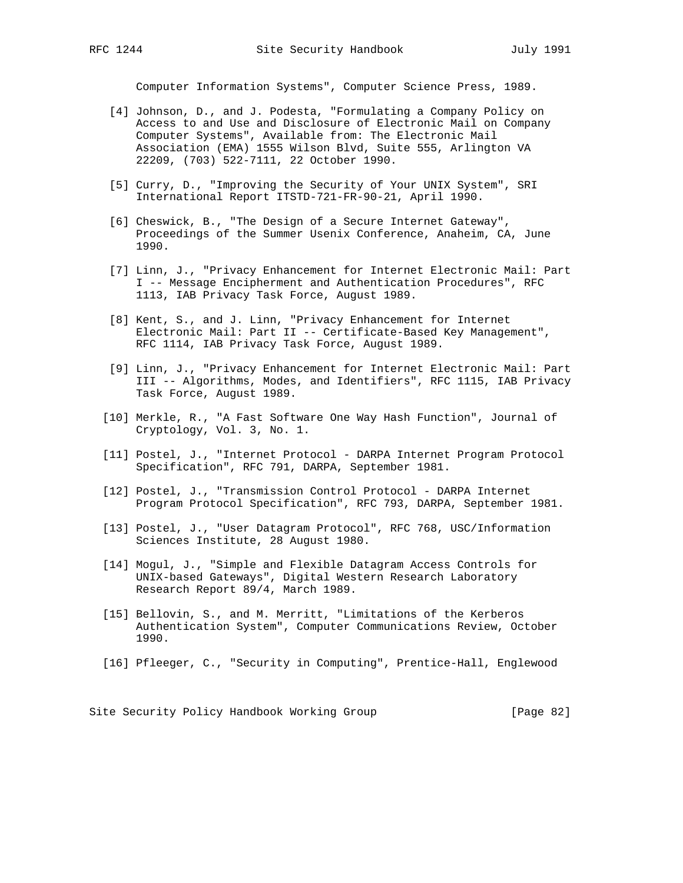Computer Information Systems", Computer Science Press, 1989.

- [4] Johnson, D., and J. Podesta, "Formulating a Company Policy on Access to and Use and Disclosure of Electronic Mail on Company Computer Systems", Available from: The Electronic Mail Association (EMA) 1555 Wilson Blvd, Suite 555, Arlington VA 22209, (703) 522-7111, 22 October 1990.
	- [5] Curry, D., "Improving the Security of Your UNIX System", SRI International Report ITSTD-721-FR-90-21, April 1990.
	- [6] Cheswick, B., "The Design of a Secure Internet Gateway", Proceedings of the Summer Usenix Conference, Anaheim, CA, June 1990.
	- [7] Linn, J., "Privacy Enhancement for Internet Electronic Mail: Part I -- Message Encipherment and Authentication Procedures", RFC 1113, IAB Privacy Task Force, August 1989.
	- [8] Kent, S., and J. Linn, "Privacy Enhancement for Internet Electronic Mail: Part II -- Certificate-Based Key Management", RFC 1114, IAB Privacy Task Force, August 1989.
	- [9] Linn, J., "Privacy Enhancement for Internet Electronic Mail: Part III -- Algorithms, Modes, and Identifiers", RFC 1115, IAB Privacy Task Force, August 1989.
	- [10] Merkle, R., "A Fast Software One Way Hash Function", Journal of Cryptology, Vol. 3, No. 1.
	- [11] Postel, J., "Internet Protocol DARPA Internet Program Protocol Specification", RFC 791, DARPA, September 1981.
	- [12] Postel, J., "Transmission Control Protocol DARPA Internet Program Protocol Specification", RFC 793, DARPA, September 1981.
	- [13] Postel, J., "User Datagram Protocol", RFC 768, USC/Information Sciences Institute, 28 August 1980.
	- [14] Mogul, J., "Simple and Flexible Datagram Access Controls for UNIX-based Gateways", Digital Western Research Laboratory Research Report 89/4, March 1989.
	- [15] Bellovin, S., and M. Merritt, "Limitations of the Kerberos Authentication System", Computer Communications Review, October 1990.
	- [16] Pfleeger, C., "Security in Computing", Prentice-Hall, Englewood

Site Security Policy Handbook Working Group [Page 82]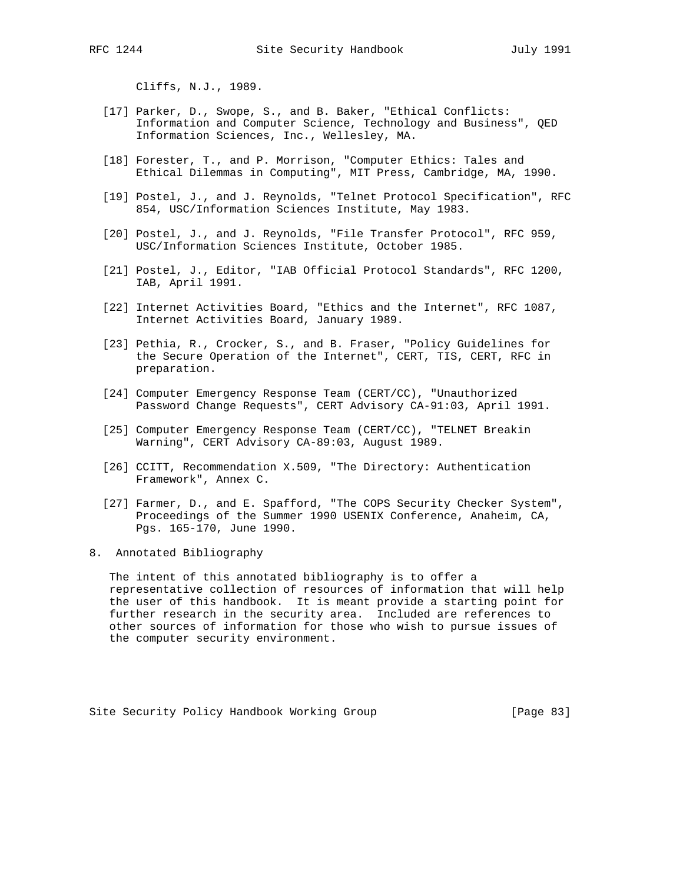Cliffs, N.J., 1989.

- [17] Parker, D., Swope, S., and B. Baker, "Ethical Conflicts: Information and Computer Science, Technology and Business", QED Information Sciences, Inc., Wellesley, MA.
- [18] Forester, T., and P. Morrison, "Computer Ethics: Tales and Ethical Dilemmas in Computing", MIT Press, Cambridge, MA, 1990.
- [19] Postel, J., and J. Reynolds, "Telnet Protocol Specification", RFC 854, USC/Information Sciences Institute, May 1983.
- [20] Postel, J., and J. Reynolds, "File Transfer Protocol", RFC 959, USC/Information Sciences Institute, October 1985.
- [21] Postel, J., Editor, "IAB Official Protocol Standards", RFC 1200, IAB, April 1991.
- [22] Internet Activities Board, "Ethics and the Internet", RFC 1087, Internet Activities Board, January 1989.
- [23] Pethia, R., Crocker, S., and B. Fraser, "Policy Guidelines for the Secure Operation of the Internet", CERT, TIS, CERT, RFC in preparation.
- [24] Computer Emergency Response Team (CERT/CC), "Unauthorized Password Change Requests", CERT Advisory CA-91:03, April 1991.
- [25] Computer Emergency Response Team (CERT/CC), "TELNET Breakin Warning", CERT Advisory CA-89:03, August 1989.
- [26] CCITT, Recommendation X.509, "The Directory: Authentication Framework", Annex C.
- [27] Farmer, D., and E. Spafford, "The COPS Security Checker System", Proceedings of the Summer 1990 USENIX Conference, Anaheim, CA, Pgs. 165-170, June 1990.
- 8. Annotated Bibliography

 The intent of this annotated bibliography is to offer a representative collection of resources of information that will help the user of this handbook. It is meant provide a starting point for further research in the security area. Included are references to other sources of information for those who wish to pursue issues of the computer security environment.

Site Security Policy Handbook Working Group [Page 83]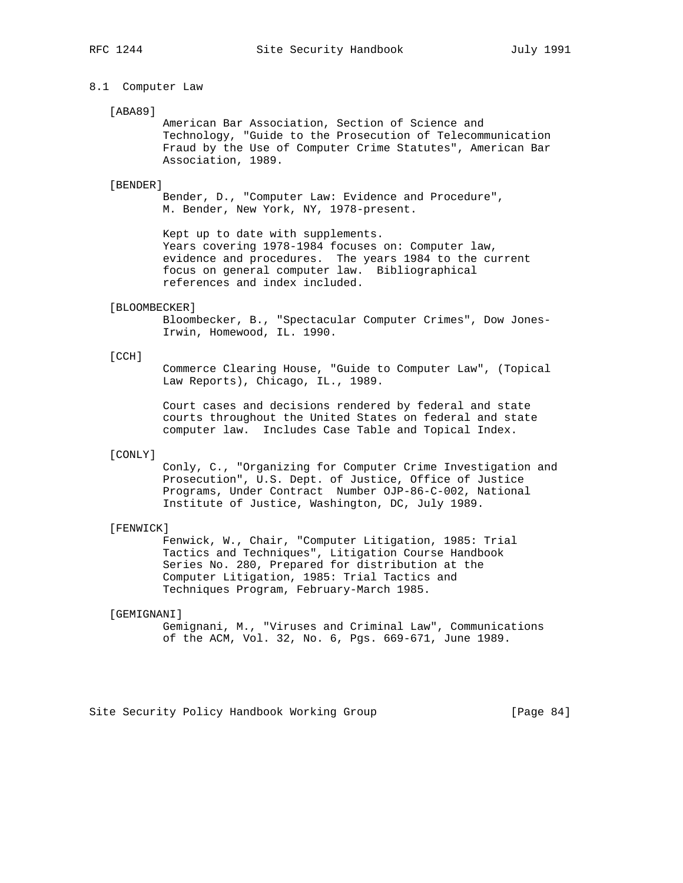## 8.1 Computer Law

### [ABA89]

 American Bar Association, Section of Science and Technology, "Guide to the Prosecution of Telecommunication Fraud by the Use of Computer Crime Statutes", American Bar Association, 1989.

### [BENDER]

 Bender, D., "Computer Law: Evidence and Procedure", M. Bender, New York, NY, 1978-present.

 Kept up to date with supplements. Years covering 1978-1984 focuses on: Computer law, evidence and procedures. The years 1984 to the current focus on general computer law. Bibliographical references and index included.

### [BLOOMBECKER]

 Bloombecker, B., "Spectacular Computer Crimes", Dow Jones- Irwin, Homewood, IL. 1990.

### [CCH]

 Commerce Clearing House, "Guide to Computer Law", (Topical Law Reports), Chicago, IL., 1989.

 Court cases and decisions rendered by federal and state courts throughout the United States on federal and state computer law. Includes Case Table and Topical Index.

### [CONLY]

 Conly, C., "Organizing for Computer Crime Investigation and Prosecution", U.S. Dept. of Justice, Office of Justice Programs, Under Contract Number OJP-86-C-002, National Institute of Justice, Washington, DC, July 1989.

### [FENWICK]

 Fenwick, W., Chair, "Computer Litigation, 1985: Trial Tactics and Techniques", Litigation Course Handbook Series No. 280, Prepared for distribution at the Computer Litigation, 1985: Trial Tactics and Techniques Program, February-March 1985.

#### [GEMIGNANI]

 Gemignani, M., "Viruses and Criminal Law", Communications of the ACM, Vol. 32, No. 6, Pgs. 669-671, June 1989.

Site Security Policy Handbook Working Group [Page 84]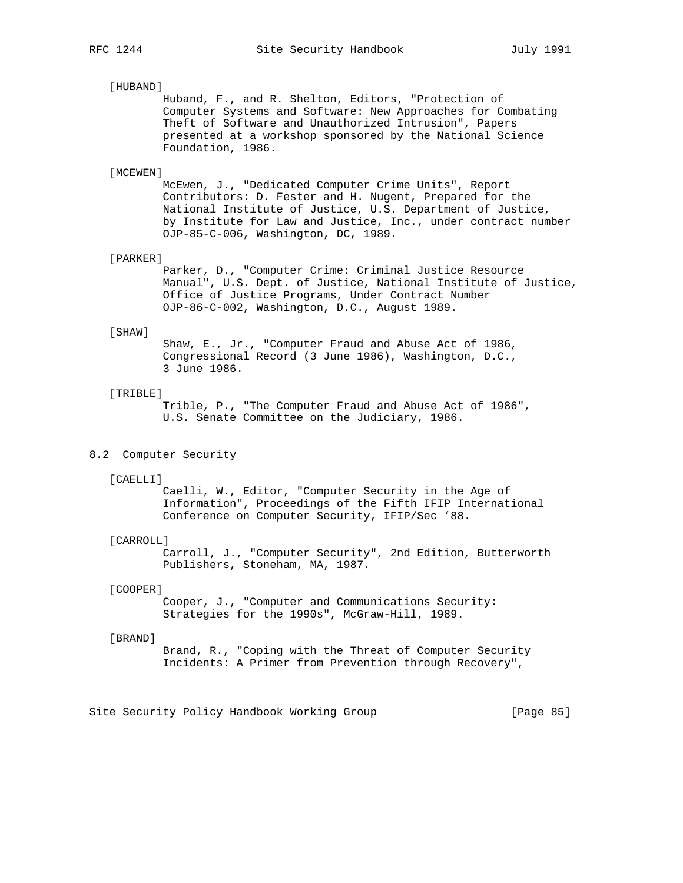### [HUBAND]

 Huband, F., and R. Shelton, Editors, "Protection of Computer Systems and Software: New Approaches for Combating Theft of Software and Unauthorized Intrusion", Papers presented at a workshop sponsored by the National Science Foundation, 1986.

### [MCEWEN]

 McEwen, J., "Dedicated Computer Crime Units", Report Contributors: D. Fester and H. Nugent, Prepared for the National Institute of Justice, U.S. Department of Justice, by Institute for Law and Justice, Inc., under contract number OJP-85-C-006, Washington, DC, 1989.

#### [PARKER]

 Parker, D., "Computer Crime: Criminal Justice Resource Manual", U.S. Dept. of Justice, National Institute of Justice, Office of Justice Programs, Under Contract Number OJP-86-C-002, Washington, D.C., August 1989.

#### [SHAW]

 Shaw, E., Jr., "Computer Fraud and Abuse Act of 1986, Congressional Record (3 June 1986), Washington, D.C., 3 June 1986.

#### [TRIBLE]

 Trible, P., "The Computer Fraud and Abuse Act of 1986", U.S. Senate Committee on the Judiciary, 1986.

#### 8.2 Computer Security

[CAELLI]

 Caelli, W., Editor, "Computer Security in the Age of Information", Proceedings of the Fifth IFIP International Conference on Computer Security, IFIP/Sec '88.

#### [CARROLL]

 Carroll, J., "Computer Security", 2nd Edition, Butterworth Publishers, Stoneham, MA, 1987.

### [COOPER]

 Cooper, J., "Computer and Communications Security: Strategies for the 1990s", McGraw-Hill, 1989.

## [BRAND]

 Brand, R., "Coping with the Threat of Computer Security Incidents: A Primer from Prevention through Recovery",

Site Security Policy Handbook Working Group [Page 85]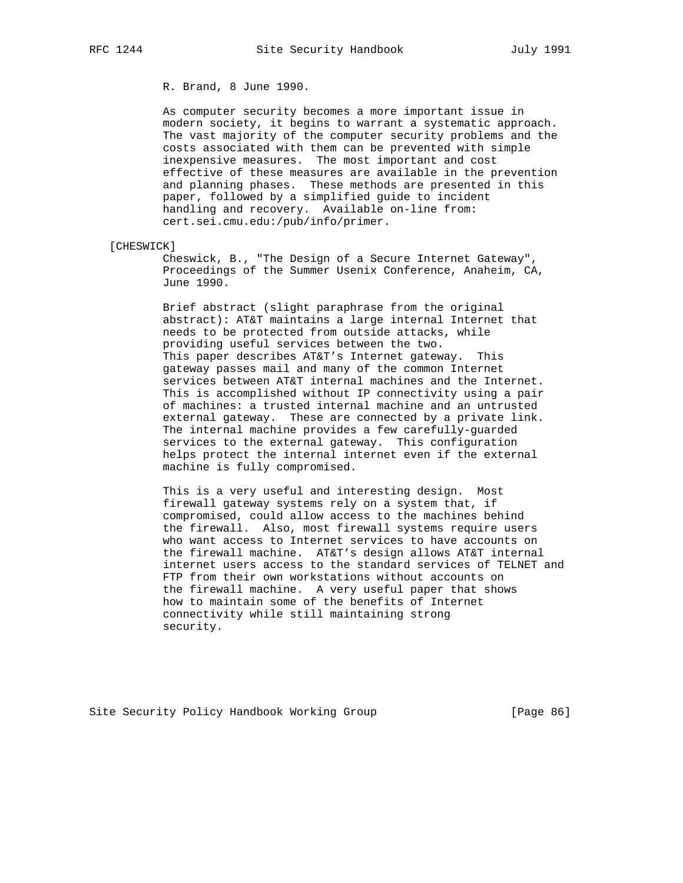R. Brand, 8 June 1990.

 As computer security becomes a more important issue in modern society, it begins to warrant a systematic approach. The vast majority of the computer security problems and the costs associated with them can be prevented with simple inexpensive measures. The most important and cost effective of these measures are available in the prevention and planning phases. These methods are presented in this paper, followed by a simplified guide to incident handling and recovery. Available on-line from: cert.sei.cmu.edu:/pub/info/primer.

[CHESWICK]

 Cheswick, B., "The Design of a Secure Internet Gateway", Proceedings of the Summer Usenix Conference, Anaheim, CA, June 1990.

 Brief abstract (slight paraphrase from the original abstract): AT&T maintains a large internal Internet that needs to be protected from outside attacks, while providing useful services between the two. This paper describes AT&T's Internet gateway. This gateway passes mail and many of the common Internet services between AT&T internal machines and the Internet. This is accomplished without IP connectivity using a pair of machines: a trusted internal machine and an untrusted external gateway. These are connected by a private link. The internal machine provides a few carefully-guarded services to the external gateway. This configuration helps protect the internal internet even if the external machine is fully compromised.

 This is a very useful and interesting design. Most firewall gateway systems rely on a system that, if compromised, could allow access to the machines behind the firewall. Also, most firewall systems require users who want access to Internet services to have accounts on the firewall machine. AT&T's design allows AT&T internal internet users access to the standard services of TELNET and FTP from their own workstations without accounts on the firewall machine. A very useful paper that shows how to maintain some of the benefits of Internet connectivity while still maintaining strong security.

Site Security Policy Handbook Working Group [Page 86]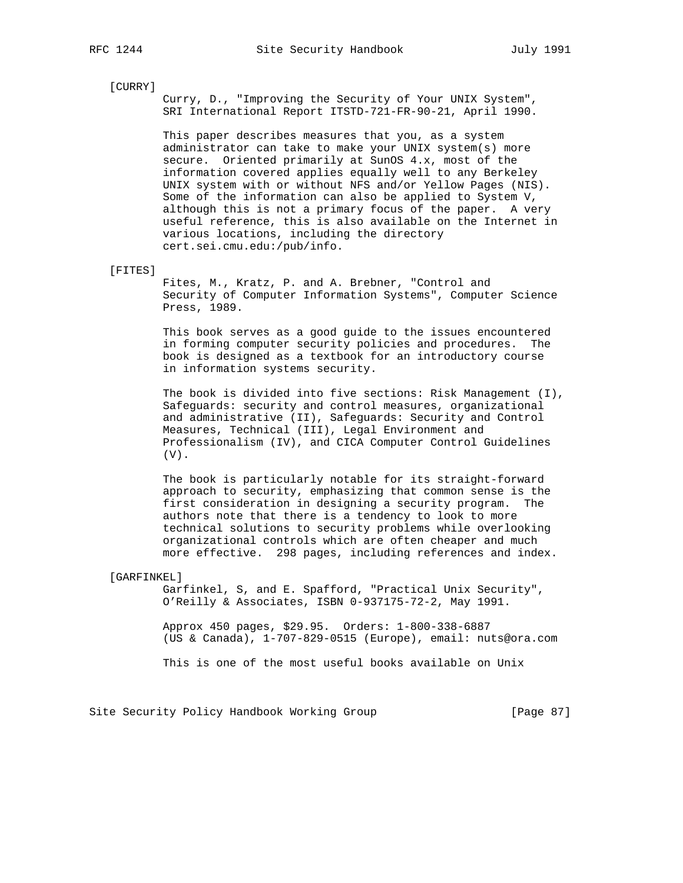[CURRY]

 Curry, D., "Improving the Security of Your UNIX System", SRI International Report ITSTD-721-FR-90-21, April 1990.

 This paper describes measures that you, as a system administrator can take to make your UNIX system(s) more secure. Oriented primarily at SunOS 4.x, most of the information covered applies equally well to any Berkeley UNIX system with or without NFS and/or Yellow Pages (NIS). Some of the information can also be applied to System V, although this is not a primary focus of the paper. A very useful reference, this is also available on the Internet in various locations, including the directory cert.sei.cmu.edu:/pub/info.

[FITES]

 Fites, M., Kratz, P. and A. Brebner, "Control and Security of Computer Information Systems", Computer Science Press, 1989.

 This book serves as a good guide to the issues encountered in forming computer security policies and procedures. The book is designed as a textbook for an introductory course in information systems security.

 The book is divided into five sections: Risk Management (I), Safeguards: security and control measures, organizational and administrative (II), Safeguards: Security and Control Measures, Technical (III), Legal Environment and Professionalism (IV), and CICA Computer Control Guidelines (V).

 The book is particularly notable for its straight-forward approach to security, emphasizing that common sense is the first consideration in designing a security program. The authors note that there is a tendency to look to more technical solutions to security problems while overlooking organizational controls which are often cheaper and much more effective. 298 pages, including references and index.

#### [GARFINKEL]

 Garfinkel, S, and E. Spafford, "Practical Unix Security", O'Reilly & Associates, ISBN 0-937175-72-2, May 1991.

 Approx 450 pages, \$29.95. Orders: 1-800-338-6887 (US & Canada), 1-707-829-0515 (Europe), email: nuts@ora.com

This is one of the most useful books available on Unix

Site Security Policy Handbook Working Group [Page 87]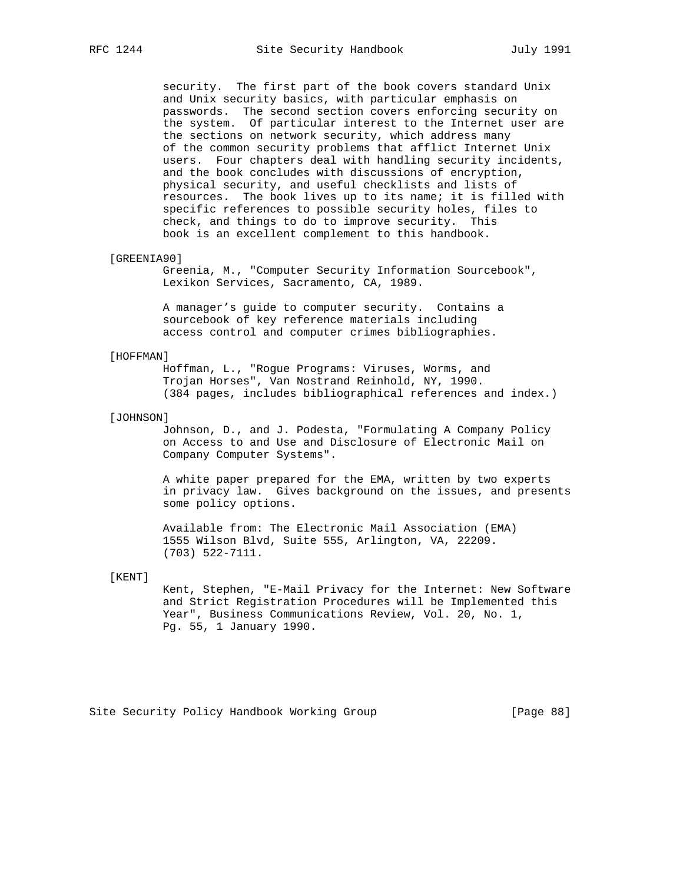security. The first part of the book covers standard Unix and Unix security basics, with particular emphasis on passwords. The second section covers enforcing security on the system. Of particular interest to the Internet user are the sections on network security, which address many of the common security problems that afflict Internet Unix users. Four chapters deal with handling security incidents, and the book concludes with discussions of encryption, physical security, and useful checklists and lists of resources. The book lives up to its name; it is filled with specific references to possible security holes, files to check, and things to do to improve security. This book is an excellent complement to this handbook.

#### [GREENIA90]

 Greenia, M., "Computer Security Information Sourcebook", Lexikon Services, Sacramento, CA, 1989.

 A manager's guide to computer security. Contains a sourcebook of key reference materials including access control and computer crimes bibliographies.

#### [HOFFMAN]

 Hoffman, L., "Rogue Programs: Viruses, Worms, and Trojan Horses", Van Nostrand Reinhold, NY, 1990. (384 pages, includes bibliographical references and index.)

### [JOHNSON]

 Johnson, D., and J. Podesta, "Formulating A Company Policy on Access to and Use and Disclosure of Electronic Mail on Company Computer Systems".

 A white paper prepared for the EMA, written by two experts in privacy law. Gives background on the issues, and presents some policy options.

 Available from: The Electronic Mail Association (EMA) 1555 Wilson Blvd, Suite 555, Arlington, VA, 22209. (703) 522-7111.

[KENT]

 Kent, Stephen, "E-Mail Privacy for the Internet: New Software and Strict Registration Procedures will be Implemented this Year", Business Communications Review, Vol. 20, No. 1, Pg. 55, 1 January 1990.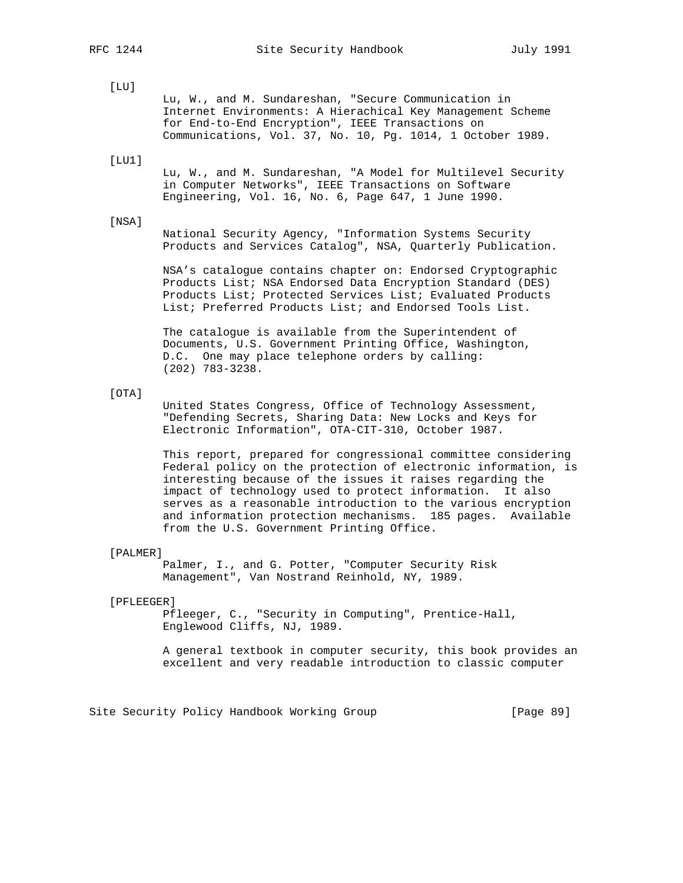[LU]

 Lu, W., and M. Sundareshan, "Secure Communication in Internet Environments: A Hierachical Key Management Scheme for End-to-End Encryption", IEEE Transactions on Communications, Vol. 37, No. 10, Pg. 1014, 1 October 1989.

[LU1]

 Lu, W., and M. Sundareshan, "A Model for Multilevel Security in Computer Networks", IEEE Transactions on Software Engineering, Vol. 16, No. 6, Page 647, 1 June 1990.

[NSA]

 National Security Agency, "Information Systems Security Products and Services Catalog", NSA, Quarterly Publication.

 NSA's catalogue contains chapter on: Endorsed Cryptographic Products List; NSA Endorsed Data Encryption Standard (DES) Products List; Protected Services List; Evaluated Products List; Preferred Products List; and Endorsed Tools List.

 The catalogue is available from the Superintendent of Documents, U.S. Government Printing Office, Washington, D.C. One may place telephone orders by calling: (202) 783-3238.

[OTA]

 United States Congress, Office of Technology Assessment, "Defending Secrets, Sharing Data: New Locks and Keys for Electronic Information", OTA-CIT-310, October 1987.

 This report, prepared for congressional committee considering Federal policy on the protection of electronic information, is interesting because of the issues it raises regarding the impact of technology used to protect information. It also serves as a reasonable introduction to the various encryption and information protection mechanisms. 185 pages. Available from the U.S. Government Printing Office.

#### [PALMER]

 Palmer, I., and G. Potter, "Computer Security Risk Management", Van Nostrand Reinhold, NY, 1989.

[PFLEEGER]

 Pfleeger, C., "Security in Computing", Prentice-Hall, Englewood Cliffs, NJ, 1989.

 A general textbook in computer security, this book provides an excellent and very readable introduction to classic computer

Site Security Policy Handbook Working Group [Page 89]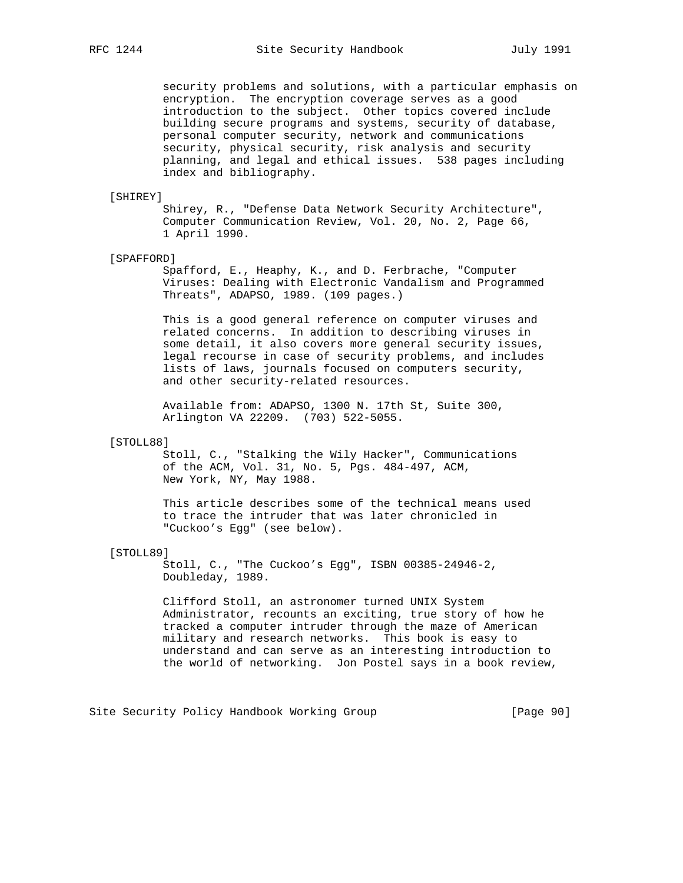security problems and solutions, with a particular emphasis on encryption. The encryption coverage serves as a good introduction to the subject. Other topics covered include building secure programs and systems, security of database, personal computer security, network and communications security, physical security, risk analysis and security planning, and legal and ethical issues. 538 pages including index and bibliography.

#### [SHIREY]

 Shirey, R., "Defense Data Network Security Architecture", Computer Communication Review, Vol. 20, No. 2, Page 66, 1 April 1990.

#### [SPAFFORD]

 Spafford, E., Heaphy, K., and D. Ferbrache, "Computer Viruses: Dealing with Electronic Vandalism and Programmed Threats", ADAPSO, 1989. (109 pages.)

 This is a good general reference on computer viruses and related concerns. In addition to describing viruses in some detail, it also covers more general security issues, legal recourse in case of security problems, and includes lists of laws, journals focused on computers security, and other security-related resources.

 Available from: ADAPSO, 1300 N. 17th St, Suite 300, Arlington VA 22209. (703) 522-5055.

#### [STOLL88]

 Stoll, C., "Stalking the Wily Hacker", Communications of the ACM, Vol. 31, No. 5, Pgs. 484-497, ACM, New York, NY, May 1988.

 This article describes some of the technical means used to trace the intruder that was later chronicled in "Cuckoo's Egg" (see below).

#### [STOLL89]

 Stoll, C., "The Cuckoo's Egg", ISBN 00385-24946-2, Doubleday, 1989.

 Clifford Stoll, an astronomer turned UNIX System Administrator, recounts an exciting, true story of how he tracked a computer intruder through the maze of American military and research networks. This book is easy to understand and can serve as an interesting introduction to the world of networking. Jon Postel says in a book review,

Site Security Policy Handbook Working Group [Page 90]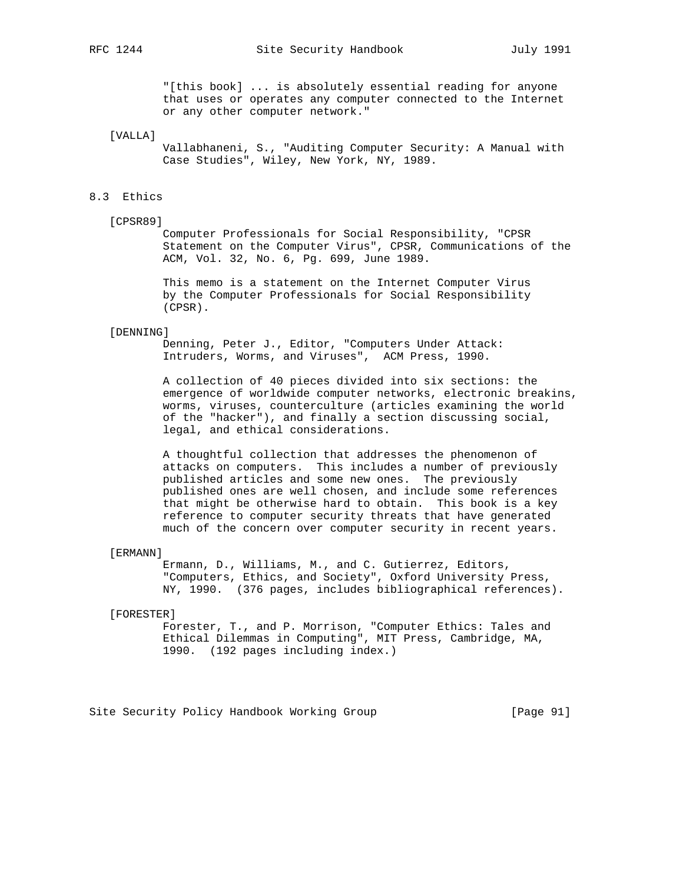"[this book] ... is absolutely essential reading for anyone that uses or operates any computer connected to the Internet or any other computer network."

[VALLA]

 Vallabhaneni, S., "Auditing Computer Security: A Manual with Case Studies", Wiley, New York, NY, 1989.

## 8.3 Ethics

#### [CPSR89]

 Computer Professionals for Social Responsibility, "CPSR Statement on the Computer Virus", CPSR, Communications of the ACM, Vol. 32, No. 6, Pg. 699, June 1989.

 This memo is a statement on the Internet Computer Virus by the Computer Professionals for Social Responsibility (CPSR).

#### [DENNING]

 Denning, Peter J., Editor, "Computers Under Attack: Intruders, Worms, and Viruses", ACM Press, 1990.

 A collection of 40 pieces divided into six sections: the emergence of worldwide computer networks, electronic breakins, worms, viruses, counterculture (articles examining the world of the "hacker"), and finally a section discussing social, legal, and ethical considerations.

 A thoughtful collection that addresses the phenomenon of attacks on computers. This includes a number of previously published articles and some new ones. The previously published ones are well chosen, and include some references that might be otherwise hard to obtain. This book is a key reference to computer security threats that have generated much of the concern over computer security in recent years.

#### [ERMANN]

 Ermann, D., Williams, M., and C. Gutierrez, Editors, "Computers, Ethics, and Society", Oxford University Press, NY, 1990. (376 pages, includes bibliographical references).

#### [FORESTER]

 Forester, T., and P. Morrison, "Computer Ethics: Tales and Ethical Dilemmas in Computing", MIT Press, Cambridge, MA, 1990. (192 pages including index.)

Site Security Policy Handbook Working Group [Page 91]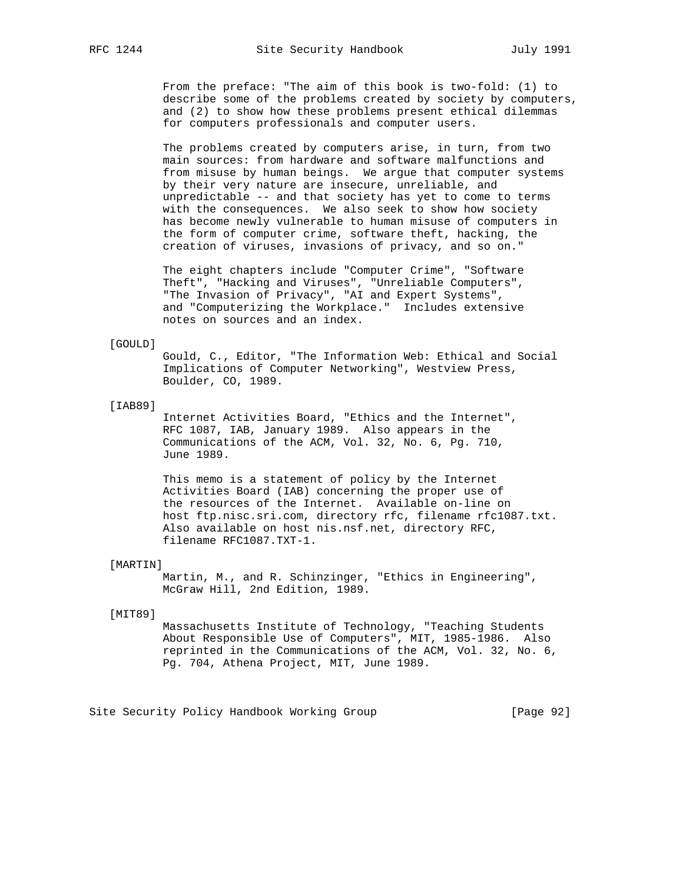From the preface: "The aim of this book is two-fold: (1) to describe some of the problems created by society by computers, and (2) to show how these problems present ethical dilemmas for computers professionals and computer users.

 The problems created by computers arise, in turn, from two main sources: from hardware and software malfunctions and from misuse by human beings. We argue that computer systems by their very nature are insecure, unreliable, and unpredictable -- and that society has yet to come to terms with the consequences. We also seek to show how society has become newly vulnerable to human misuse of computers in the form of computer crime, software theft, hacking, the creation of viruses, invasions of privacy, and so on."

 The eight chapters include "Computer Crime", "Software Theft", "Hacking and Viruses", "Unreliable Computers", "The Invasion of Privacy", "AI and Expert Systems", and "Computerizing the Workplace." Includes extensive notes on sources and an index.

### [GOULD]

 Gould, C., Editor, "The Information Web: Ethical and Social Implications of Computer Networking", Westview Press, Boulder, CO, 1989.

[IAB89]

 Internet Activities Board, "Ethics and the Internet", RFC 1087, IAB, January 1989. Also appears in the Communications of the ACM, Vol. 32, No. 6, Pg. 710, June 1989.

 This memo is a statement of policy by the Internet Activities Board (IAB) concerning the proper use of the resources of the Internet. Available on-line on host ftp.nisc.sri.com, directory rfc, filename rfc1087.txt. Also available on host nis.nsf.net, directory RFC, filename RFC1087.TXT-1.

### [MARTIN]

 Martin, M., and R. Schinzinger, "Ethics in Engineering", McGraw Hill, 2nd Edition, 1989.

[MIT89]

 Massachusetts Institute of Technology, "Teaching Students About Responsible Use of Computers", MIT, 1985-1986. Also reprinted in the Communications of the ACM, Vol. 32, No. 6, Pg. 704, Athena Project, MIT, June 1989.

Site Security Policy Handbook Working Group [Page 92]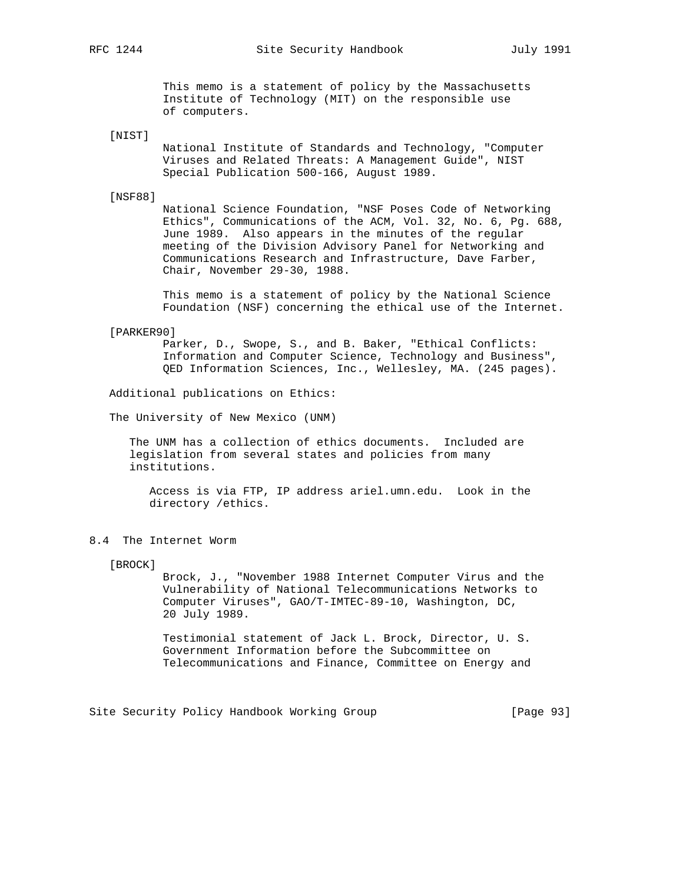This memo is a statement of policy by the Massachusetts Institute of Technology (MIT) on the responsible use of computers.

[NIST]

 National Institute of Standards and Technology, "Computer Viruses and Related Threats: A Management Guide", NIST Special Publication 500-166, August 1989.

[NSF88]

 National Science Foundation, "NSF Poses Code of Networking Ethics", Communications of the ACM, Vol. 32, No. 6, Pg. 688, June 1989. Also appears in the minutes of the regular meeting of the Division Advisory Panel for Networking and Communications Research and Infrastructure, Dave Farber, Chair, November 29-30, 1988.

 This memo is a statement of policy by the National Science Foundation (NSF) concerning the ethical use of the Internet.

[PARKER90]

Parker, D., Swope, S., and B. Baker, "Ethical Conflicts: Information and Computer Science, Technology and Business", QED Information Sciences, Inc., Wellesley, MA. (245 pages).

Additional publications on Ethics:

The University of New Mexico (UNM)

 The UNM has a collection of ethics documents. Included are legislation from several states and policies from many institutions.

 Access is via FTP, IP address ariel.umn.edu. Look in the directory /ethics.

## 8.4 The Internet Worm

[BROCK]

 Brock, J., "November 1988 Internet Computer Virus and the Vulnerability of National Telecommunications Networks to Computer Viruses", GAO/T-IMTEC-89-10, Washington, DC, 20 July 1989.

 Testimonial statement of Jack L. Brock, Director, U. S. Government Information before the Subcommittee on Telecommunications and Finance, Committee on Energy and

Site Security Policy Handbook Working Group [Page 93]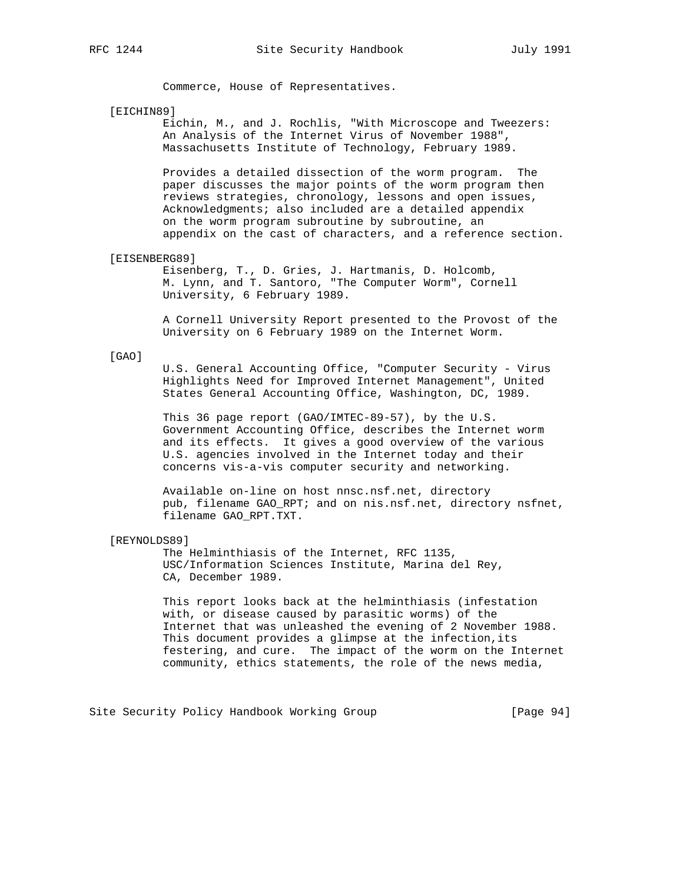Commerce, House of Representatives.

### [EICHIN89]

 Eichin, M., and J. Rochlis, "With Microscope and Tweezers: An Analysis of the Internet Virus of November 1988", Massachusetts Institute of Technology, February 1989.

 Provides a detailed dissection of the worm program. The paper discusses the major points of the worm program then reviews strategies, chronology, lessons and open issues, Acknowledgments; also included are a detailed appendix on the worm program subroutine by subroutine, an appendix on the cast of characters, and a reference section.

## [EISENBERG89]

 Eisenberg, T., D. Gries, J. Hartmanis, D. Holcomb, M. Lynn, and T. Santoro, "The Computer Worm", Cornell University, 6 February 1989.

 A Cornell University Report presented to the Provost of the University on 6 February 1989 on the Internet Worm.

## [GAO]

 U.S. General Accounting Office, "Computer Security - Virus Highlights Need for Improved Internet Management", United States General Accounting Office, Washington, DC, 1989.

 This 36 page report (GAO/IMTEC-89-57), by the U.S. Government Accounting Office, describes the Internet worm and its effects. It gives a good overview of the various U.S. agencies involved in the Internet today and their concerns vis-a-vis computer security and networking.

 Available on-line on host nnsc.nsf.net, directory pub, filename GAO\_RPT; and on nis.nsf.net, directory nsfnet, filename GAO\_RPT.TXT.

### [REYNOLDS89]

 The Helminthiasis of the Internet, RFC 1135, USC/Information Sciences Institute, Marina del Rey, CA, December 1989.

 This report looks back at the helminthiasis (infestation with, or disease caused by parasitic worms) of the Internet that was unleashed the evening of 2 November 1988. This document provides a glimpse at the infection, its festering, and cure. The impact of the worm on the Internet community, ethics statements, the role of the news media,

Site Security Policy Handbook Working Group [Page 94]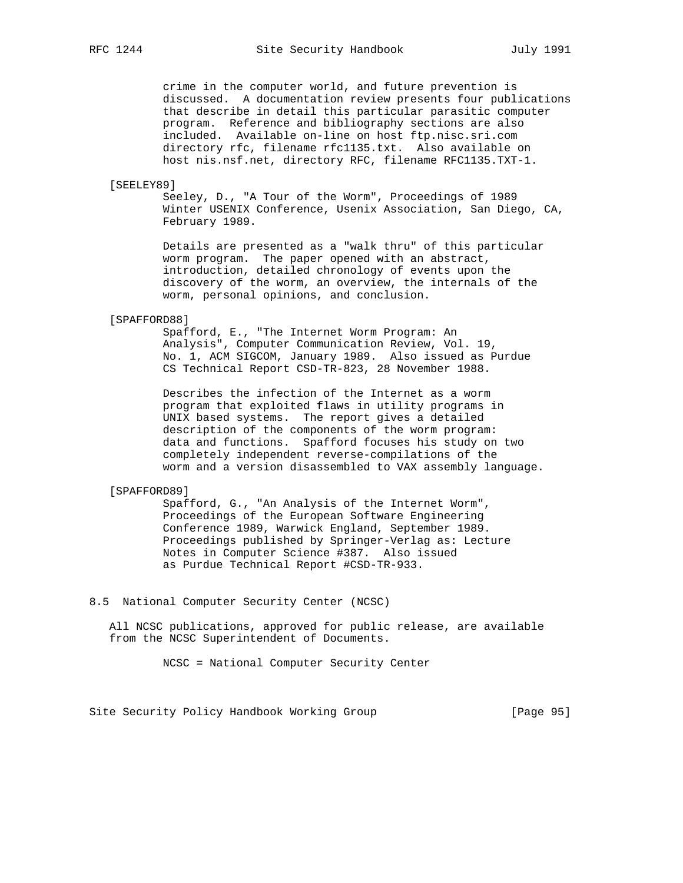crime in the computer world, and future prevention is discussed. A documentation review presents four publications that describe in detail this particular parasitic computer program. Reference and bibliography sections are also included. Available on-line on host ftp.nisc.sri.com directory rfc, filename rfc1135.txt. Also available on host nis.nsf.net, directory RFC, filename RFC1135.TXT-1.

#### [SEELEY89]

 Seeley, D., "A Tour of the Worm", Proceedings of 1989 Winter USENIX Conference, Usenix Association, San Diego, CA, February 1989.

 Details are presented as a "walk thru" of this particular worm program. The paper opened with an abstract, introduction, detailed chronology of events upon the discovery of the worm, an overview, the internals of the worm, personal opinions, and conclusion.

#### [SPAFFORD88]

 Spafford, E., "The Internet Worm Program: An Analysis", Computer Communication Review, Vol. 19, No. 1, ACM SIGCOM, January 1989. Also issued as Purdue CS Technical Report CSD-TR-823, 28 November 1988.

 Describes the infection of the Internet as a worm program that exploited flaws in utility programs in UNIX based systems. The report gives a detailed description of the components of the worm program: data and functions. Spafford focuses his study on two completely independent reverse-compilations of the worm and a version disassembled to VAX assembly language.

### [SPAFFORD89]

 Spafford, G., "An Analysis of the Internet Worm", Proceedings of the European Software Engineering Conference 1989, Warwick England, September 1989. Proceedings published by Springer-Verlag as: Lecture Notes in Computer Science #387. Also issued as Purdue Technical Report #CSD-TR-933.

## 8.5 National Computer Security Center (NCSC)

 All NCSC publications, approved for public release, are available from the NCSC Superintendent of Documents.

NCSC = National Computer Security Center

Site Security Policy Handbook Working Group [Page 95]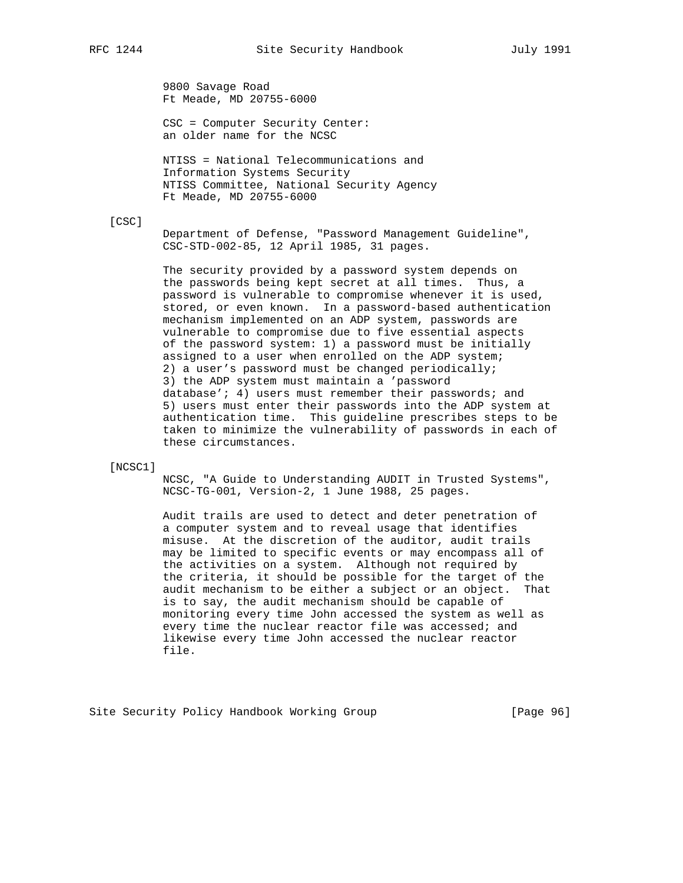9800 Savage Road Ft Meade, MD 20755-6000

 CSC = Computer Security Center: an older name for the NCSC

 NTISS = National Telecommunications and Information Systems Security NTISS Committee, National Security Agency Ft Meade, MD 20755-6000

[CSC]

 Department of Defense, "Password Management Guideline", CSC-STD-002-85, 12 April 1985, 31 pages.

 The security provided by a password system depends on the passwords being kept secret at all times. Thus, a password is vulnerable to compromise whenever it is used, stored, or even known. In a password-based authentication mechanism implemented on an ADP system, passwords are vulnerable to compromise due to five essential aspects of the password system: 1) a password must be initially assigned to a user when enrolled on the ADP system; 2) a user's password must be changed periodically; 3) the ADP system must maintain a 'password database'; 4) users must remember their passwords; and 5) users must enter their passwords into the ADP system at authentication time. This guideline prescribes steps to be taken to minimize the vulnerability of passwords in each of these circumstances.

[NCSC1]

 NCSC, "A Guide to Understanding AUDIT in Trusted Systems", NCSC-TG-001, Version-2, 1 June 1988, 25 pages.

 Audit trails are used to detect and deter penetration of a computer system and to reveal usage that identifies misuse. At the discretion of the auditor, audit trails may be limited to specific events or may encompass all of the activities on a system. Although not required by the criteria, it should be possible for the target of the audit mechanism to be either a subject or an object. That is to say, the audit mechanism should be capable of monitoring every time John accessed the system as well as every time the nuclear reactor file was accessed; and likewise every time John accessed the nuclear reactor file.

Site Security Policy Handbook Working Group [Page 96]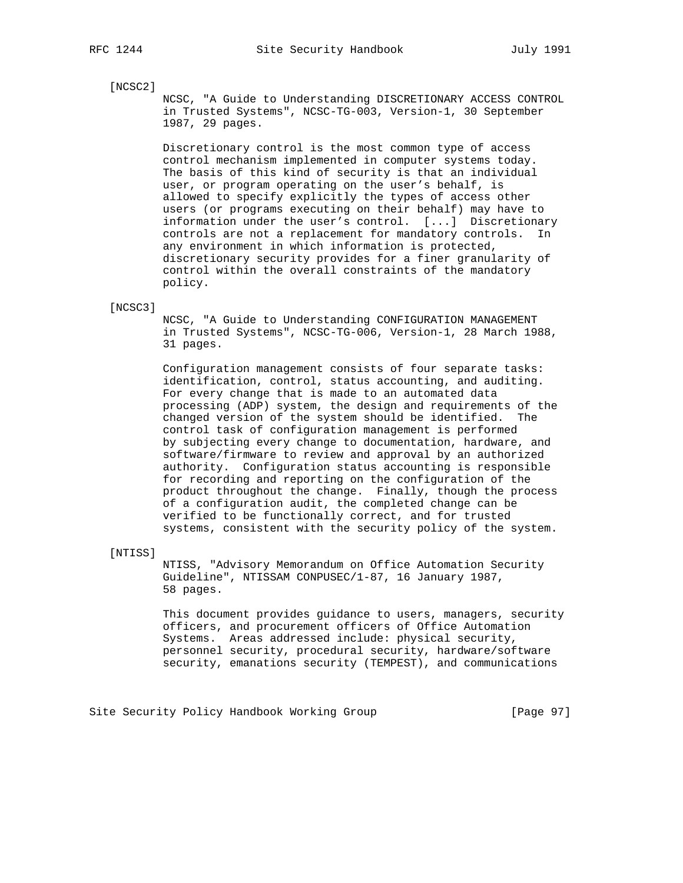#### [NCSC2]

 NCSC, "A Guide to Understanding DISCRETIONARY ACCESS CONTROL in Trusted Systems", NCSC-TG-003, Version-1, 30 September 1987, 29 pages.

 Discretionary control is the most common type of access control mechanism implemented in computer systems today. The basis of this kind of security is that an individual user, or program operating on the user's behalf, is allowed to specify explicitly the types of access other users (or programs executing on their behalf) may have to information under the user's control. [...] Discretionary controls are not a replacement for mandatory controls. In any environment in which information is protected, discretionary security provides for a finer granularity of control within the overall constraints of the mandatory policy.

### [NCSC3]

 NCSC, "A Guide to Understanding CONFIGURATION MANAGEMENT in Trusted Systems", NCSC-TG-006, Version-1, 28 March 1988, 31 pages.

 Configuration management consists of four separate tasks: identification, control, status accounting, and auditing. For every change that is made to an automated data processing (ADP) system, the design and requirements of the changed version of the system should be identified. The control task of configuration management is performed by subjecting every change to documentation, hardware, and software/firmware to review and approval by an authorized authority. Configuration status accounting is responsible for recording and reporting on the configuration of the product throughout the change. Finally, though the process of a configuration audit, the completed change can be verified to be functionally correct, and for trusted systems, consistent with the security policy of the system.

[NTISS]

 NTISS, "Advisory Memorandum on Office Automation Security Guideline", NTISSAM CONPUSEC/1-87, 16 January 1987, 58 pages.

 This document provides guidance to users, managers, security officers, and procurement officers of Office Automation Systems. Areas addressed include: physical security, personnel security, procedural security, hardware/software security, emanations security (TEMPEST), and communications

Site Security Policy Handbook Working Group [Page 97]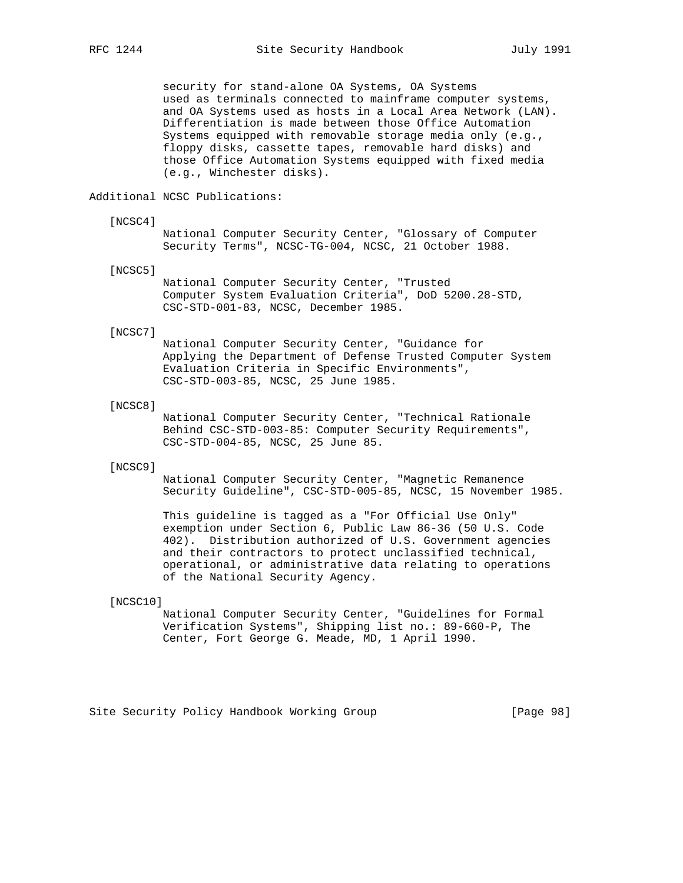security for stand-alone OA Systems, OA Systems used as terminals connected to mainframe computer systems, and OA Systems used as hosts in a Local Area Network (LAN). Differentiation is made between those Office Automation Systems equipped with removable storage media only (e.g., floppy disks, cassette tapes, removable hard disks) and those Office Automation Systems equipped with fixed media (e.g., Winchester disks).

## Additional NCSC Publications:

[NCSC4]

 National Computer Security Center, "Glossary of Computer Security Terms", NCSC-TG-004, NCSC, 21 October 1988.

[NCSC5]

 National Computer Security Center, "Trusted Computer System Evaluation Criteria", DoD 5200.28-STD, CSC-STD-001-83, NCSC, December 1985.

#### [NCSC7]

 National Computer Security Center, "Guidance for Applying the Department of Defense Trusted Computer System Evaluation Criteria in Specific Environments", CSC-STD-003-85, NCSC, 25 June 1985.

#### [NCSC8]

 National Computer Security Center, "Technical Rationale Behind CSC-STD-003-85: Computer Security Requirements", CSC-STD-004-85, NCSC, 25 June 85.

### [NCSC9]

 National Computer Security Center, "Magnetic Remanence Security Guideline", CSC-STD-005-85, NCSC, 15 November 1985.

 This guideline is tagged as a "For Official Use Only" exemption under Section 6, Public Law 86-36 (50 U.S. Code 402). Distribution authorized of U.S. Government agencies and their contractors to protect unclassified technical, operational, or administrative data relating to operations of the National Security Agency.

## [NCSC10]

 National Computer Security Center, "Guidelines for Formal Verification Systems", Shipping list no.: 89-660-P, The Center, Fort George G. Meade, MD, 1 April 1990.

Site Security Policy Handbook Working Group [Page 98]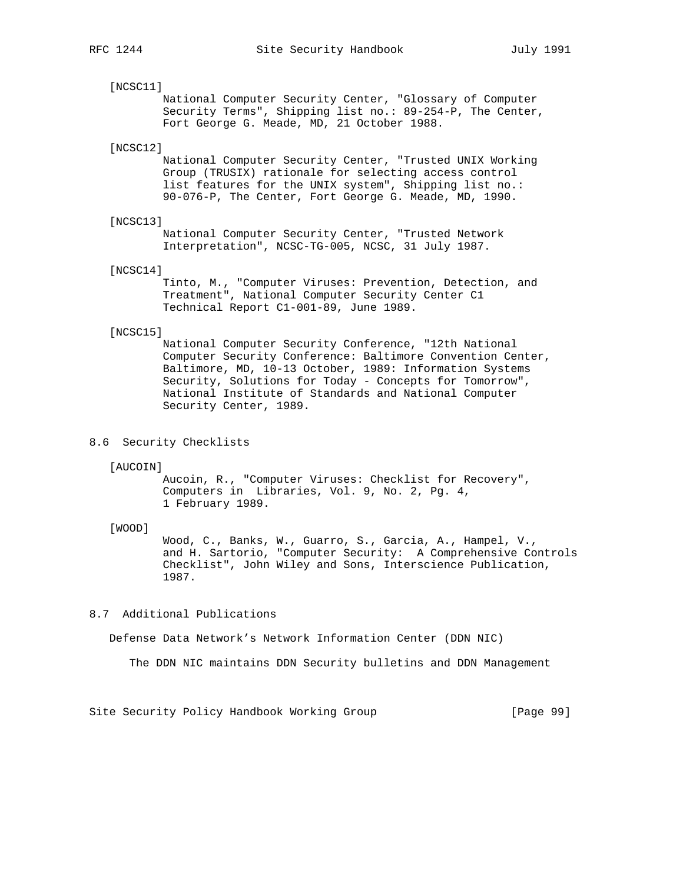## [NCSC11]

 National Computer Security Center, "Glossary of Computer Security Terms", Shipping list no.: 89-254-P, The Center, Fort George G. Meade, MD, 21 October 1988.

### [NCSC12]

 National Computer Security Center, "Trusted UNIX Working Group (TRUSIX) rationale for selecting access control list features for the UNIX system", Shipping list no.: 90-076-P, The Center, Fort George G. Meade, MD, 1990.

### [NCSC13]

 National Computer Security Center, "Trusted Network Interpretation", NCSC-TG-005, NCSC, 31 July 1987.

## [NCSC14]

 Tinto, M., "Computer Viruses: Prevention, Detection, and Treatment", National Computer Security Center C1 Technical Report C1-001-89, June 1989.

### [NCSC15]

 National Computer Security Conference, "12th National Computer Security Conference: Baltimore Convention Center, Baltimore, MD, 10-13 October, 1989: Information Systems Security, Solutions for Today - Concepts for Tomorrow", National Institute of Standards and National Computer Security Center, 1989.

# 8.6 Security Checklists

#### [AUCOIN]

 Aucoin, R., "Computer Viruses: Checklist for Recovery", Computers in Libraries, Vol. 9, No. 2, Pg. 4, 1 February 1989.

## [WOOD]

 Wood, C., Banks, W., Guarro, S., Garcia, A., Hampel, V., and H. Sartorio, "Computer Security: A Comprehensive Controls Checklist", John Wiley and Sons, Interscience Publication, 1987.

## 8.7 Additional Publications

Defense Data Network's Network Information Center (DDN NIC)

The DDN NIC maintains DDN Security bulletins and DDN Management

Site Security Policy Handbook Working Group [Page 99]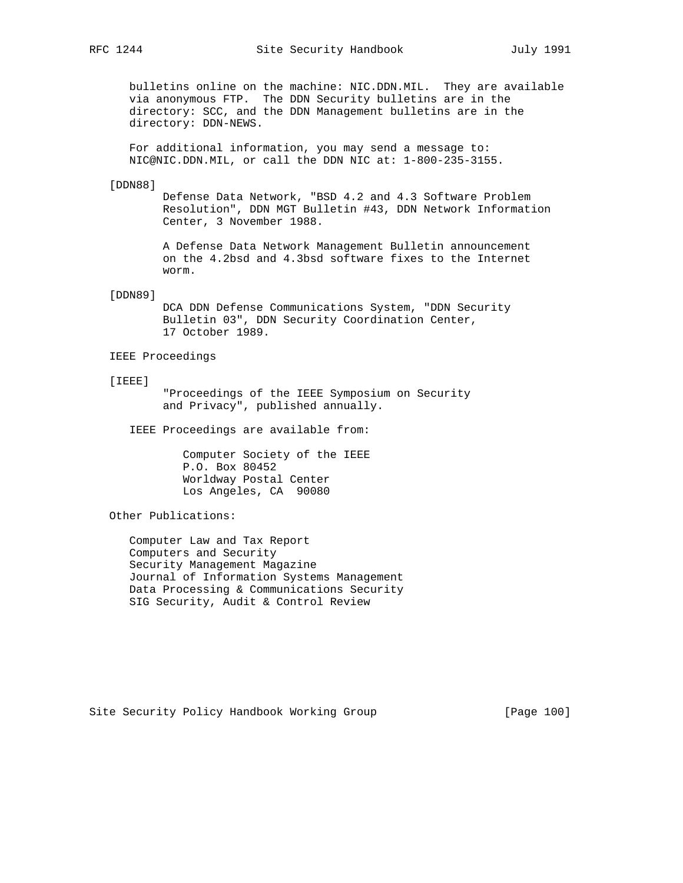bulletins online on the machine: NIC.DDN.MIL. They are available via anonymous FTP. The DDN Security bulletins are in the directory: SCC, and the DDN Management bulletins are in the directory: DDN-NEWS.

 For additional information, you may send a message to: NIC@NIC.DDN.MIL, or call the DDN NIC at: 1-800-235-3155.

#### [DDN88]

 Defense Data Network, "BSD 4.2 and 4.3 Software Problem Resolution", DDN MGT Bulletin #43, DDN Network Information Center, 3 November 1988.

 A Defense Data Network Management Bulletin announcement on the 4.2bsd and 4.3bsd software fixes to the Internet worm.

#### [DDN89]

 DCA DDN Defense Communications System, "DDN Security Bulletin 03", DDN Security Coordination Center, 17 October 1989.

## IEEE Proceedings

### [IEEE]

 "Proceedings of the IEEE Symposium on Security and Privacy", published annually.

IEEE Proceedings are available from:

 Computer Society of the IEEE P.O. Box 80452 Worldway Postal Center Los Angeles, CA 90080

Other Publications:

 Computer Law and Tax Report Computers and Security Security Management Magazine Journal of Information Systems Management Data Processing & Communications Security SIG Security, Audit & Control Review

Site Security Policy Handbook Working Group [Page 100]